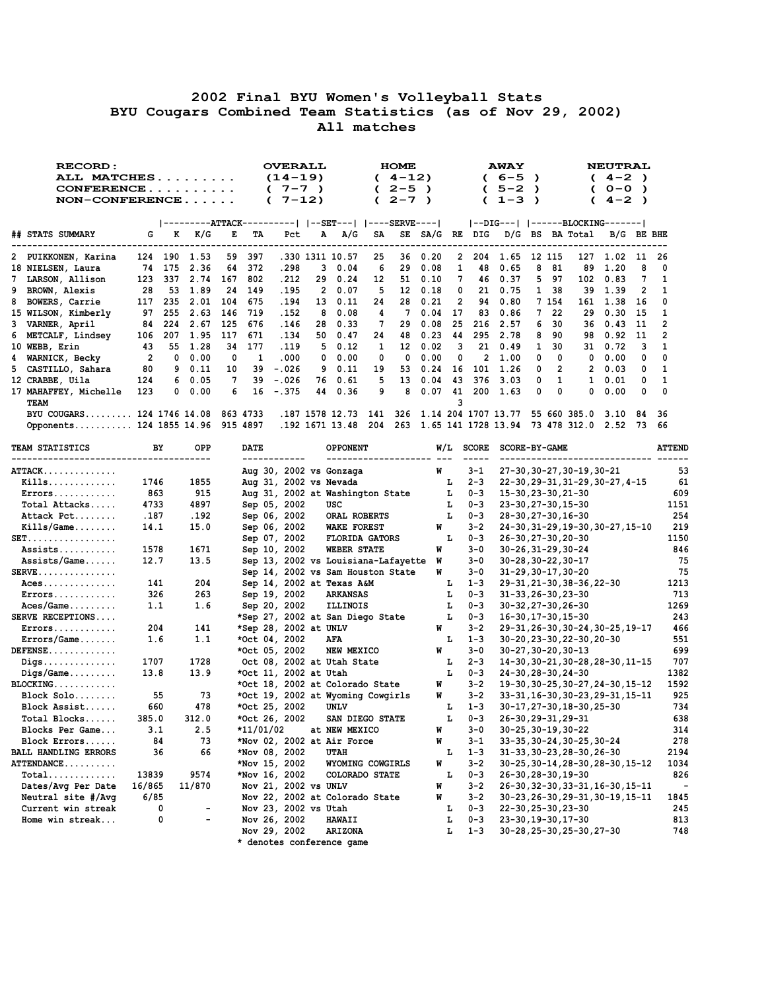## **2002 Final BYU Women's Volleyball Stats BYU Cougars Combined Team Statistics (as of Nov 29, 2002) All matches**

| RECORD:<br>ALL MATCHES     |                |          |      |           | <b>OVERALL</b><br>$(14-19)$ |                        |                |                          | <b>HOME</b><br>$4 - 12$ |           |      |    | <b>AWAY</b><br>6-5 | $\lambda$           |           |          | <b>NEUTRAL</b><br>$4 - 2$ ) |           |               |              |
|----------------------------|----------------|----------|------|-----------|-----------------------------|------------------------|----------------|--------------------------|-------------------------|-----------|------|----|--------------------|---------------------|-----------|----------|-----------------------------|-----------|---------------|--------------|
|                            |                |          |      |           |                             | $7 - 7$ )              |                |                          |                         | $2 - 5$ ) |      |    |                    | $5 - 2$             | $\lambda$ |          |                             | $O-O$     | $\rightarrow$ |              |
| $NON-CONFERENCE$           |                |          |      |           |                             | $7 - 12$<br>$\epsilon$ |                |                          |                         | $2 - 7$ ) |      |    |                    | $1 - 3$             | $\lambda$ |          |                             | $4 - 2$ ) |               |              |
|                            |                |          |      |           |                             |                        |                |                          |                         |           |      |    |                    |                     |           |          |                             |           |               |              |
|                            |                |          |      | --ATTACK- |                             | -- I                   |                | --SET---   ----SERVE---- |                         |           |      |    |                    | $ --DIG--- $        |           |          | ------BLOCKING-------       |           |               |              |
| ## STATS SUMMARY           | G              | к        | K/G  | Е         | TA                          | Pct                    | A              | A/G                      | SA                      | SE        | SA/G | RE | DIG                | D/G                 | BS        |          | BA Total                    | B/G       | BE BHE        |              |
| 2 PUIKKONEN, Karina        | 124            | 190      | 1.53 | 59        | 397                         | .330                   |                | 1311 10.57               | 25                      | 36        | 0.20 | 2  | 204                | 1.65                | 12        | 115      | 127                         | 1.02      | 11            | 26           |
| 18 NIELSEN, Laura          | 74             | 175      | 2.36 | 64        | 372                         | .298                   | 3              | 0.04                     | 6                       | 29        | 0.08 | 1  | 48                 | 0.65                | 8         | 81       | 89                          | 1.20      | 8             | 0            |
| 7 LARSON, Allison          | 123            | 337      | 2.74 | 167       | 802                         | .212                   | 29             | 0.24                     | 12                      | 51        | 0.10 |    | 46                 | 0.37                | 5         | 97       | 102                         | 0.83      |               |              |
| 9 BROWN, Alexis            | 28             | 53       | 1.89 | 24        | 149                         | .195                   | $\overline{2}$ | 0.07                     | 5                       | 12        | 0.18 | 0  | 21                 | 0.75                |           | 38       | 39                          | 1.39      | $\mathbf{2}$  |              |
| 8 BOWERS, Carrie           | 117            | 235      | 2.01 | 104       | 675                         | .194                   | 13             | 0.11                     | 24                      | 28        | 0.21 | 2  | 94                 | 0.80                | 7         | 154      | 161                         | 1.38      | 16            | $\Omega$     |
| 15 WILSON, Kimberly        | 97             | 255      | 2.63 | 146       | 719                         | .152                   | 8              | 0.08                     | 4                       | 7         | 0.04 | 17 | 83                 | 0.86                | 7         | 22       | 29                          | 0.30      | 15            | -1           |
| 3 VARNER, April            | 84             | 224      | 2.67 | 125       | 676                         | .146                   | 28             | 0.33                     |                         | 29        | 0.08 | 25 | 216                | 2.57                | 6         | 30       | 36.                         | 0.43      | 11            | $\mathbf{2}$ |
| 6 METCALF, Lindsey         | 106            | 207      | 1.95 | 117       | 671                         | .134                   | 50.            | 0.47                     | 24                      | 48        | 0.23 | 44 | 295                | 2.78                | 8         | 90       | 98.                         | 0.92      | 11            | $\mathbf{2}$ |
| 10 WEBB, Erin              | 43             | 55       | 1.28 | 34        | 177                         | .119                   | 5.             | 0.12                     | 1.                      | 12        | 0.02 | ٦  | 21                 | 0.49                |           | 30       | 31                          | 0.72      | з             | п.           |
| 4 WARNICK, Becky           | $\overline{2}$ | $\Omega$ | 0.00 | $\Omega$  | 1                           | .000                   | 0              | 0.00                     | $\Omega$                | 0         | 0.00 | 0  | 2                  | 1.00                | 0         | $\Omega$ | 0                           | 0.00      | 0             | $\Omega$     |
| 5 CASTILLO, Sahara         | 80             | 9        | 0.11 | 10        | 39                          | $-.026$                | 9.             | 0.11                     | 19                      | 53        | 0.24 | 16 | 101                | 1.26                | 0         | 2        | 2                           | 0.03      | 0             |              |
| 12 CRABBE, Uila            | 124            | 6        | 0.05 | 7         | 39                          | $-.026$                | 76             | 0.61                     | 5                       | 13        | 0.04 | 43 | 376                | 3.03                | 0         |          |                             | 0.01      | 0             |              |
| 17 MAHAFFEY, Michelle      | 123            | 0        | 0.00 | 6         | 16                          | $-.375$                | 44             | 0.36                     | 9                       | 8         | 0.07 | 41 | 200                | 1.63                | 0         | $\Omega$ | 0                           | 0.00      | 0             | $\Omega$     |
| TEAM                       |                |          |      |           |                             |                        |                |                          |                         |           |      | 3  |                    |                     |           |          |                             |           |               |              |
| BYU COUGARS 124 1746 14.08 |                |          |      |           | 863 4733                    |                        |                | .187 1578 12.73          | 141                     | 326       |      |    |                    | 1.14 204 1707 13.77 |           |          | 55 660 385.0                | 3.10      | 84            | -36          |
| Opponents 124 1855 14.96   |                |          |      |           | 915 4897                    |                        |                | .192 1671 13.48          | 204                     | 263       |      |    |                    | 1.65 141 1728 13.94 |           |          | 73 478 312.0                | 2.52      | 73            | -66          |

| TEAM STATISTICS                | BY     | <b>OPP</b> | <b>DATE</b> |                       | OPPONENT                            |    | $W/L$ SCORE | <b>SCORE-BY-GAME</b>              | <b>ATTEND</b> |
|--------------------------------|--------|------------|-------------|-----------------------|-------------------------------------|----|-------------|-----------------------------------|---------------|
| ATTACK                         |        |            |             |                       | Aug 30, 2002 vs Gonzaga             | W  | $3 - 1$     | 27-30, 30-27, 30-19, 30-21        | 53            |
| $Kills$                        | 1746   | 1855       |             |                       | Aug 31, 2002 vs Nevada              | L  | $2 - 3$     | 22-30, 29-31, 31-29, 30-27, 4-15  | 61            |
| $Errors. \ldots \ldots \ldots$ | 863    | 915        |             |                       | Aug 31, 2002 at Washington State    | L  | $0 - 3$     | 15-30, 23-30, 21-30               | 609           |
| Total Attacks                  | 4733   | 4897       |             | Sep 05, 2002          | <b>USC</b>                          | L  | $0 - 3$     | 23-30, 27-30, 15-30               | 1151          |
| Attack Pct                     | .187   | .192       |             | Sep 06, 2002          | ORAL ROBERTS                        | L  | $0 - 3$     | 28-30, 27-30, 16-30               | 254           |
| $Kills/Game$                   | 14.1   | 15.0       |             | Sep 06, 2002          | <b>WAKE FOREST</b>                  | W  | $3 - 2$     | 24-30, 31-29, 19-30, 30-27, 15-10 | 219           |
| $SET.$                         |        |            |             | Sep 07, 2002          | <b>FLORIDA GATORS</b>               | L  | $0 - 3$     | 26-30, 27-30, 20-30               | 1150          |
| Assists                        | 1578   | 1671       |             | Sep 10, 2002          | <b>WEBER STATE</b>                  | W  | $3 - 0$     | $30 - 26, 31 - 29, 30 - 24$       | 846           |
| Assists/Game                   | 12.7   | 13.5       |             |                       | Sep 13, 2002 vs Louisiana-Lafayette | W  | $3 - 0$     | $30 - 28, 30 - 22, 30 - 17$       | 75            |
| $SERVE$                        |        |            |             |                       | Sep 14, 2002 vs Sam Houston State   | W  | $3 - 0$     | 31-29, 30-17, 30-20               | 75            |
| Aces                           | 141    | 204        |             |                       | Sep 14, 2002 at Texas A&M           | ъ  | $1 - 3$     | 29-31, 21-30, 38-36, 22-30        | 1213          |
| $Errors. \ldots \ldots \ldots$ | 326    | 263        |             | Sep 19, 2002          | <b>ARKANSAS</b>                     | ъ  | $0 - 3$     | $31 - 33, 26 - 30, 23 - 30$       | 713           |
| $Access/Game$                  | 1.1    | 1.6        |             | Sep 20, 2002          | <b>ILLINOIS</b>                     | L  | $0 - 3$     | 30-32, 27-30, 26-30               | 1269          |
| SERVE RECEPTIONS               |        |            |             |                       | *Sep 27, 2002 at San Diego State    | L  | $0 - 3$     | 16-30, 17-30, 15-30               | 243           |
| $Errors. \ldots \ldots \ldots$ | 204    | 141        |             |                       | *Sep 28, 2002 at UNLV               | W  | $3 - 2$     | 29-31, 26-30, 30-24, 30-25, 19-17 | 466           |
| Errors/Game                    | 1.6    | 1.1        |             | *Oct 04, 2002         | AFA                                 | L  | $1 - 3$     | 30-20, 23-30, 22-30, 20-30        | 551           |
| $DEFENSE$                      |        |            |             | *Oct 05, 2002         | NEW MEXICO                          | W  | $3 - 0$     | $30 - 27, 30 - 20, 30 - 13$       | 699           |
| $Diqs.$                        | 1707   | 1728       |             |                       | Oct 08, 2002 at Utah State          | L  | $2 - 3$     | 14-30, 30-21, 30-28, 28-30, 11-15 | 707           |
| $Diqs/Game$                    | 13.8   | 13.9       |             | *Oct 11, 2002 at Utah |                                     | т. | $0 - 3$     | 24-30, 28-30, 24-30               | 1382          |
| $BLOCKING$                     |        |            |             |                       | *Oct 18, 2002 at Colorado State     | W  | $3 - 2$     | 19-30.30-25.30-27.24-30.15-12     | 1592          |
| $Block$ $Solo$                 | 55     | 73         |             |                       | *Oct 19, 2002 at Wyoming Cowgirls   | W  | $3 - 2$     | 33-31, 16-30, 30-23, 29-31, 15-11 | 925           |
| Block Assist                   | 660    | 478        |             | *Oct 25, 2002         | <b>UNLV</b>                         | L  | $1 - 3$     | 30-17, 27-30, 18-30, 25-30        | 734           |
| Total Blocks                   | 385.0  | 312.0      |             | *Oct 26, 2002         | SAN DIEGO STATE                     | L  | $0 - 3$     | 26-30, 29-31, 29-31               | 638           |
| Blocks Per Game                | 3.1    | 2.5        | *11/01/02   |                       | at NEW MEXICO                       | W  | $3 - 0$     | $30 - 25, 30 - 19, 30 - 22$       | 314           |
| Block Errors                   | 84     | 73         |             |                       | *Nov 02, 2002 at Air Force          | W  | $3 - 1$     | 33-35, 30-24, 30-25, 30-24        | 278           |
| BALL HANDLING ERRORS           | 36     | 66         |             | *Nov 08, 2002         | <b>UTAH</b>                         | L  | $1 - 3$     | 31-33, 30-23, 28-30, 26-30        | 2194          |
| ATTENDANCE                     |        |            |             | *Nov 15, 2002         | WYOMING COWGIRLS                    | W  | $3 - 2$     | 30-25, 30-14, 28-30, 28-30, 15-12 | 1034          |
| $Total$                        | 13839  | 9574       |             | *Nov 16, 2002         | COLORADO STATE                      | L  | $0 - 3$     | 26-30, 28-30, 19-30               | 826           |
| Dates/Avg Per Date             | 16/865 | 11/870     |             | Nov 21, 2002 vs UNLV  |                                     | W  | $3 - 2$     | 26-30, 32-30, 33-31, 16-30, 15-11 | $\sim$        |
| Neutral site #/Avq             | 6/85   |            |             |                       | Nov 22, 2002 at Colorado State      | W  | $3 - 2$     | 30-23, 26-30, 29-31, 30-19, 15-11 | 1845          |
| Current win streak             | 0      | $\sim$     |             |                       | Nov 23, 2002 vs Utah                | L  | $0 - 3$     | 22-30, 25-30, 23-30               | 245           |
| Home win streak                | 0      |            |             | Nov 26, 2002          | <b>HAWAII</b>                       | L  | $0 - 3$     | 23-30, 19-30, 17-30               | 813           |
|                                |        |            |             | Nov 29, 2002          | <b>ARIZONA</b>                      | L  | $1 - 3$     | 30-28, 25-30, 25-30, 27-30        | 748           |
|                                |        |            |             |                       |                                     |    |             |                                   |               |

 **\* denotes conference game**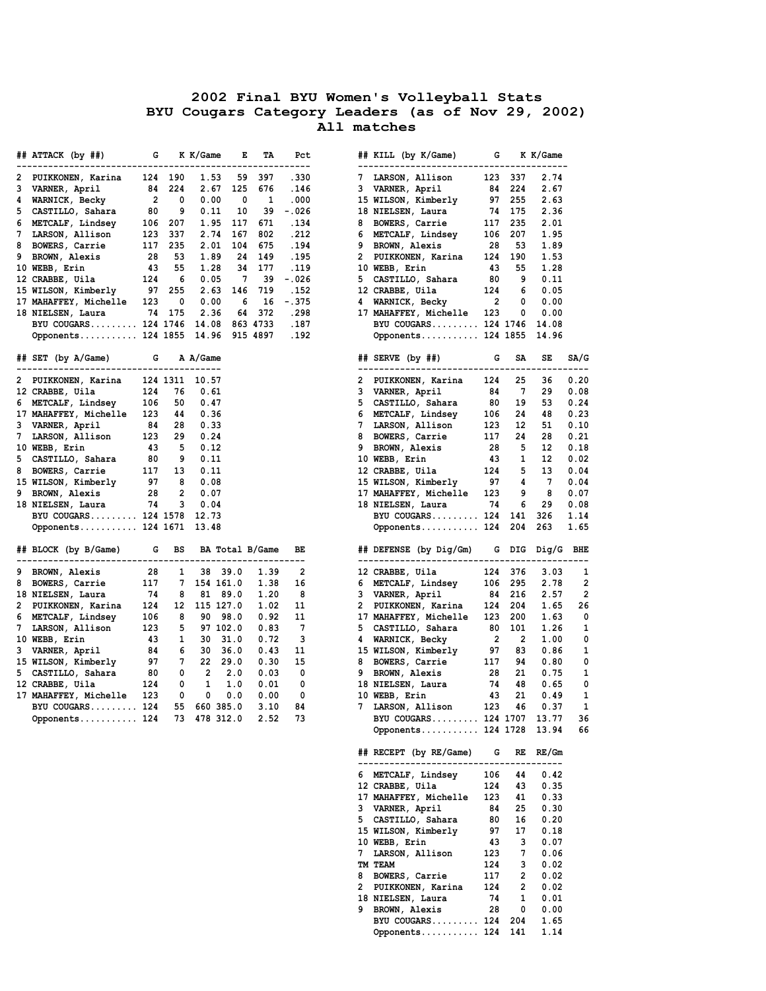## **2002 Final BYU Women's Volleyball Stats BYU Cougars Category Leaders (as of Nov 29, 2002) All matches**

|   | ## ATTACK (by ##)<br>in the state of the state of the state of the state of the state of the state of the state of the state of the |     |                          | K K/Game                | к.                       | TA             | Pct        |      | ## KILL (by K/Game) G K K/Game                       |     |         |                      |                |
|---|-------------------------------------------------------------------------------------------------------------------------------------|-----|--------------------------|-------------------------|--------------------------|----------------|------------|------|------------------------------------------------------|-----|---------|----------------------|----------------|
| 2 | PUIKKONEN, Karina 124 190                                                                                                           |     |                          |                         | 1.53 59 397              |                | .330       |      | 7 LARSON, Allison 123 337                            |     |         | 2.74                 |                |
|   | 3 VARNER, April                                                                                                                     |     | 84 224                   |                         | 2.67 125 676             |                | .146       |      | 3 VARNER, April                                      |     | 84 224  | 2.67                 |                |
|   | 4 WARNICK, Becky                                                                                                                    |     | $2 \t 0$                 | 0.00                    | $\overline{\phantom{0}}$ | $\overline{1}$ | .000       |      | 15 WILSON, Kimberly                                  |     | 97 255  | 2.63                 |                |
|   | 5 CASTILLO, Sahara                                                                                                                  | 80  | - 9                      | 0.11                    | 10                       |                | 39 -.026   |      | 18 NIELSEN, Laura 74 175                             |     |         | 2.36                 |                |
|   | 6 METCALF, Lindsey 106 207                                                                                                          |     |                          |                         | 1.95 117 671             |                | . 134      |      | 8 BOWERS, Carrie 117 235                             |     |         | 2.01                 |                |
| 7 | LARSON, Allison 123 337                                                                                                             |     |                          | 2.74                    | 167                      | 802            | .212       |      | 6 METCALF, Lindsey 106 207                           |     |         | 1.95                 |                |
| 8 | BOWERS, Carrie                                                                                                                      |     | 117 235                  | 2.01                    | 104                      | 675            | .194       |      | 9 BROWN, Alexis 28 53                                |     |         | 1.89                 |                |
| 9 | BROWN, Alexis                                                                                                                       |     | 28 53                    | 1.89                    |                          | 24 149         | . 195      |      | 2 PUIKKONEN, Karina 124 190                          |     |         | 1.53                 |                |
|   | 10 WEBB, Erin                                                                                                                       |     | 43 55                    | 1.28                    |                          | 34 177         | .119       |      | 43 55<br>10 WEBB, Erin                               |     |         | 1.28                 |                |
|   | 12 CRABBE, Uila $124$ 6                                                                                                             |     |                          | 0.05                    | $\overline{7}$           |                | 39 -.026   |      | 5 CASTILLO, Sahara 80                                |     |         | 9<br>0.11            |                |
|   | 15 WILSON, Kimberly 97 255                                                                                                          |     |                          |                         | 2.63 146 719             |                | . 152      |      | 12 CRABBE, Uila 124 6                                |     |         | 0.05                 |                |
|   | 17 MAHAFFEY, Michelle 123                                                                                                           |     | $\overline{\phantom{0}}$ | 0.00                    |                          |                | 6 16 - 375 |      | 4 WARNICK, Becky 2                                   |     |         | $\mathbf{0}$<br>0.00 |                |
|   | 18 NIELSEN, Laura 74 175                                                                                                            |     |                          | 2.36                    |                          | 64 372         | .298       |      | 17 MAHAFFEY, Michelle 123                            |     |         | $\mathbf{0}$<br>0.00 |                |
|   | BYU COUGARS 124 1746 14.08 863 4733                                                                                                 |     |                          |                         |                          |                |            | .187 | BYU COUGARS 124 1746 14.08                           |     |         |                      |                |
|   | 0pponents 124 1855 14.96 915 4897 .192                                                                                              |     |                          |                         |                          |                |            |      | Opponents 124 1855 14.96                             |     |         |                      |                |
|   | ## SET (by A/Game) G A A/Game                                                                                                       |     |                          |                         |                          |                |            |      | ## SERVE (by ##) G                                   |     | SA      | SE                   | SA/G           |
|   | --------------------------------<br>2 PUIKKONEN, Karina 124 1311 10.57                                                              |     |                          |                         |                          |                |            |      | 2 PUIKKONEN, Karina 124                              |     | 25      | 36                   | 0.20           |
|   | 12 CRABBE, Uila                                                                                                                     | 124 | 76                       | 0.61                    |                          |                |            |      | 3 VARNER, April 84 7                                 |     |         | 29                   | 0.08           |
|   | 6 METCALF, Lindsey 106 50                                                                                                           |     |                          | 0.47                    |                          |                |            |      | 5 CASTILLO, Sahara                                   | 80  | 19      | 53                   | 0.24           |
|   | 17 MAHAFFEY, Michelle 123 44                                                                                                        |     |                          | 0.36                    |                          |                |            |      | 6 METCALF, Lindsey                                   | 106 | 24      | 48                   | 0.23           |
|   | 3 VARNER, April 84 28                                                                                                               |     |                          | 0.33                    |                          |                |            |      | 7 LARSON, Allison                                    | 123 | 12      | 51                   | 0.10           |
|   | 7 LARSON, Allison 123 29                                                                                                            |     |                          | 0.24                    |                          |                |            |      | 8 BOWERS, Carrie 117                                 |     | 24      | 28                   | 0.21           |
|   | 10 WEBB, Erin                                                                                                                       |     | 43 5                     | 0.12                    |                          |                |            |      | 9 BROWN, Alexis                                      |     | 28 5    | 12                   | 0.18           |
|   | 5 CASTILLO, Sahara                                                                                                                  |     | 80 9                     | 0.11                    |                          |                |            |      | 10 WEBB, Erin                                        | 43  | 1       | 12                   | 0.02           |
|   | 8 BOWERS, Carrie 117 13                                                                                                             |     |                          | 0.11                    |                          |                |            |      | 12 CRABBE, Uila 124                                  |     | 5       | 13                   | 0.04           |
|   | 15 WILSON, Kimberly 97 8                                                                                                            |     |                          | 0.08                    |                          |                |            |      | 15 WILSON, Kimberly 97                               |     | 4       | $\overline{7}$       | 0.04           |
|   | 9 BROWN, Alexis                                                                                                                     |     | 28 2                     | 0.07                    |                          |                |            |      | 17 MAHAFFEY, Michelle 123                            |     | 9       | - 8                  | 0.07           |
|   | 18 NIELSEN, Laura 74 3                                                                                                              |     |                          | 0.04                    |                          |                |            |      | 18 NIELSEN, Laura 74                                 |     | 6       | - 29                 | 0.08           |
|   | BYU COUGARS 124 1578 12.73                                                                                                          |     |                          |                         |                          |                |            |      | BYU COUGARS 124 141                                  |     |         | 326                  | 1.14           |
|   | Opponents 124 1671 13.48                                                                                                            |     |                          |                         |                          |                |            |      | Opponents 124 204                                    |     |         | 263                  | 1.65           |
|   | ## BLOCK (by B/Game) G BS                                                                                                           |     |                          |                         | BA Total B/Game          |                | BE.        |      | ## DEFENSE (by Dig/Gm) G DIG Dig/G BHE               |     |         |                      |                |
|   | 9 BROWN, Alexis 28                                                                                                                  |     | 1                        |                         | 38 39.0                  | 1.39           | 2          |      | 12 CRABBE, Uila                                      |     | 124 376 | 3.03                 | 1              |
|   | 8 BOWERS, Carrie 117 7 154 161.0                                                                                                    |     |                          |                         |                          | 1.38           | 16         |      | 6 METCALF, Lindsey 106 295                           |     |         | 2.78                 | $\overline{a}$ |
|   | 18 NIELSEN, Laura 74 8                                                                                                              |     |                          |                         | 81 89.0                  | 1.20           | - 8        |      | 3 VARNER, April 84 216                               |     |         | 2.57                 | $\overline{2}$ |
|   | 2 PUIKKONEN, Karina 124 12 115 127.0                                                                                                |     |                          |                         |                          | 1.02           | 11         |      | 2 PUIKKONEN, Karina 124 204                          |     |         | 1.65                 | 26             |
|   | 6 METCALF, Lindsey 106                                                                                                              |     | 8                        |                         | 90 98.0                  | 0.92           | 11         |      | 17 MAHAFFEY, Michelle 123 200                        |     |         | 1.63                 | 0              |
|   | 7 LARSON, Allison 123 5                                                                                                             |     |                          |                         | 97 102.0                 | 0.83           | -7         |      | 5 CASTILLO, Sahara 80 101                            |     |         | 1.26                 | 1              |
|   | 10 WEBB, Erin                                                                                                                       |     | 43 1                     |                         | 30 31.0                  | 0.72           | 3          |      | 4 WARNICK, Becky 2                                   |     | 2       | 1.00                 | 0              |
|   | 3 VARNER, April                                                                                                                     |     | 84 6                     |                         | 30 36.0                  | 0.43           | 11         |      |                                                      |     |         | 0.86                 | 1              |
|   | 15 WILSON, Kimberly 97 7                                                                                                            |     |                          |                         | 22 29.0                  | 0.30           | 15         |      | 15 WILSON, Kimberly 97 83<br>8 BOWERS, Carrie 117 94 |     |         | 0.80                 | 0              |
|   | 5 CASTILLO, Sahara                                                                                                                  |     |                          | 80 0 2 2.0              |                          | 0.03           | 0          |      | 9 BROWN, Alexis                                      | 28  | 21      | 0.75                 | 1              |
|   | 12 CRABBE, Uila                                                                                                                     |     |                          | 124 0 1                 | 1.0                      | 0.01           | 0          |      | 18 NIELSEN, Laura 74 48                              |     |         | 0.65                 | 0              |
|   | 17 MAHAFFEY, Michelle 123                                                                                                           |     | $\overline{\phantom{0}}$ | $\overline{\mathbf{0}}$ | 0.0                      | 0.00           | 0          |      | 10 WEBB, Erin                                        | 43  | 21      | 0.49                 | $\mathbf{1}$   |
|   | BYU COUGARS 124                                                                                                                     |     |                          | 55 660 385.0            |                          | 3.10           | 84         |      | 7 LARSON, Allison                                    | 123 | 46      | 0.37                 | 1              |
|   |                                                                                                                                     |     |                          | 73 478 312.0            |                          |                |            |      | BYU COUGARS 124 1707                                 |     |         | 13.77                |                |
|   | Opponents 124                                                                                                                       |     |                          |                         |                          | 2.52           | 73         |      | Opponents 124 1728                                   |     |         | 13.94                | 36<br>66       |
|   |                                                                                                                                     |     |                          |                         |                          |                |            |      | ## RECEPT (by RE/Game)                               | G   | RE.     | RF/Gm                |                |
|   |                                                                                                                                     |     |                          |                         |                          |                |            |      |                                                      |     |         | -----                |                |
|   |                                                                                                                                     |     |                          |                         |                          |                |            |      | 6 METCALF, Lindsey                                   | 106 | 44      | 0.42                 |                |
|   |                                                                                                                                     |     |                          |                         |                          |                |            |      | 12 CRABBE, Uila                                      | 124 | 43      | 0.35                 |                |
|   |                                                                                                                                     |     |                          |                         |                          |                |            |      | 17 MAHAFFEY, Michelle                                | 123 | 41      | 0.33                 |                |
|   |                                                                                                                                     |     |                          |                         |                          |                |            |      | 3 VARNER, April                                      | 84  | 25      | 0.30                 |                |
|   |                                                                                                                                     |     |                          |                         |                          |                |            |      | 5 CASTILLO, Sahara                                   | 80  | 16      | 0.20                 |                |
|   |                                                                                                                                     |     |                          |                         |                          |                |            |      | 15 WILSON, Kimberly                                  | 97  | 17      | 0.18                 |                |
|   |                                                                                                                                     |     |                          |                         |                          |                |            |      | 10 WEBB, Erin                                        | 43  | з       | 0.07                 |                |
|   |                                                                                                                                     |     |                          |                         |                          |                |            |      | 7 LARSON, Allison                                    | 123 | 7       | 0.06                 |                |
|   |                                                                                                                                     |     |                          |                         |                          |                |            |      | TM TEAM                                              | 124 | 3       | 0.02                 |                |

| TM TEAM                | 124 | 3              | 0.02 |
|------------------------|-----|----------------|------|
| 8 BOWERS, Carrie       | 117 | 2              | 0.02 |
| 2 PUIKKONEN, Karina    | 124 | $\overline{2}$ | 0.02 |
| 18 NIELSEN, Laura      | 74  |                | 0.01 |
| 9 BROWN, Alexis 28     |     | $^{\circ}$     | 0.00 |
| BYU COUGARS 124 204    |     |                | 1.65 |
| Opponents 124 141 1.14 |     |                |      |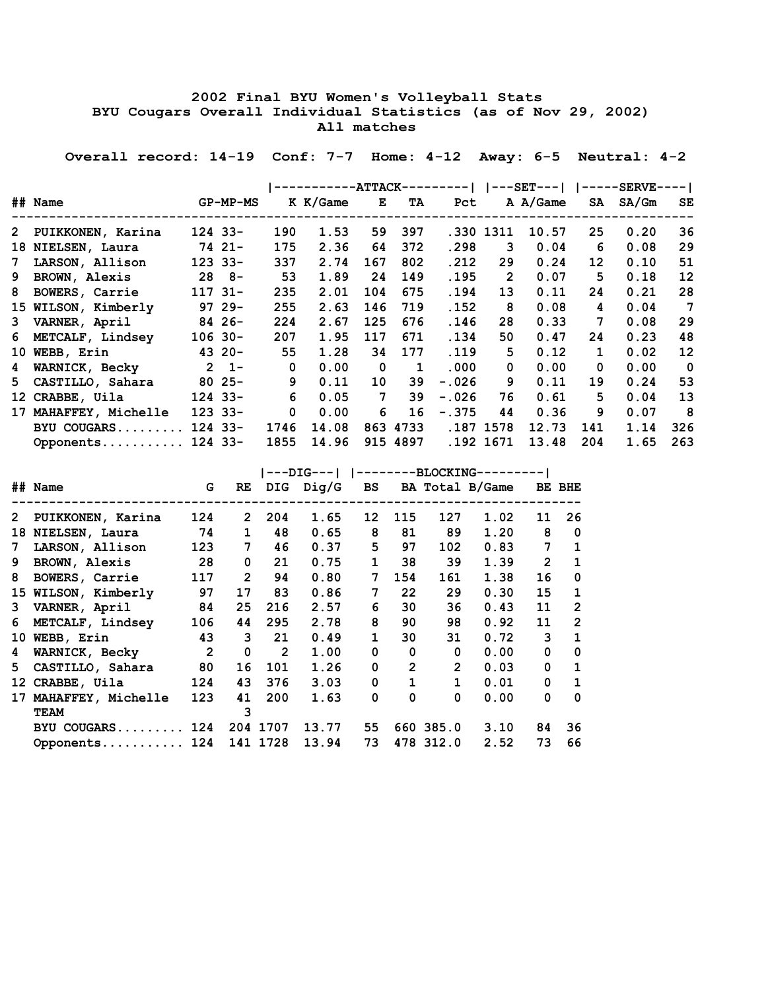## **2002 Final BYU Women's Volleyball Stats BYU Cougars Overall Individual Statistics (as of Nov 29, 2002) All matches**

 **Overall record: 14-19 Conf: 7-7 Home: 4-12 Away: 6-5 Neutral: 4-2**

|             |                       |             | <b>-ATTACK-</b><br>—— I |          |     |          |         |                | ---SET---1 | <b>--SERVE-</b><br>—— I |       |             |  |
|-------------|-----------------------|-------------|-------------------------|----------|-----|----------|---------|----------------|------------|-------------------------|-------|-------------|--|
|             | ## Name               | GP-MP-MS    |                         | K K/Game | E   | TA       | Pct     |                | A A/Game   | SA                      | SA/Gm | SE          |  |
|             | 2 PUIKKONEN, Karina   | $124$ 33-   | 190                     | 1.53     | 59  | 397      |         | .330 1311      | 10.57      | 25                      | 0.20  | 36          |  |
|             | 18 NIELSEN, Laura     | 74 21-      | 175                     | 2.36     | 64  | 372      | .298    | 3              | 0.04       | 6                       | 0.08  | 29          |  |
| $7^{\circ}$ | LARSON, Allison       | $123$ 33-   | 337                     | 2.74     | 167 | 802      | .212    | 29             | 0.24       | 12                      | 0.10  | 51          |  |
|             | 9 BROWN, Alexis       | $28$ $8-$   | 53                      | 1.89     | 24  | 149      | .195    | $\overline{2}$ | 0.07       | 5                       | 0.18  | 12          |  |
| 8           | BOWERS, Carrie        | $117$ $31-$ | 235                     | 2.01     | 104 | 675      | .194    | 13             | 0.11       | 24                      | 0.21  | 28          |  |
|             | 15 WILSON, Kimberly   | $9729 -$    | 255                     | 2.63     | 146 | 719      | .152    | 8              | 0.08       | 4                       | 0.04  | 7           |  |
|             | 3 VARNER, April       | $8426 -$    | 224                     | 2.67     | 125 | 676      | .146    | 28             | 0.33       | 7                       | 0.08  | 29          |  |
|             | 6 METCALF, Lindsey    | $106$ 30-   | 207                     | 1.95     | 117 | 671      | .134    | 50             | 0.47       | 24                      | 0.23  | 48          |  |
|             | 10 WEBB, Erin         | $4320-$     | 55                      | 1.28     | 34  | 177      | .119    | 5              | 0.12       | $\mathbf 1$             | 0.02  | 12          |  |
|             | 4 WARNICK, Becky      | $2 \t1$     | $\mathbf 0$             | 0.00     | 0   | 1        | .000    | 0              | 0.00       | 0                       | 0.00  | $\mathbf 0$ |  |
|             | 5 CASTILLO, Sahara    | $8025 -$    | 9                       | 0.11     | 10  | 39       | $-.026$ | 9              | 0.11       | 19                      | 0.24  | 53          |  |
|             | 12 CRABBE, Uila       | $124$ 33-   | 6                       | 0.05     | 7   | 39       | $-.026$ | 76             | 0.61       | 5.                      | 0.04  | 13          |  |
|             | 17 MAHAFFEY, Michelle | $123$ 33-   | $\mathbf 0$             | 0.00     | 6   | 16       | $-.375$ | 44             | 0.36       | 9                       | 0.07  | 8           |  |
|             | BYU COUGARS           | $124$ 33-   | 1746                    | 14.08    |     | 863 4733 |         | .187 1578      | 12.73      | 141                     | 1.14  | 326         |  |
|             | Opponents             | $124$ 33-   | 1855                    | 14.96    |     | 915 4897 |         | .192 1671      | 13.48      | 204                     | 1.65  | 263         |  |

|              | ## Name              | G              | RE                    |              | DIG Dig/G | <b>BS</b>    |                |              | BA Total B/Game |                | BE BHE         |
|--------------|----------------------|----------------|-----------------------|--------------|-----------|--------------|----------------|--------------|-----------------|----------------|----------------|
| $\mathbf{2}$ | PUIKKONEN, Karina    | 124            | $\mathbf{2}^{\prime}$ | 204          | 1.65      | 12           | 115            | 127          | 1.02            | 11             | 26             |
| 18           | NIELSEN, Laura       | 74             | $\mathbf{1}$          | 48           | 0.65      | 8            | 81             | 89           | 1.20            | 8              | $\mathbf 0$    |
| 7            | LARSON, Allison      | 123            | 7                     | 46           | 0.37      | 5            | 97             | 102          | 0.83            | 7              | $\mathbf 1$    |
| 9            | <b>BROWN, Alexis</b> | 28             | 0                     | 21           | 0.75      | $\mathbf{1}$ | 38             | 39           | 1.39            | $\overline{2}$ | $\mathbf{1}$   |
| 8            | BOWERS, Carrie       | 117            | $\overline{2}$        | 94           | 0.80      | 7            | 154            | 161          | 1.38            | 16             | $\mathbf 0$    |
| 15           | WILSON, Kimberly     | 97             | 17                    | 83           | 0.86      | 7            | 22             | 29           | 0.30            | 15             | $\mathbf{1}$   |
| 3            | VARNER, April        | 84             | 25                    | 216          | 2.57      | 6            | 30             | 36           | 0.43            | 11             | $\overline{2}$ |
| 6            | METCALF, Lindsey     | 106            | 44                    | 295          | 2.78      | 8            | 90             | 98           | 0.92            | 11             | $\overline{2}$ |
| 10           | WEBB, Erin           | 43             | 3                     | 21           | 0.49      | $\mathbf{1}$ | 30             | 31           | 0.72            | 3              | 1              |
| 4            | WARNICK, Becky       | $\overline{2}$ | 0                     | $\mathbf{2}$ | 1.00      | 0            | 0              | 0            | 0.00            | 0              | 0              |
| 5            | CASTILLO, Sahara     | 80             | 16                    | 101          | 1.26      | 0            | $\overline{2}$ | $\mathbf{2}$ | 0.03            | 0              | 1              |
| 12           | CRABBE, Uila         | 124            | 43                    | 376          | 3.03      | 0            | $\mathbf{1}$   | $\mathbf{1}$ | 0.01            | 0              | 1              |
| 17           | MAHAFFEY, Michelle   | 123            | 41                    | 200          | 1.63      | 0            | $\Omega$       | 0            | 0.00            | 0              | 0              |
|              | <b>TEAM</b>          |                | 3                     |              |           |              |                |              |                 |                |                |
|              | BYU COUGARS          | 124            |                       | 204 1707     | 13.77     | 55           |                | 660 385.0    | 3.10            | 84             | 36             |
|              | Opponents            | 124            |                       | 141 1728     | 13.94     | 73           |                | 478 312.0    | 2.52            | 73             | 66             |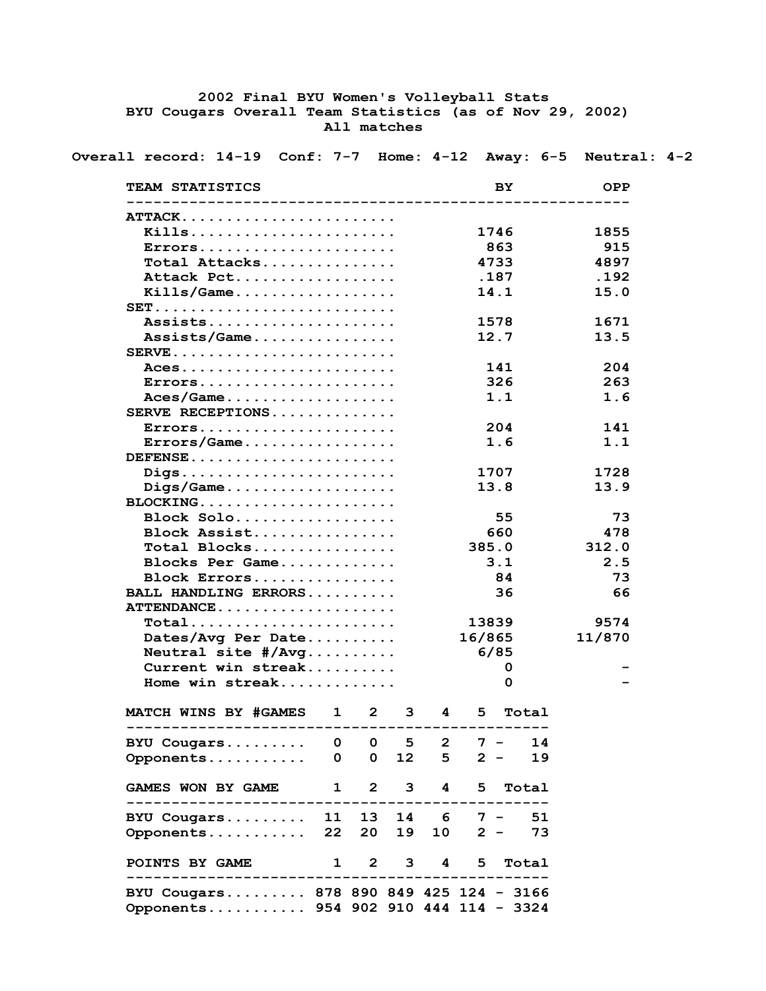## **2002 Final BYU Women's Volleyball Stats BYU Cougars Overall Team Statistics (as of Nov 29, 2002) All matches**

 **Overall record: 14-19 Conf: 7-7 Home: 4-12 Away: 6-5 Neutral: 4-2**

| TEAM STATISTICS                                                     |              |              |             |                 |                     | BY.   |       | <b>OPP</b>  |
|---------------------------------------------------------------------|--------------|--------------|-------------|-----------------|---------------------|-------|-------|-------------|
| ATTACK                                                              |              |              |             |                 |                     |       |       |             |
| Kills                                                               |              |              |             |                 |                     |       |       |             |
|                                                                     |              |              |             |                 |                     | 1746  |       | 1855        |
| Errors                                                              |              |              |             |                 |                     | 863   |       | 915<br>4897 |
| Total Attacks                                                       |              |              |             |                 |                     | 4733  |       |             |
| Attack Pct                                                          |              |              |             |                 |                     | .187  |       | .192        |
|                                                                     |              |              |             |                 |                     | 14.1  |       | 15.0        |
| $SET.$                                                              |              |              |             |                 |                     |       |       |             |
| Assists                                                             |              |              |             |                 |                     | 1578  |       | 1671        |
| Assists/Game                                                        |              |              |             |                 |                     | 12.7  |       | 13.5        |
| $SERVE$                                                             |              |              |             |                 |                     |       |       |             |
| $ACes$                                                              |              |              |             |                 |                     | 141   |       | 204         |
| $Errors.$                                                           |              |              |             |                 |                     | 326   |       | 263         |
|                                                                     |              |              |             |                 |                     | 1.1   |       | 1.6         |
| SERVE RECEPTIONS                                                    |              |              |             |                 |                     |       |       |             |
| $Errors.$                                                           |              |              |             |                 |                     | 204   |       | 141         |
| $\texttt{Errors}/\texttt{Game} \ldots \ldots \ldots \ldots \ldots$  |              |              |             |                 |                     | 1.6   |       | 1.1         |
| $DEFENSE$                                                           |              |              |             |                 |                     |       |       |             |
| Digs                                                                |              |              |             |                 |                     | 1707  |       | 1728        |
| $\text{Diqs}/\text{Game}\ldots\ldots\ldots\ldots\ldots\ldots\ldots$ |              |              |             |                 |                     | 13.8  |       | 13.9        |
|                                                                     |              |              |             |                 |                     |       |       |             |
| $Block$ Solo                                                        |              |              |             |                 |                     | 55    |       | 73          |
| Block Assist                                                        |              |              |             |                 |                     | 660   |       | 478         |
| Total Blocks                                                        |              |              |             |                 | 385.0               |       |       | 312.0       |
| Blocks Per Game                                                     |              |              |             |                 |                     | 3.1   |       | 2.5         |
| Block Errors                                                        |              |              |             |                 |                     | 84    |       | 73          |
| BALL HANDLING ERRORS                                                |              |              |             |                 |                     | 36    |       | 66          |
| ATTENDANCE                                                          |              |              |             |                 |                     |       |       |             |
| Total                                                               |              |              |             |                 | 13839               |       |       | 9574        |
| Dates/Avg Per Date                                                  |              |              |             |                 | 16/865              |       |       | 11/870      |
| Neutral site $\#/Avg \ldots \ldots$                                 |              |              |             |                 | 6/85                |       |       |             |
| Current win streak                                                  |              |              |             |                 |                     | 0     |       |             |
| Home win streak                                                     |              |              |             |                 |                     | 0     |       |             |
| <b>MATCH WINS BY #GAMES</b>                                         | $\mathbf{1}$ | $\mathbf{2}$ | 3           | 4               | 5.                  |       | Total |             |
| BYU Cougars                                                         | 0            | $\mathbf{o}$ | 5           | $\mathbf{2}$    |                     | $7 -$ | 14    |             |
| Opponents                                                           | 0            | $\mathbf{O}$ | 12          | 5               |                     | $2 -$ | 19    |             |
| <b>GAMES WON BY GAME</b>                                            | $\mathbf{1}$ |              | $2^{\circ}$ | $3^{\circ}$     | $\overline{4}$<br>5 |       | Total |             |
| ---------------------<br>BYU Cougars                                | 11           | 13           |             |                 | $14 \t 6 \t 7 -$    |       | 51    |             |
| Opponents                                                           | 22           | 20           | 19          | 10 <sub>1</sub> |                     | $2 -$ | 73    |             |
| POINTS BY GAME<br>-------------------                               | $\mathbf 1$  |              | $2^{\circ}$ | $3^{\circ}$     | 5<br>$\overline{4}$ |       | Total |             |
| BYU Cougars 878 890 849 425 124 - 3166                              |              |              |             |                 |                     |       |       |             |
| Opponents 954 902 910 444 114 - 3324                                |              |              |             |                 |                     |       |       |             |
|                                                                     |              |              |             |                 |                     |       |       |             |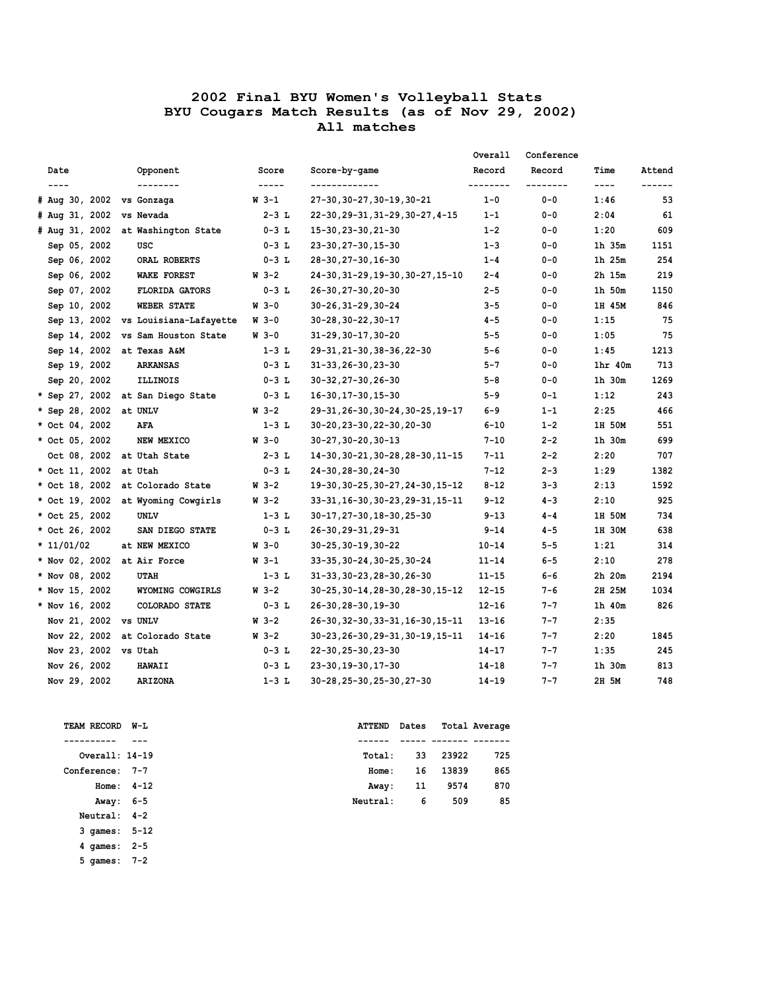|                             |                                     |             |                                   | Overall   | Conference |                                                                                                                                                                                                                                                                                                                                                                                              |        |
|-----------------------------|-------------------------------------|-------------|-----------------------------------|-----------|------------|----------------------------------------------------------------------------------------------------------------------------------------------------------------------------------------------------------------------------------------------------------------------------------------------------------------------------------------------------------------------------------------------|--------|
| Date                        | Opponent                            | Score       | Score-by-game                     | Record    | Record     | Time                                                                                                                                                                                                                                                                                                                                                                                         | Attend |
| $---$                       | --------                            | -----       | -------------                     | --------  | --------   | $\frac{1}{2} \frac{1}{2} \frac{1}{2} \frac{1}{2} \frac{1}{2} \frac{1}{2} \frac{1}{2} \frac{1}{2} \frac{1}{2} \frac{1}{2} \frac{1}{2} \frac{1}{2} \frac{1}{2} \frac{1}{2} \frac{1}{2} \frac{1}{2} \frac{1}{2} \frac{1}{2} \frac{1}{2} \frac{1}{2} \frac{1}{2} \frac{1}{2} \frac{1}{2} \frac{1}{2} \frac{1}{2} \frac{1}{2} \frac{1}{2} \frac{1}{2} \frac{1}{2} \frac{1}{2} \frac{1}{2} \frac{$ |        |
| # Aug 30, 2002 vs Gonzaga   |                                     | W 3-1       | 27-30, 30-27, 30-19, 30-21        | $1 - 0$   | $0 - 0$    | 1:46                                                                                                                                                                                                                                                                                                                                                                                         | 53     |
| # Aug 31, 2002 vs Nevada    |                                     | $2 - 3$ L   | 22-30, 29-31, 31-29, 30-27, 4-15  | $1 - 1$   | $0 - 0$    | 2:04                                                                                                                                                                                                                                                                                                                                                                                         | 61     |
|                             | # Aug 31, 2002 at Washington State  | $0 - 3$ L   | 15-30, 23-30, 21-30               | $1 - 2$   | $0 - 0$    | 1:20                                                                                                                                                                                                                                                                                                                                                                                         | 609    |
| Sep 05, 2002                | USC                                 | $0-3$ L     | 23-30, 27-30, 15-30               | $1 - 3$   | $0 - 0$    | 1h 35m                                                                                                                                                                                                                                                                                                                                                                                       | 1151   |
| Sep 06, 2002                | ORAL ROBERTS                        | $0 - 3$ L   | 28-30, 27-30, 16-30               | $1 - 4$   | $0 - 0$    | 1h 25m                                                                                                                                                                                                                                                                                                                                                                                       | 254    |
| Sep 06, 2002                | <b>WAKE FOREST</b>                  | $W = 3 - 2$ | 24-30, 31-29, 19-30, 30-27, 15-10 | $2 - 4$   | $0 - 0$    | 2h 15m                                                                                                                                                                                                                                                                                                                                                                                       | 219    |
| Sep 07, 2002                | <b>FLORIDA GATORS</b>               | $0-3$ L     | 26-30, 27-30, 20-30               | $2 - 5$   | $0 - 0$    | 1h 50m                                                                                                                                                                                                                                                                                                                                                                                       | 1150   |
| Sep 10, 2002                | WEBER STATE                         | $W_3 - 0$   | 30-26,31-29,30-24                 | $3 - 5$   | $0 - 0$    | 1H 45M                                                                                                                                                                                                                                                                                                                                                                                       | 846    |
|                             | Sep 13, 2002 vs Louisiana-Lafayette | W 3-0       | 30-28,30-22,30-17                 | 4-5       | 0-0        | 1:15                                                                                                                                                                                                                                                                                                                                                                                         | 75     |
|                             | Sep 14, 2002 vs Sam Houston State   | W 3-0       | 31-29,30-17,30-20                 | $5 - 5$   | $0 - 0$    | 1:05                                                                                                                                                                                                                                                                                                                                                                                         | 75     |
| Sep 14, 2002 at Texas A&M   |                                     | $1 - 3$ L   | 29-31, 21-30, 38-36, 22-30        | $5 - 6$   | $0 - 0$    | 1:45                                                                                                                                                                                                                                                                                                                                                                                         | 1213   |
| Sep 19, 2002                | <b>ARKANSAS</b>                     | $0 - 3$ L   | $31 - 33, 26 - 30, 23 - 30$       | $5 - 7$   | $0 - 0$    | 1 <sub>hr</sub> 40 <sub>m</sub>                                                                                                                                                                                                                                                                                                                                                              | 713    |
| Sep 20, 2002                | ILLINOIS                            | $0 - 3$ L   | 30-32, 27-30, 26-30               | $5 - 8$   | $0 - 0$    | $1h$ 30 $m$                                                                                                                                                                                                                                                                                                                                                                                  | 1269   |
|                             | * Sep 27, 2002 at San Diego State   | $0 - 3$ L   | 16-30, 17-30, 15-30               | 5-9       | $0 - 1$    | 1:12                                                                                                                                                                                                                                                                                                                                                                                         | 243    |
| * Sep 28, 2002 at UNLV      |                                     | $W_3-2$     | 29-31, 26-30, 30-24, 30-25, 19-17 | $6 - 9$   | $1 - 1$    | 2:25                                                                                                                                                                                                                                                                                                                                                                                         | 466    |
| * Oct 04, 2002              | AFA                                 | $1-3$ L     | 30-20, 23-30, 22-30, 20-30        | $6 - 10$  | $1 - 2$    | 1H 50M                                                                                                                                                                                                                                                                                                                                                                                       | 551    |
| * Oct 05, 2002              | NEW MEXICO                          | W 3-0       | 30-27, 30-20, 30-13               | $7 - 10$  | 2-2        | 1h 30m                                                                                                                                                                                                                                                                                                                                                                                       | 699    |
| Oct 08, 2002                | at Utah State                       | $2 - 3$ L   | 14-30, 30-21, 30-28, 28-30, 11-15 | $7 - 11$  | $2 - 2$    | 2:20                                                                                                                                                                                                                                                                                                                                                                                         | 707    |
| * Oct 11, 2002              | at Utah                             | $0 - 3$ L   | 24-30, 28-30, 24-30               | $7 - 12$  | $2 - 3$    | 1:29                                                                                                                                                                                                                                                                                                                                                                                         | 1382   |
|                             | * Oct 18, 2002 at Colorado State    | $W_3-2$     | 19-30, 30-25, 30-27, 24-30, 15-12 | $8 - 12$  | $3 - 3$    | 2:13                                                                                                                                                                                                                                                                                                                                                                                         | 1592   |
|                             | * Oct 19, 2002 at Wyoming Cowgirls  | W 3-2       | 33-31,16-30,30-23,29-31,15-11     | $9 - 12$  | $4 - 3$    | 2:10                                                                                                                                                                                                                                                                                                                                                                                         | 925    |
| * Oct 25, 2002              | <b>UNLV</b>                         | $1 - 3$ L   | 30-17, 27-30, 18-30, 25-30        | $9 - 13$  | $4 - 4$    | 1H 50M                                                                                                                                                                                                                                                                                                                                                                                       | 734    |
| * Oct 26, 2002              | SAN DIEGO STATE                     | $0 - 3$ L   | 26-30, 29-31, 29-31               | 9-14      | $4 - 5$    | 1H 30M                                                                                                                                                                                                                                                                                                                                                                                       | 638    |
| $* 11/01/02$                | at NEW MEXICO                       | $W_3 - 0$   | 30-25,30-19,30-22                 | $10 - 14$ | $5 - 5$    | 1:21                                                                                                                                                                                                                                                                                                                                                                                         | 314    |
| * Nov 02, 2002 at Air Force |                                     | $W_3 - 1$   | 33-35, 30-24, 30-25, 30-24        | $11 - 14$ | $6 - 5$    | 2:10                                                                                                                                                                                                                                                                                                                                                                                         | 278    |
| * Nov 08, 2002              | <b>UTAH</b>                         | $1-3$ L     | 31-33, 30-23, 28-30, 26-30        | $11 - 15$ | $6 - 6$    | 2h 20m                                                                                                                                                                                                                                                                                                                                                                                       | 2194   |
| * Nov 15, 2002              | WYOMING COWGIRLS                    | $W = 3 - 2$ | 30-25,30-14,28-30,28-30,15-12     | $12 - 15$ | 7-6        | 2H 25M                                                                                                                                                                                                                                                                                                                                                                                       | 1034   |
| * Nov 16, 2002              | COLORADO STATE                      | $0 - 3$ L   | 26-30, 28-30, 19-30               | $12 - 16$ | $7 - 7$    | 1h 40m                                                                                                                                                                                                                                                                                                                                                                                       | 826    |
| Nov 21, 2002 vs UNLV        |                                     | $W_3-2$     | 26-30, 32-30, 33-31, 16-30, 15-11 | $13 - 16$ | $7 - 7$    | 2:35                                                                                                                                                                                                                                                                                                                                                                                         |        |
|                             | Nov 22, 2002 at Colorado State      | W 3-2       | 30-23, 26-30, 29-31, 30-19, 15-11 | 14-16     | $7 - 7$    | 2:20                                                                                                                                                                                                                                                                                                                                                                                         | 1845   |
| Nov 23, 2002 vs Utah        |                                     | $0 - 3$ L   | 22-30, 25-30, 23-30               | $14 - 17$ | $7 - 7$    | 1:35                                                                                                                                                                                                                                                                                                                                                                                         | 245    |
| Nov 26, 2002                | <b>HAWAII</b>                       | $0 - 3$ L   | 23-30, 19-30, 17-30               | $14 - 18$ | $7 - 7$    | 1h 30m                                                                                                                                                                                                                                                                                                                                                                                       | 813    |
| Nov 29, 2002                | <b>ARIZONA</b>                      | $1-3$ L     | 30-28,25-30,25-30,27-30           | $14 - 19$ | $7 - 7$    | 2H 5M                                                                                                                                                                                                                                                                                                                                                                                        | 748    |

| <b>TEAM RECORD</b> | W-L      |
|--------------------|----------|
|                    |          |
| Overall: 14-19     |          |
| Conference:        | $7 - 7$  |
| Home:              | $4 - 12$ |
| Away: 6-5          |          |
| Neutral:           | $4 - 2$  |
| 3 games:           | $5 - 12$ |
| 4 games:           | $2 - 5$  |
| 5 games:           | $7 - 2$  |

| TEAM RECORD W-L |              | ATTEND Dates |    |          | Total Average |
|-----------------|--------------|--------------|----|----------|---------------|
|                 | ---          |              |    |          |               |
| Overall: 14-19  |              | Total:       |    | 33 23922 | 725           |
| Conference: 7-7 |              | Home:        |    | 16 13839 | 865           |
|                 | Home: $4-12$ | Away:        | 11 | 9574     | 870           |
| Away: 6-5       |              | Neutral:     | 6  | 509      | 85            |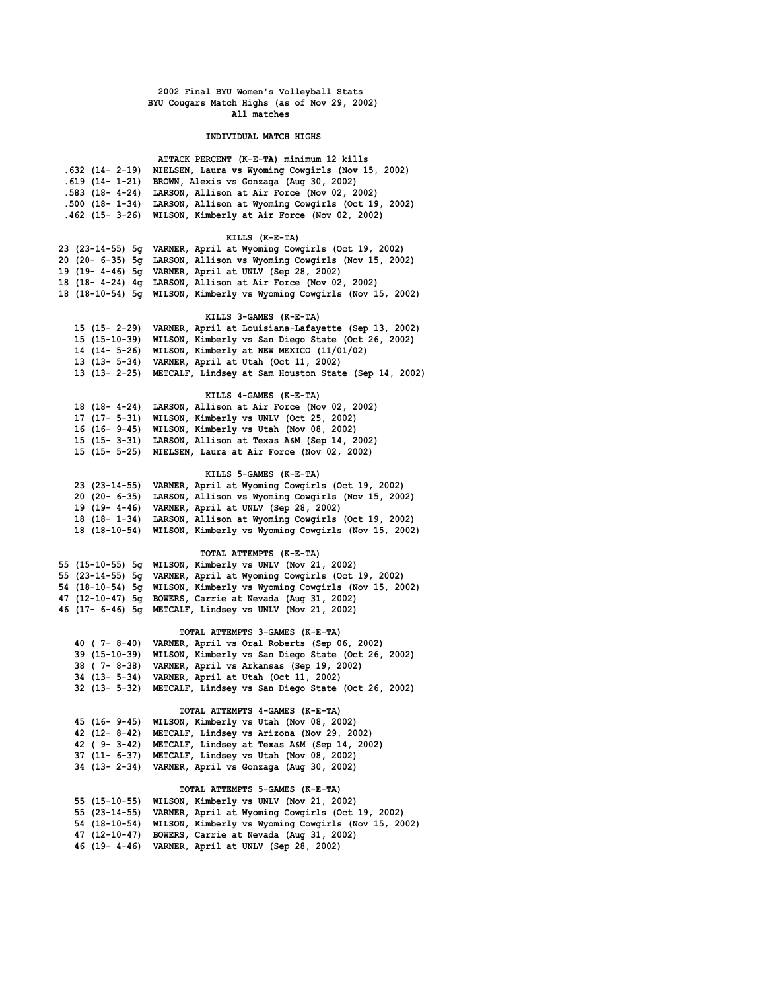### **INDIVIDUAL MATCH HIGHS**

| ATTACK PERCENT (K-E-TA) minimum 12 kills                           |
|--------------------------------------------------------------------|
| .632 (14- 2-19) NIELSEN, Laura vs Wyoming Cowgirls (Nov 15, 2002)  |
| .619 (14- 1-21) BROWN, Alexis vs Gonzaga (Aug 30, 2002)            |
| .583 (18- 4-24) LARSON, Allison at Air Force (Nov 02, 2002)        |
| .500 (18- 1-34) LARSON, Allison at Wyoming Cowgirls (Oct 19, 2002) |
| .462 (15- 3-26) WILSON, Kimberly at Air Force (Nov 02, 2002)       |

## **KILLS (K-E-TA)**

|  | 23 (23-14-55) 5q VARNER, April at Wyoming Cowgirls (Oct 19, 2002)    |
|--|----------------------------------------------------------------------|
|  | 20 (20- 6-35) 5q LARSON, Allison vs Wyoming Cowgirls (Nov 15, 2002)  |
|  | 19 (19- 4-46) 5q VARNER, April at UNLV (Sep 28, 2002)                |
|  | 18 (18- 4-24) 4g LARSON, Allison at Air Force (Nov 02, 2002)         |
|  | 18 (18-10-54) 5q WILSON, Kimberly vs Wyoming Cowgirls (Nov 15, 2002) |

## **KILLS 3-GAMES (K-E-TA)**

| 15 (15 - 2-29) VARNER, April at Louisiana-Lafayette (Sep 13, 2002) |
|--------------------------------------------------------------------|
| 15 (15-10-39) WILSON, Kimberly vs San Diego State (Oct 26, 2002)   |
| 14 (14- 5-26) WILSON, Kimberly at NEW MEXICO (11/01/02)            |
| 13 (13- 5-34) VARNER, April at Utah (Oct 11, 2002)                 |
| 13 (13- 2-25) METCALF, Lindsey at Sam Houston State (Sep 14, 2002) |

### **KILLS 4-GAMES (K-E-TA)**

| 18 (18- 4-24) LARSON, Allison at Air Force (Nov 02, 2002) |  |
|-----------------------------------------------------------|--|
| 17 (17- 5-31) WILSON, Kimberly vs UNLV (Oct 25, 2002)     |  |
| 16 (16- 9-45) WILSON, Kimberly vs Utah (Nov 08, 2002)     |  |
| 15 (15- 3-31) LARSON, Allison at Texas A&M (Sep 14, 2002) |  |
| 15 (15- 5-25) NIELSEN, Laura at Air Force (Nov 02, 2002)  |  |
|                                                           |  |

#### **KILLS 5-GAMES (K-E-TA)**

|  | 23 (23-14-55) VARNER, April at Wyoming Cowgirls (Oct 19, 2002)    |
|--|-------------------------------------------------------------------|
|  | 20 (20 - 6-35) LARSON, Allison vs Wyoming Cowgirls (Nov 15, 2002) |
|  | 19 (19- 4-46) VARNER, April at UNLV (Sep 28, 2002)                |
|  | 18 (18-1-34) LARSON, Allison at Wyoming Cowgirls (Oct 19, 2002)   |
|  | 18 (18-10-54) WILSON, Kimberly vs Wyoming Cowgirls (Nov 15, 2002) |

## **TOTAL ATTEMPTS (K-E-TA)**

|  | 55 (15-10-55) 5q WILSON, Kimberly vs UNLV (Nov 21, 2002)             |
|--|----------------------------------------------------------------------|
|  | 55 (23-14-55) 5q VARNER, April at Wyoming Cowgirls (Oct 19, 2002)    |
|  | 54 (18-10-54) 5g WILSON, Kimberly vs Wyoming Cowgirls (Nov 15, 2002) |
|  | 47 (12-10-47) 5g BOWERS, Carrie at Nevada (Aug 31, 2002)             |
|  | 46 (17- 6-46) 5q METCALF, Lindsey vs UNLV (Nov 21, 2002)             |

## **TOTAL ATTEMPTS 3-GAMES (K-E-TA)**

| 40 (7-8-40) VARNER, April vs Oral Roberts (Sep 06, 2002)         |
|------------------------------------------------------------------|
| 39 (15-10-39) WILSON, Kimberly vs San Diego State (Oct 26, 2002) |
| 38 (7-8-38) VARNER, April vs Arkansas (Sep 19, 2002)             |
| 34 (13- 5-34) VARNER, April at Utah (Oct 11, 2002)               |
| 32 (13- 5-32) METCALF, Lindsey vs San Diego State (Oct 26, 2002) |

### **TOTAL ATTEMPTS 4-GAMES (K-E-TA)**

| 45 (16-9-45)          | WILSON, Kimberly vs Utah (Nov 08, 2002)                        |
|-----------------------|----------------------------------------------------------------|
| $42(12 - 8 - 42)$     | METCALF, Lindsey vs Arizona (Nov 29, 2002)                     |
| $42$ ( $9 - 3 - 42$ ) | METCALF, Lindsey at Texas A&M (Sep 14, 2002)                   |
|                       | 37 (11- 6-37) METCALF, Lindsey vs Utah (Nov 08, 2002)          |
|                       | 34 (13- 2-34) VARNER, April vs Gonzaga (Aug 30, 2002)          |
|                       |                                                                |
|                       | TOTAL ATTEMPTS 5-GAMES (K-E-TA)                                |
| 55 (15-10-55)         | WILSON, Kimberly vs UNLV (Nov 21, 2002)                        |
|                       | 55 (23-14-55) VARNER, April at Wyoming Cowgirls (Oct 19, 2002) |
| 54 (18-10-54)         | WILSON, Kimberly vs Wyoming Cowgirls (Nov 15, 2002)            |
| 47 (12-10-47)         | BOWERS, Carrie at Nevada (Aug 31, 2002)                        |

 **46 (19- 4-46) VARNER, April at UNLV (Sep 28, 2002)**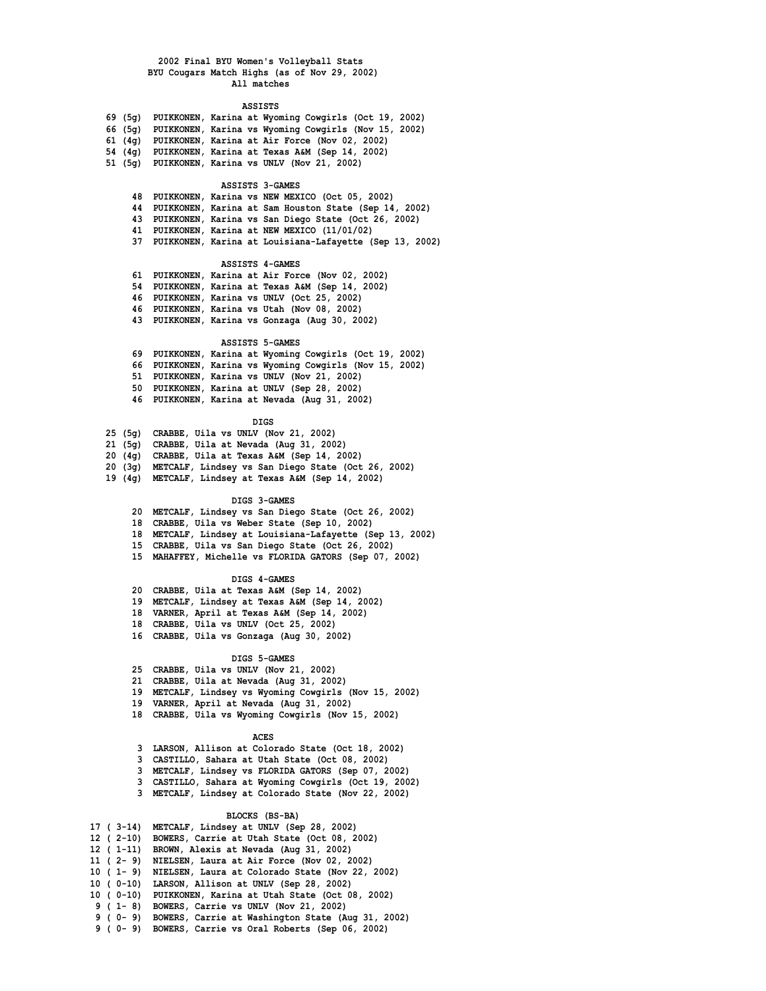#### **ASSISTS**

| 69 (5σ) |  | PUIKKONEN, Karina at Wyoming Cowgirls (Oct 19, 2002)  |  |  |
|---------|--|-------------------------------------------------------|--|--|
| 66 (5σ) |  | PUIKKONEN, Karina vs Wyoming Cowgirls (Nov 15, 2002)  |  |  |
|         |  | 61 (4g) PUIKKONEN, Karina at Air Force (Nov 02, 2002) |  |  |
|         |  | 54 (4g) PUIKKONEN, Karina at Texas A&M (Sep 14, 2002) |  |  |
| 51 (5a) |  | PUIKKONEN, Karina vs UNLV (Nov 21, 2002)              |  |  |

### **ASSISTS 3-GAMES**

|     | 48 PUIKKONEN, Karina vs NEW MEXICO (Oct 05, 2002)        |  |
|-----|----------------------------------------------------------|--|
|     | 44 PUIKKONEN, Karina at Sam Houston State (Sep 14, 2002) |  |
|     | 43 PUIKKONEN, Karina vs San Diego State (Oct 26, 2002)   |  |
|     | 41 PUIKKONEN, Karina at NEW MEXICO (11/01/02)            |  |
| 37. | PUIKKONEN, Karina at Louisiana-Lafayette (Sep 13, 2002)  |  |

### **ASSISTS 4-GAMES**

 **61 PUIKKONEN, Karina at Air Force (Nov 02, 2002) 54 PUIKKONEN, Karina at Texas A&M (Sep 14, 2002) 46 PUIKKONEN, Karina vs UNLV (Oct 25, 2002) 46 PUIKKONEN, Karina vs Utah (Nov 08, 2002) 43 PUIKKONEN, Karina vs Gonzaga (Aug 30, 2002)**

### **ASSISTS 5-GAMES**

| 69 PUIKKONEN, Karina at Wyoming Cowgirls (Oct 19, 2002) |  |  |  |
|---------------------------------------------------------|--|--|--|
| 66 PUIKKONEN, Karina vs Wyoming Cowgirls (Nov 15, 2002) |  |  |  |
| 51 PUIKKONEN, Karina vs UNLV (Nov 21, 2002)             |  |  |  |
| 50 PUIKKONEN, Karina at UNLV (Sep 28, 2002)             |  |  |  |
| 46 PUIKKONEN, Karina at Nevada (Aug 31, 2002)           |  |  |  |

### **DIGS**

|  |  | 25 (5g) CRABBE, Uila vs UNLV (Nov 21, 2002) |  |  |  |  |  |  |
|--|--|---------------------------------------------|--|--|--|--|--|--|
|--|--|---------------------------------------------|--|--|--|--|--|--|

- **21 (5g) CRABBE, Uila at Nevada (Aug 31, 2002)**
- **20 (4g) CRABBE, Uila at Texas A&M (Sep 14, 2002)**
- **20 (3g) METCALF, Lindsey vs San Diego State (Oct 26, 2002)**
- **19 (4g) METCALF, Lindsey at Texas A&M (Sep 14, 2002)**

#### **DIGS 3-GAMES**

- **20 METCALF, Lindsey vs San Diego State (Oct 26, 2002)**
- **18 CRABBE, Uila vs Weber State (Sep 10, 2002)**
- **18 METCALF, Lindsey at Louisiana-Lafayette (Sep 13, 2002)**
- **15 CRABBE, Uila vs San Diego State (Oct 26, 2002)**
- **15 MAHAFFEY, Michelle vs FLORIDA GATORS (Sep 07, 2002)**

### **DIGS 4-GAMES**

- **20 CRABBE, Uila at Texas A&M (Sep 14, 2002)**
- **19 METCALF, Lindsey at Texas A&M (Sep 14, 2002)**
- **18 VARNER, April at Texas A&M (Sep 14, 2002)**
- **18 CRABBE, Uila vs UNLV (Oct 25, 2002)**
- **16 CRABBE, Uila vs Gonzaga (Aug 30, 2002)**

## **DIGS 5-GAMES**

- **25 CRABBE, Uila vs UNLV (Nov 21, 2002)**
- **21 CRABBE, Uila at Nevada (Aug 31, 2002)**
- **19 METCALF, Lindsey vs Wyoming Cowgirls (Nov 15, 2002)**
- **19 VARNER, April at Nevada (Aug 31, 2002)**
- **18 CRABBE, Uila vs Wyoming Cowgirls (Nov 15, 2002)**

#### **ACES**

- **3 LARSON, Allison at Colorado State (Oct 18, 2002)**
- **3 CASTILLO, Sahara at Utah State (Oct 08, 2002)**
- **3 METCALF, Lindsey vs FLORIDA GATORS (Sep 07, 2002)**
- **3 CASTILLO, Sahara at Wyoming Cowgirls (Oct 19, 2002)**
- **3 METCALF, Lindsey at Colorado State (Nov 22, 2002)**

### **BLOCKS (BS-BA)**

| 17 (3-14)  | METCALF, Lindsey at UNLV (Sep 28, 2002)                  |
|------------|----------------------------------------------------------|
|            | 12 (2-10) BOWERS, Carrie at Utah State (Oct 08, 2002)    |
|            | 12 (1-11) BROWN, Alexis at Nevada (Aug 31, 2002)         |
|            | 11 (2-9) NIELSEN, Laura at Air Force (Nov 02, 2002)      |
|            | 10 (1-9) NIELSEN, Laura at Colorado State (Nov 22, 2002) |
|            | 10 (0-10) LARSON, Allison at UNLV (Sep 28, 2002)         |
|            | 10 (0-10) PUIKKONEN, Karina at Utah State (Oct 08, 2002) |
| $9(1 - 8)$ | BOWERS, Carrie vs UNLV (Nov 21, 2002)                    |
| 9 ( 0 – 9) | BOWERS, Carrie at Washington State (Aug 31, 2002)        |
|            | 9 (0-9) BOWERS, Carrie vs Oral Roberts (Sep 06, 2002)    |
|            |                                                          |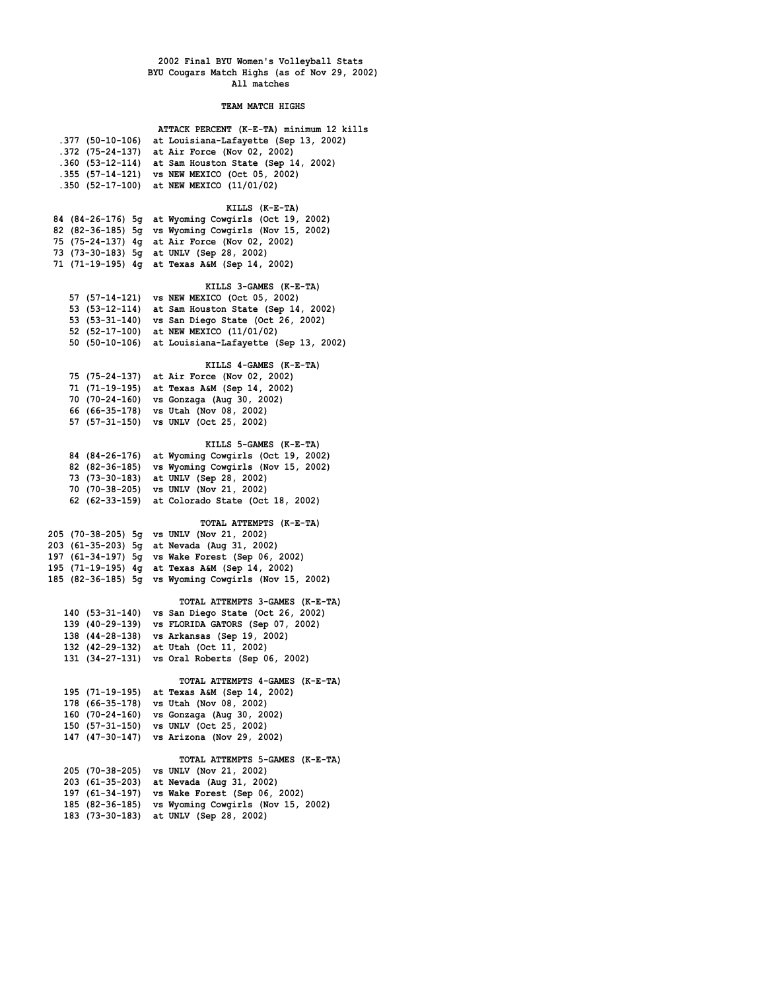**TEAM MATCH HIGHS**

|                                    | ATTACK PERCENT (K-E-TA) minimum 12 kills                                             |
|------------------------------------|--------------------------------------------------------------------------------------|
| .377 (50-10-106)                   | at Louisiana-Lafayette (Sep 13, 2002)                                                |
|                                    | .372 (75-24-137) at Air Force (Nov 02, 2002)                                         |
|                                    | .360 (53-12-114) at Sam Houston State (Sep 14, 2002)                                 |
|                                    | .355 (57-14-121) vs NEW MEXICO (Oct 05, 2002)                                        |
|                                    | .350 (52-17-100) at NEW MEXICO (11/01/02)                                            |
|                                    | KILLS (K-E-TA)                                                                       |
|                                    | 84 (84-26-176) 5g at Wyoming Cowgirls (Oct 19, 2002)                                 |
|                                    | 82 (82-36-185) 5g vs Wyoming Cowgirls (Nov 15, 2002)                                 |
|                                    | 75 (75-24-137) 4g at Air Force (Nov 02, 2002)                                        |
|                                    | 73 (73-30-183) 5g at UNLV (Sep 28, 2002)                                             |
|                                    | 71 (71-19-195) 4g at Texas A&M (Sep 14, 2002)                                        |
|                                    | KILLS 3-GAMES (K-E-TA)                                                               |
|                                    | 57 (57-14-121) vs NEW MEXICO (Oct 05, 2002)                                          |
|                                    | 53 (53-12-114) at Sam Houston State (Sep 14, 2002)                                   |
|                                    | 53 (53-31-140) vs San Diego State (Oct 26, 2002)                                     |
|                                    | 52 (52-17-100) at NEW MEXICO (11/01/02)                                              |
|                                    | 50 (50-10-106) at Louisiana-Lafayette (Sep 13, 2002)                                 |
|                                    | KILLS 4-GAMES (K-E-TA)                                                               |
|                                    | 75 (75-24-137) at Air Force (Nov 02, 2002)                                           |
|                                    | 71 (71-19-195) at Texas A&M (Sep 14, 2002)                                           |
|                                    | 70 (70-24-160) vs Gonzaga (Aug 30, 2002)                                             |
|                                    | 66 (66-35-178) vs Utah (Nov 08, 2002)                                                |
|                                    | 57 (57-31-150) vs UNLV (Oct 25, 2002)                                                |
|                                    |                                                                                      |
|                                    | KILLS 5-GAMES (K-E-TA)<br>84 (84-26-176) at Wyoming Cowgirls (Oct 19, 2002)          |
| 82 (82-36-185)                     | vs Wyoming Cowgirls (Nov 15, 2002)                                                   |
|                                    | 73 (73-30-183) at UNLV (Sep 28, 2002)                                                |
|                                    | 70 (70-38-205) vs UNLV (Nov 21, 2002)                                                |
|                                    | 62 (62-33-159) at Colorado State (Oct 18, 2002)                                      |
|                                    |                                                                                      |
|                                    | TOTAL ATTEMPTS (K-E-TA)<br>205 (70-38-205) 5g vs UNLV (Nov 21, 2002)                 |
|                                    | 203 (61-35-203) 5g at Nevada (Aug 31, 2002)                                          |
|                                    | 197 (61-34-197) 5g vs Wake Forest (Sep 06, 2002)                                     |
|                                    | 195 (71-19-195) 4g at Texas A&M (Sep 14, 2002)                                       |
|                                    | 185 (82-36-185) 5g vs Wyoming Cowgirls (Nov 15, 2002)                                |
|                                    |                                                                                      |
|                                    | TOTAL ATTEMPTS 3-GAMES (K-E-TA)                                                      |
|                                    | 140 (53-31-140) vs San Diego State (Oct 26, 2002)                                    |
|                                    | 139 (40-29-139) vs FLORIDA GATORS (Sep 07, 2002)                                     |
|                                    | 138 (44-28-138) vs Arkansas (Sep 19, 2002)<br>132 (42-29-132) at Utah (Oct 11, 2002) |
|                                    | 131 (34-27-131) vs Oral Roberts (Sep 06, 2002)                                       |
|                                    |                                                                                      |
|                                    | TOTAL ATTEMPTS 4-GAMES (K-E-TA)                                                      |
| 195 (71-19-195)                    | at Texas A&M (Sep 14, 2002)                                                          |
| 178 (66-35-178)                    | vs Utah (Nov 08, 2002)                                                               |
| 160 (70-24-160)<br>150 (57-31-150) | vs Gonzaga (Aug 30, 2002)<br>vs UNLV (Oct 25, 2002)                                  |
| 147 (47-30-147)                    | vs Arizona (Nov 29, 2002)                                                            |
|                                    |                                                                                      |
|                                    | TOTAL ATTEMPTS 5-GAMES (K-E-TA)                                                      |
| 205 (70-38-205)                    | vs UNLV (Nov 21, 2002)                                                               |
| 203 (61-35-203)                    | at Nevada (Aug 31, 2002)                                                             |
| 197 (61-34-197)                    | vs Wake Forest (Sep 06, 2002)<br>vs Wyoming Cowgirls (Nov 15, 2002)                  |
| 185 (82-36-185)<br>183 (73-30-183) | at UNLV (Sep 28, 2002)                                                               |
|                                    |                                                                                      |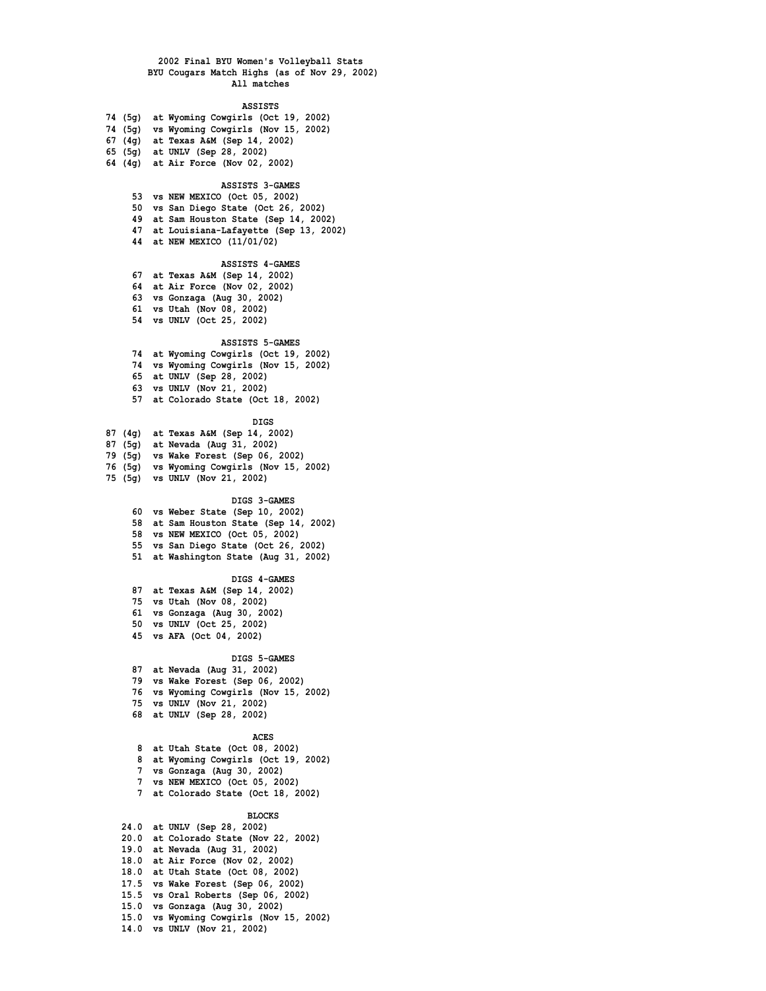## **ASSISTS**

|  | 74 (5g) at Wyoming Cowgirls (Oct 19, 2002) |  |
|--|--------------------------------------------|--|
|  | 74 (5g) vs Wyoming Cowgirls (Nov 15, 2002) |  |

- **67 (4g) at Texas A&M (Sep 14, 2002)**
- **65 (5g) at UNLV (Sep 28, 2002)**
- **64 (4g) at Air Force (Nov 02, 2002)**

### **ASSISTS 3-GAMES**

- **53 vs NEW MEXICO (Oct 05, 2002)**
- **50 vs San Diego State (Oct 26, 2002)**
- **49 at Sam Houston State (Sep 14, 2002)**
- **47 at Louisiana-Lafayette (Sep 13, 2002)**
- **44 at NEW MEXICO (11/01/02)**

### **ASSISTS 4-GAMES**

- **67 at Texas A&M (Sep 14, 2002)**
- **64 at Air Force (Nov 02, 2002)**
- **63 vs Gonzaga (Aug 30, 2002)**
- **61 vs Utah (Nov 08, 2002)**
- **54 vs UNLV (Oct 25, 2002)**

### **ASSISTS 5-GAMES**

- **74 at Wyoming Cowgirls (Oct 19, 2002) 74 vs Wyoming Cowgirls (Nov 15, 2002)**
- **65 at UNLV (Sep 28, 2002)**
- **63 vs UNLV (Nov 21, 2002)**
- **57 at Colorado State (Oct 18, 2002)**

### **DIGS**

- **87 (4g) at Texas A&M (Sep 14, 2002)**
- **87 (5g) at Nevada (Aug 31, 2002)**
- **79 (5g) vs Wake Forest (Sep 06, 2002)**
- **76 (5g) vs Wyoming Cowgirls (Nov 15, 2002)**
- **75 (5g) vs UNLV (Nov 21, 2002)**

### **DIGS 3-GAMES**

- **60 vs Weber State (Sep 10, 2002)**
- **58 at Sam Houston State (Sep 14, 2002)**
- **58 vs NEW MEXICO (Oct 05, 2002)**
- **55 vs San Diego State (Oct 26, 2002)**
- **51 at Washington State (Aug 31, 2002)**

#### **DIGS 4-GAMES**

- **87 at Texas A&M (Sep 14, 2002)**
- **75 vs Utah (Nov 08, 2002)**
- **61 vs Gonzaga (Aug 30, 2002)**
- **50 vs UNLV (Oct 25, 2002)**
- **45 vs AFA (Oct 04, 2002)**

## **DIGS 5-GAMES**

- **87 at Nevada (Aug 31, 2002)**
- **79 vs Wake Forest (Sep 06, 2002)**
- **76 vs Wyoming Cowgirls (Nov 15, 2002)**
- **75 vs UNLV (Nov 21, 2002)**
- **68 at UNLV (Sep 28, 2002)**

#### **ACES**

- **8 at Utah State (Oct 08, 2002)**
- **8 at Wyoming Cowgirls (Oct 19, 2002)**
- **7 vs Gonzaga (Aug 30, 2002)**
- **7 vs NEW MEXICO (Oct 05, 2002)**
- **7 at Colorado State (Oct 18, 2002)**

#### **BLOCKS**

 **24.0 at UNLV (Sep 28, 2002) 20.0 at Colorado State (Nov 22, 2002) 19.0 at Nevada (Aug 31, 2002) 18.0 at Air Force (Nov 02, 2002) 18.0 at Utah State (Oct 08, 2002) 17.5 vs Wake Forest (Sep 06, 2002) 15.5 vs Oral Roberts (Sep 06, 2002) 15.0 vs Gonzaga (Aug 30, 2002) 15.0 vs Wyoming Cowgirls (Nov 15, 2002) 14.0 vs UNLV (Nov 21, 2002)**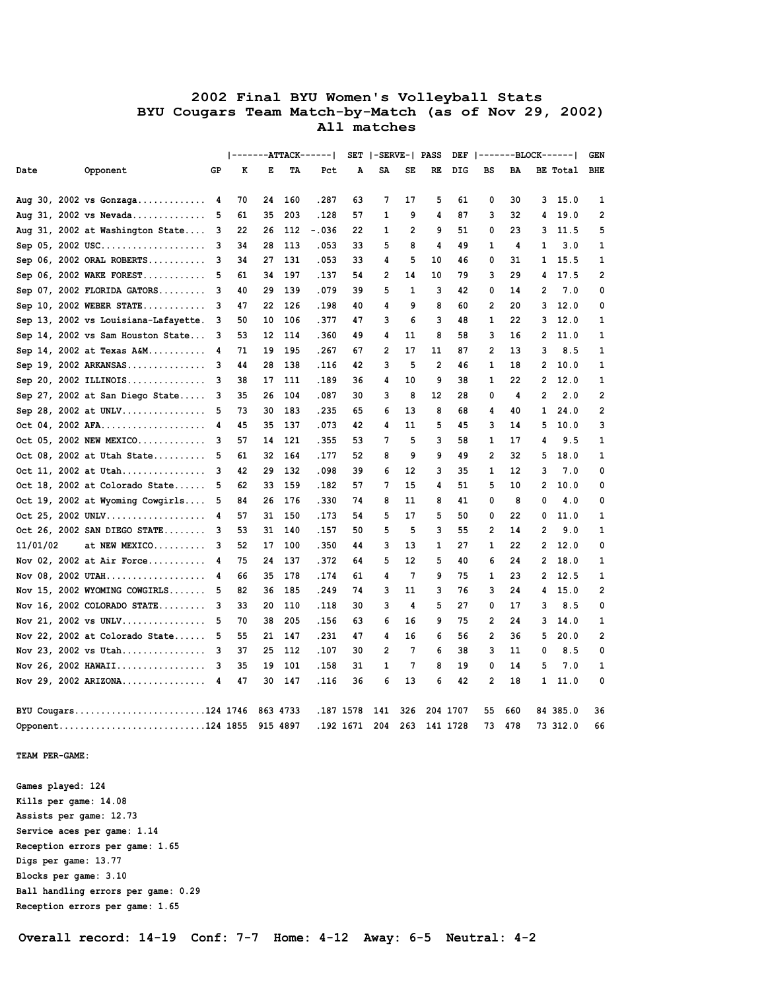|          |                                      |    |    |          |          | -------ATTACK------ |               | SET  -SERVE-  PASS |     |                |          |                |     |                | DEF  -------BLOCK------ | <b>GEN</b>     |
|----------|--------------------------------------|----|----|----------|----------|---------------------|---------------|--------------------|-----|----------------|----------|----------------|-----|----------------|-------------------------|----------------|
| Date     | Opponent                             | GP | к  | Е        | TА       | Pct                 | A             | SA                 | SE  | RE             | DIG      | BS             | BA  |                | BE Total                | <b>BHE</b>     |
|          |                                      |    |    |          |          |                     |               |                    |     |                |          |                |     |                |                         |                |
|          | Aug 30, 2002 vs Gonzaga              | 4  | 70 | 24       | 160      | .287                | 63            | 7                  | 17  | 5              | 61       | 0              | 30  | 3              | 15.0                    | 1              |
|          | Aug 31, 2002 vs Nevada               | 5  | 61 | 35       | 203      | .128                | 57            | 1                  | 9   | 4              | 87       | 3              | 32  | 4              | 19.0                    | 2              |
|          | Aug 31, 2002 at Washington State     | 3  | 22 | 26       | 112      | $-.036$             | 22            | 1                  | 2   | 9              | 51       | 0              | 23  | 3              | 11.5                    | 5              |
|          | Sep 05, 2002 USC                     | з  | 34 | 28       | 113      | .053                | 33            | 5                  | 8   | 4              | 49       | 1              | 4   | 1              | 3.0                     | 1              |
|          | Sep $06$ , 2002 ORAL ROBERTS         | 3  | 34 | 27       | 131      | .053                | 33            | 4                  | 5   | 10             | 46       | 0              | 31  | 1              | 15.5                    | 1              |
|          | Sep $06, 2002$ WAKE FOREST           | 5  | 61 | 34       | 197      | .137                | 54            | 2                  | 14  | 10             | 79       | 3              | 29  | 4              | 17.5                    | $\overline{2}$ |
|          | Sep $07$ , 2002 FLORIDA GATORS       | з  | 40 | 29       | 139      | .079                | 39            | 5                  | 1   | 3              | 42       | 0              | 14  | 2              | 7.0                     | 0              |
|          | Sep 10, 2002 WEBER STATE             | 3  | 47 | 22       | 126      | .198                | 40            | 4                  | 9   | 8              | 60       | 2              | 20  | 3              | 12.0                    | 0              |
|          | Sep 13, 2002 vs Louisiana-Lafayette. | 3  | 50 | 10       | 106      | .377                | 47            | 3                  | 6   | 3              | 48       | 1              | 22  | 3              | 12.0                    | 1              |
|          | Sep 14, 2002 vs Sam Houston State    | 3  | 53 | 12       | 114      | .360                | 49            | 4                  | 11  | 8              | 58       | 3              | 16  | 2              | 11.0                    | 1              |
|          | Sep 14, 2002 at Texas $A\&M$         | 4  | 71 | 19       | 195      | .267                | 67            | 2                  | 17  | 11             | 87       | 2              | 13  | 3              | 8.5                     | 1              |
|          | Sep 19, 2002 ARKANSAS                | 3  | 44 | 28       | 138      | .116                | 42            | 3                  | 5   | $\overline{2}$ | 46       | 1              | 18  | $\overline{2}$ | 10.0                    | 1              |
|          | Sep 20, 2002 ILLINOIS                | 3  | 38 | 17       | 111      | .189                | 36            | 4                  | 10  | 9              | 38       | 1              | 22  | 2              | 12.0                    | 1              |
|          | Sep $27$ , $2002$ at San Diego State | 3  | 35 | 26       | 104      | .087                | 30            | 3                  | 8   | 12             | 28       | 0              | 4   | $\overline{2}$ | 2.0                     | 2              |
|          | Sep 28, 2002 at UNLV                 | 5  | 73 | 30       | 183      | .235                | 65            | 6                  | 13  | 8              | 68       | 4              | 40  | 1              | 24.0                    | 2              |
|          | Oct 04, 2002 AFA                     | 4  | 45 | 35       | 137      | .073                | 42            | 4                  | 11  | 5              | 45       | 3              | 14  | 5              | 10.0                    | 3              |
|          | Oct 05, 2002 NEW MEXICO              | з  | 57 | 14       | 121      | .355                | 53            | 7                  | 5   | 3              | 58       | 1              | 17  | 4              | 9.5                     | 1              |
|          | Oct 08, 2002 at Utah State           | 5  | 61 | 32       | 164      | .177                | 52            | 8                  | 9   | 9              | 49       | $\overline{2}$ | 32  | 5              | 18.0                    | 1              |
|          | Oct 11, 2002 at Utah                 | 3  | 42 | 29       | 132      | .098                | 39            | 6                  | 12  | з              | 35       | 1              | 12  | 3              | 7.0                     | 0              |
|          | Oct 18, 2002 at Colorado State       | 5  | 62 | 33       | 159      | . 182               | 57            | 7                  | 15  | 4              | 51       | 5              | 10  | 2              | 10.0                    | 0              |
|          | Oct 19, 2002 at Wyoming Cowgirls     | 5  | 84 | 26       | 176      | .330                | 74            | 8                  | 11  | 8              | 41       | 0              | 8   | 0              | 4.0                     | 0              |
|          | Oct 25, 2002 UNLV                    | 4  | 57 | 31       | 150      | . 173               | 54            | 5                  | 17  | 5              | 50       | 0              | 22  | 0              | 11.0                    | 1              |
|          | Oct 26, 2002 SAN DIEGO STATE         | 3  | 53 | 31       | 140      | .157                | 50            | 5                  | 5   | 3              | 55       | 2              | 14  | 2              | 9.0                     | 1              |
| 11/01/02 | at NEW MEXICO                        | 3  | 52 | 17       | 100      | .350                | 44            | 3                  | 13  | 1              | 27       | 1              | 22  | 2              | 12.0                    | 0              |
|          | Nov $02$ , 2002 at Air Force         | 4  | 75 | 24       | 137      | .372                | 64            | 5                  | 12  | 5              | 40       | 6              | 24  | 2              | 18.0                    | 1              |
|          | Nov 08, 2002 UTAH                    | 4  | 66 | 35       | 178      | . 174               | 61            | 4                  | 7   | 9              | 75       | 1              | 23  | 2              | 12.5                    | 1              |
|          | Nov 15, 2002 WYOMING COWGIRLS        | 5  | 82 | 36       | 185      | .249                | 74            | 3                  | 11  | 3              | 76       | 3              | 24  | 4              | 15.0                    | 2              |
|          | Nov $16$ , 2002 COLORADO STATE       | 3  | 33 | 20       | 110      | .118                | 30            | 3                  | 4   | 5              | 27       | 0              | 17  | 3              | 8.5                     | 0              |
|          | Nov 21, 2002 vs UNLV                 |    | 70 | 38       | 205      | .156                | 63            | 6                  | 16  | 9              | 75       | 2              | 24  | 3              | 14.0                    | 1              |
|          | Nov 22, 2002 at Colorado State       | 5  | 55 | 21       | 147      | .231                | 47            | 4                  | 16  | 6              | 56       | 2              | 36  | 5              | 20.0                    | 2              |
|          | Nov 23, 2002 vs Utah                 | 3  | 37 | 25       | 112      | .107                | 30            | $\overline{2}$     | 7   | 6              | 38       | 3              | 11  | 0              | 8.5                     | 0              |
|          | Nov 26, 2002 HAWAII                  | 3  | 35 | 19       | 101      | . 158               | 31            | 1                  | 7   | 8              | 19       | 0              | 14  | 5              | 7.0                     | 1              |
|          | Nov 29, 2002 ARIZONA                 | 4  | 47 | 30       | 147      | .116                | 36            | 6                  | 13  | 6              | 42       | 2              | 18  | 1              | 11.0                    | 0              |
|          |                                      |    |    |          |          |                     |               |                    |     |                |          |                |     |                |                         |                |
|          | BYU Cougars124 1746                  |    |    |          | 863 4733 | .187 1578           |               | 141                | 326 |                | 204 1707 | 55             | 660 |                | 84 385.0                | 36             |
|          | Opponent124 1855                     |    |    | 915 4897 |          |                     | .192 1671 204 |                    | 263 | 141 1728       |          | 73             | 478 |                | 73 312.0                | 66             |
|          |                                      |    |    |          |          |                     |               |                    |     |                |          |                |     |                |                         |                |

 **TEAM PER-GAME:**

 **Games played: 124 Kills per game: 14.08 Assists per game: 12.73 Service aces per game: 1.14 Reception errors per game: 1.65 Digs per game: 13.77 Blocks per game: 3.10 Ball handling errors per game: 0.29 Reception errors per game: 1.65**

 **Overall record: 14-19 Conf: 7-7 Home: 4-12 Away: 6-5 Neutral: 4-2**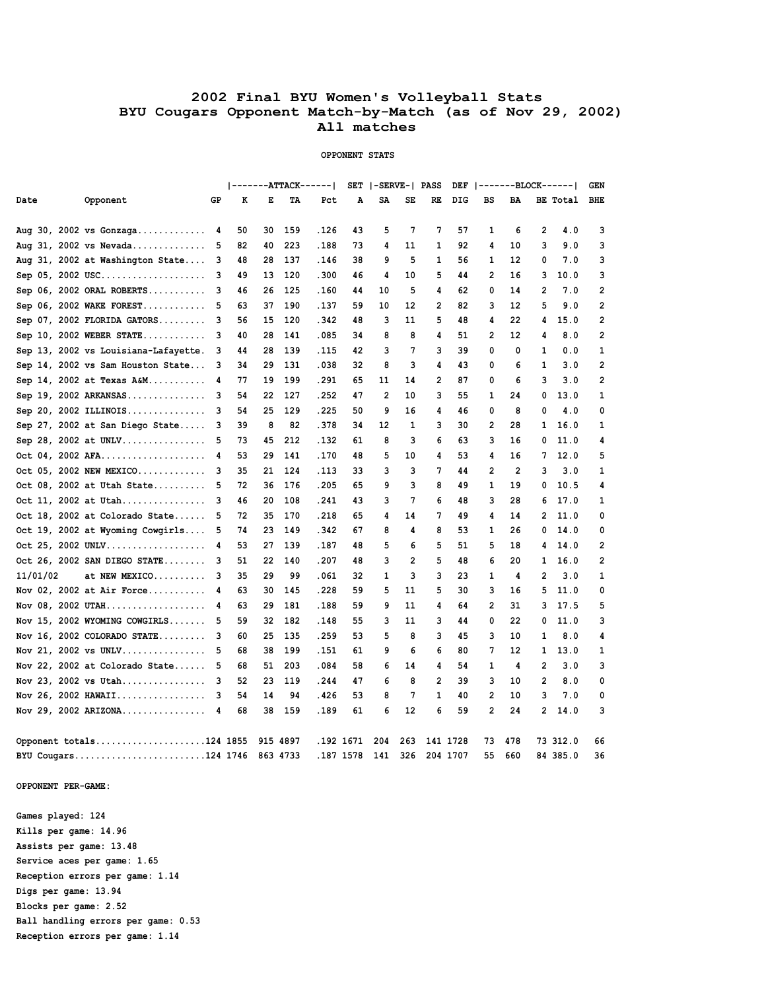## **2002 Final BYU Women's Volleyball Stats BYU Cougars Opponent Match-by-Match (as of Nov 29, 2002) All matches**

### **OPPONENT STATS**

|          |                                      |    |    |    |          | -------ATTACK------ |    | SET   -SERVE-  PASS |                |                |     |              |                |              | $DEF \   -- ----BLOCK---]$ | <b>GEN</b>     |
|----------|--------------------------------------|----|----|----|----------|---------------------|----|---------------------|----------------|----------------|-----|--------------|----------------|--------------|----------------------------|----------------|
| Date     | Opponent                             | GP | к  | Е  | TА       | Pct                 | A  | SA                  | SE             | RE             | DIG | BS           | BA             |              | BE Total                   | BHE            |
|          |                                      |    |    |    |          |                     |    |                     |                |                |     |              |                |              |                            |                |
|          | Aug 30, 2002 vs $Gonzaga$            | 4  | 50 | 30 | 159      | .126                | 43 | 5                   | 7              | 7              | 57  | 1            | 6              | 2            | 4.0                        | 3              |
|          | Aug 31, 2002 vs Nevada               | -5 | 82 | 40 | 223      | .188                | 73 | 4                   | 11             | 1              | 92  | 4            | 10             | 3            | 9.0                        | 3              |
|          | Aug 31, 2002 at Washington State     | 3  | 48 | 28 | 137      | . 146               | 38 | 9                   | 5              | 1              | 56  | 1            | 12             | 0            | 7.0                        | 3              |
|          | Sep 05, 2002 USC                     | з  | 49 | 13 | 120      | .300                | 46 | 4                   | 10             | 5              | 44  | 2            | 16             | 3            | 10.0                       | 3              |
|          | Sep $06, 2002$ ORAL ROBERTS          | 3  | 46 | 26 | 125      | .160                | 44 | 10                  | 5              | 4              | 62  | 0            | 14             | 2            | 7.0                        | 2              |
|          | Sep $06, 2002$ WAKE FOREST           |    | 63 | 37 | 190      | .137                | 59 | 10                  | 12             | $\overline{2}$ | 82  | 3            | 12             | 5            | 9.0                        | $\overline{2}$ |
|          | Sep $07$ , 2002 FLORIDA GATORS       | 3  | 56 | 15 | 120      | .342                | 48 | 3                   | 11             | 5              | 48  | 4            | 22             | 4            | 15.0                       | 2              |
|          | Sep 10, 2002 WEBER STATE             | 3  | 40 | 28 | 141      | .085                | 34 | 8                   | 8              | 4              | 51  | 2            | 12             | 4            | 8.0                        | 2              |
|          | Sep 13, 2002 vs Louisiana-Lafayette. | 3  | 44 | 28 | 139      | . 115               | 42 | 3                   | 7              | 3              | 39  | 0            | $\mathbf 0$    | 1            | 0.0                        | 1              |
|          | Sep 14, 2002 vs Sam Houston State    | 3  | 34 | 29 | 131      | .038                | 32 | 8                   | 3              | 4              | 43  | 0            | 6              | 1            | 3.0                        | $\overline{2}$ |
|          | Sep 14, 2002 at Texas A&M            | 4  | 77 | 19 | 199      | .291                | 65 | 11                  | 14             | 2              | 87  | 0            | 6              | 3            | 3.0                        | 2              |
|          | Sep 19, 2002 ARKANSAS                | 3  | 54 | 22 | 127      | .252                | 47 | $\overline{2}$      | 10             | 3              | 55  | 1            | 24             | 0            | 13.0                       | 1              |
|          | Sep 20, 2002 ILLINOIS                | з  | 54 | 25 | 129      | .225                | 50 | 9                   | 16             | 4              | 46  | 0            | 8              | 0            | 4.0                        | 0              |
|          | Sep 27, 2002 at San Diego State      | з  | 39 | 8  | 82       | .378                | 34 | 12                  | 1              | 3              | 30  | 2            | 28             | 1            | 16.0                       | 1              |
|          | Sep 28, 2002 at UNLV                 | 5  | 73 | 45 | 212      | .132                | 61 | 8                   | 3              | 6              | 63  | 3            | 16             | 0            | 11.0                       | 4              |
|          | Oct 04, 2002 AFA                     | 4  | 53 | 29 | 141      | .170                | 48 | 5                   | 10             | 4              | 53  | 4            | 16             | 7            | 12.0                       | 5              |
|          | Oct 05, 2002 NEW MEXICO              | 3  | 35 | 21 | 124      | . 113               | 33 | 3                   | 3              | 7              | 44  | 2            | $\overline{2}$ | 3            | 3.0                        | 1              |
|          | Oct 08, 2002 at Utah State           | 5  | 72 | 36 | 176      | .205                | 65 | 9                   | 3              | 8              | 49  | 1            | 19             | 0            | 10.5                       | 4              |
|          | Oct 11, 2002 at Utah                 | з  | 46 | 20 | 108      | .241                | 43 | 3                   | 7              | 6              | 48  | 3            | 28             | 6            | 17.0                       | 1              |
|          | Oct 18, 2002 at Colorado State       |    | 72 | 35 | 170      | .218                | 65 | 4                   | 14             | 7              | 49  | 4            | 14             | 2            | 11.0                       | 0              |
|          | Oct 19, 2002 at Wyoming Cowgirls     | 5  | 74 | 23 | 149      | .342                | 67 | 8                   | 4              | 8              | 53  | $\mathbf{1}$ | 26             | 0            | 14.0                       | 0              |
|          | Oct 25, 2002 UNLV                    | 4  | 53 | 27 | 139      | .187                | 48 | 5                   | 6              | 5              | 51  | 5            | 18             | 4            | 14.0                       | 2              |
|          | Oct 26, 2002 SAN DIEGO STATE         | 3  | 51 | 22 | 140      | .207                | 48 | 3                   | $\overline{2}$ | 5              | 48  | 6            | 20             | 1            | 16.0                       | $\overline{2}$ |
| 11/01/02 | at NEW MEXICO                        | 3  | 35 | 29 | 99       | .061                | 32 | 1                   | 3              | 3              | 23  | 1            | 4              | 2            | 3.0                        | 1              |
|          | Nov $02$ , 2002 at Air Force         | 4  | 63 | 30 | 145      | .228                | 59 | 5                   | 11             | 5              | 30  | 3            | 16             | 5            | 11.0                       | 0              |
|          | Nov 08, 2002 UTAH                    | 4  | 63 | 29 | 181      | .188                | 59 | 9                   | 11             | 4              | 64  | 2            | 31             | 3            | 17.5                       | 5              |
|          | Nov 15, 2002 WYOMING COWGIRLS        | 5  | 59 | 32 | 182      | .148                | 55 | 3                   | 11             | 3              | 44  | 0            | 22             | 0            | 11.0                       | 3              |
|          | Nov $16$ , 2002 COLORADO STATE       | 3  | 60 | 25 | 135      | .259                | 53 | 5                   | 8              | 3              | 45  | 3            | 10             | 1            | 8.0                        | 4              |
|          | Nov 21, 2002 vs UNLV                 | 5  | 68 | 38 | 199      | .151                | 61 | 9                   | 6              | 6              | 80  | 7            | 12             | 1            | 13.0                       | 1              |
|          | Nov 22, 2002 at Colorado State       | 5  | 68 | 51 | 203      | .084                | 58 | 6                   | 14             | 4              | 54  | 1            | 4              | 2            | 3.0                        | з              |
|          | Nov 23, 2002 vs Utah                 | з  | 52 | 23 | 119      | .244                | 47 | 6                   | 8              | $\overline{2}$ | 39  | 3            | 10             | $\mathbf{2}$ | 8.0                        | 0              |
|          | Nov 26, 2002 HAWAII                  | 3  | 54 | 14 | 94       | .426                | 53 | 8                   | 7              | 1              | 40  | 2            | 10             | 3            | 7.0                        | 0              |
|          | Nov 29, 2002 ARIZONA                 | 4  | 68 | 38 | 159      | .189                | 61 | 6                   | 12             | 6              | 59  | 2            | 24             | 2            | 14.0                       | з              |
|          |                                      |    |    |    |          |                     |    |                     |                |                |     |              |                |              |                            |                |
|          | Opponent totals124 1855              |    |    |    | 915 4897 | .192 1671           |    | 204                 | 263            | 141 1728       |     | 73           | 478            |              | 73 312.0                   | 66             |
|          | BYU Cougars124 1746                  |    |    |    | 863 4733 | .187 1578           |    | 141                 | 326            | 204 1707       |     | 55           | 660            |              | 84 385.0                   | 36             |

 **OPPONENT PER-GAME:**

 **Games played: 124 Kills per game: 14.96 Assists per game: 13.48 Service aces per game: 1.65 Reception errors per game: 1.14 Digs per game: 13.94 Blocks per game: 2.52 Ball handling errors per game: 0.53 Reception errors per game: 1.14**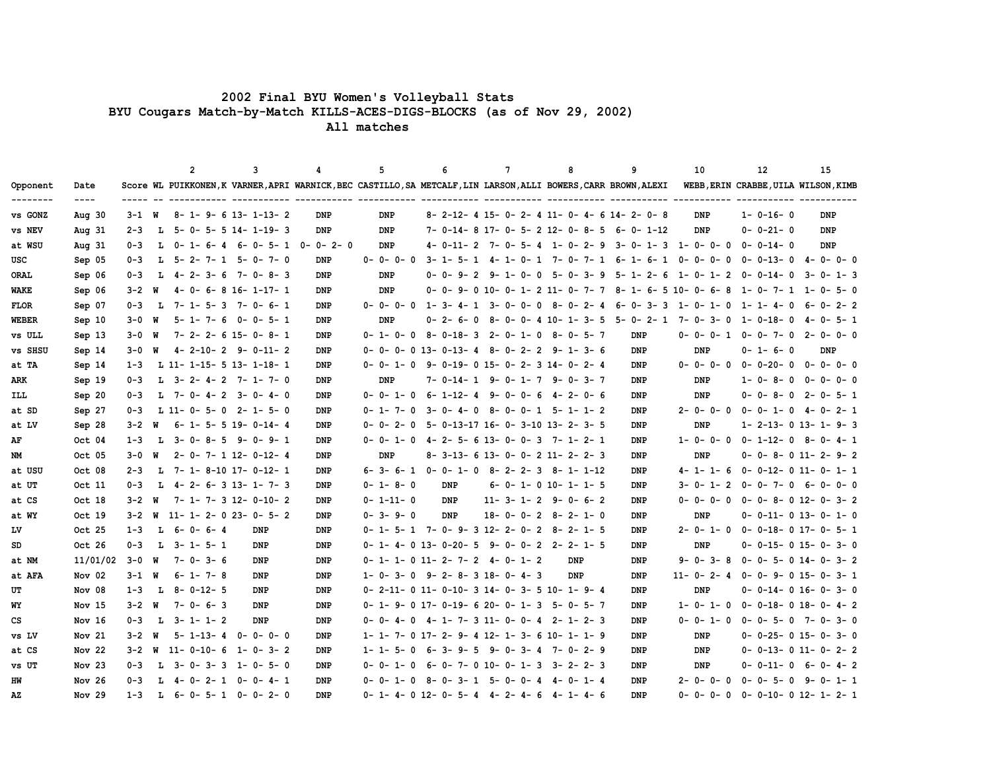## **2002 Final BYU Women's Volleyball Stats BYU Cougars Match-by-Match KILLS-ACES-DIGS-BLOCKS (as of Nov 29, 2002)**

 **All matches**

|                      |                       |           |    | $\overline{2}$                   | 3 |                 | 4                               | 5                                             |     | 6                                               | $7\phantom{.0}$ |                 | 8     |                                 | 9                                                                                                                | 10                             | 12               | 15                                   |
|----------------------|-----------------------|-----------|----|----------------------------------|---|-----------------|---------------------------------|-----------------------------------------------|-----|-------------------------------------------------|-----------------|-----------------|-------|---------------------------------|------------------------------------------------------------------------------------------------------------------|--------------------------------|------------------|--------------------------------------|
| Opponent<br>-------- | Date<br>$\frac{1}{2}$ |           |    |                                  |   |                 |                                 |                                               |     |                                                 |                 |                 |       |                                 | Score WL PUIKKONEN, K VARNER, APRI WARNICK, BEC CASTILLO, SA METCALF, LIN LARSON, ALLI BOWERS, CARR BROWN, ALEXI |                                |                  | WEBB, ERIN CRABBE, UILA WILSON, KIMB |
| vs GONZ              | Aug $30$              | $3 - 1$ W |    | $8 - 1 - 9 - 6$ 13- 1-13- 2      |   |                 | <b>DNP</b>                      | <b>DNP</b>                                    |     |                                                 |                 |                 |       |                                 | 8- 2-12- 4 15- 0- 2- 4 11- 0- 4- 6 14- 2- 0- 8                                                                   | <b>DNP</b>                     | $1 - 0 - 16 - 0$ | <b>DNP</b>                           |
| vs NEV               | Aug $31$              | $2 - 3$   | L. | $5 - 0 - 5 - 5$ 14- 1-19- 3      |   |                 | <b>DNP</b>                      | DNP                                           |     |                                                 |                 |                 |       |                                 | 7- 0-14- 8 17- 0- 5- 2 12- 0- 8- 5 6- 0- 1-12                                                                    | DNP                            | $0 - 0 - 21 - 0$ | DNP                                  |
| at WSU               | Aug $31$              | $0 - 3$   | L. | 0-1-6-4                          |   |                 | $6 - 0 - 5 - 1$ $0 - 0 - 2 - 0$ | DNP                                           |     | 4-0-11-2 7-0-5-4 1-0-2-9                        |                 |                 |       |                                 |                                                                                                                  | $3 - 0 - 1 - 3$ 1 - 0 - 0 - 0  | $0 - 0 - 14 - 0$ | <b>DNP</b>                           |
| USC                  | Sep 05                | $0 - 3$   | ъ. | 5-2-7-1 5-0-7-0                  |   |                 | DNP                             | $0 - 0 - 0 - 0$                               |     | 3-1-5-1                                         |                 |                 |       | 4-1-0-1 7-0-7-1                 | 6-1-6-1                                                                                                          | $0 - 0 - 0 - 0$                | $0 - 0 - 13 - 0$ | $4 - 0 - 0 - 0$                      |
| <b>ORAL</b>          | Sep 06                | $0 - 3$   | L. | $4 - 2 - 3 - 6$ 7-0-8-3          |   |                 | <b>DNP</b>                      | <b>DNP</b>                                    |     | $0 - 0 - 9 - 2$                                 | 9-              | $1 - 0 -$<br>0  |       | $5 - 0 - 3 - 9$                 | $5 - 1 - 2 - 6$                                                                                                  | $1 - 0 - 1 - 2$                | $0 - 0 - 14 - 0$ | $3 - 0 - 1 - 3$                      |
| WAKE                 | Sep 06                | $3 - 2$   | W  | $4 - 0 - 6 - 8 16 - 1 - 17 - 1$  |   |                 | <b>DNP</b>                      | <b>DNP</b>                                    |     | $0 - 0 - 9 - 0$ 10 - 0 - 1 - 2 11 - 0 - 7 - 7   |                 |                 |       |                                 |                                                                                                                  | $8 - 1 - 6 - 5 10 - 0 - 6 - 8$ |                  | $1 - 0 - 7 - 1$ $1 - 0 - 5 - 0$      |
| <b>FLOR</b>          | Sep 07                | $0 - 3$   | L. | $7 - 1 - 5 - 3$ $7 - 0 - 6 - 1$  |   |                 | DNP                             | $0 - 0 - 0 - 0$                               |     | $1 - 3 - 4 - 1$                                 | $3 -$           | $0 - 0 -$<br>0  | 8-    | $0 - 2 - 4$                     | $6 - 0 - 3 - 3$                                                                                                  | 1-0-1-0                        | 1-1-4-0          | $6 - 0 - 2 - 2$                      |
| <b>WEBER</b>         | Sep 10                | 3-0       | W  | $5 - 1 - 7 - 6$                  |   | $0 - 0 - 5 - 1$ | DNP                             | DNP                                           |     | $0 - 2 - 6 -$<br>0                              |                 |                 |       | $8 - 0 - 0 - 4 10 - 1 - 3 - 5$  | 5-0-2-1                                                                                                          | 7-0-3-0                        | 1-0-18-0         | $4 - 0 - 5 - 1$                      |
| <b>vs ULL</b>        | Sep 13                | $3 - 0$   | W  | $7 - 2 - 2 - 6$ 15-0-8-1         |   |                 | DNP                             | $0 - 1 - 0 - 0$                               |     | $8 - 0 - 18 - 3$ 2-0-1-0                        |                 |                 |       | 8-0-5-7                         | <b>DNP</b>                                                                                                       | $0 - 0 - 0 - 1$                | $0 - 0 - 7 - 0$  | 2-0-0-0                              |
| vs SHSU              | Sep 14                | 3-0       | W  | $4 - 2 - 10 - 2$ 9-0-11-2        |   |                 | DNP                             | $0 - 0 - 0 - 0$ 13-0-13-4                     |     |                                                 |                 |                 |       | $8 - 0 - 2 - 2$ $9 - 1 - 3 - 6$ | <b>DNP</b>                                                                                                       | DNP                            | $0 - 1 - 6 - 0$  | DNP                                  |
| at TA                | Sep 14                | $1 - 3$   |    | L 11- 1-15- 5 13- 1-18- 1        |   |                 | DNP                             | $0 - 0 - 1 - 0$                               |     | 9-0-19-015-0-2-314-0-2-4                        |                 |                 |       |                                 | DNP                                                                                                              | $0 - 0 - 0 - 0$                | $0 - 0 - 20 - 0$ | $0 - 0 - 0 - 0$                      |
| ARK                  | Sep 19                | 0-3       | L. | $3 - 2 - 4 - 2$ 7-1-7-0          |   |                 | DNP                             | DNP                                           |     | $7 - 0 - 14 - 1$ 9 - 0 - 1 - 7 9 - 0 - 3 - 7    |                 |                 |       |                                 | DNP                                                                                                              | DNP                            | $1 - 0 - 8 - 0$  | $0 - 0 - 0 - 0$                      |
| ILL                  | Sep 20                | $0 - 3$   |    | $L$ 7-0-4-2 3-0-4-0              |   |                 | <b>DNP</b>                      | $0 - 0 - 1 - 0$                               |     | $6 - 1 - 12 - 4$                                |                 |                 |       | $9 - 0 - 0 - 6$ $4 - 2 - 0 - 6$ | <b>DNP</b>                                                                                                       | <b>DNP</b>                     |                  | $0 - 0 - 8 - 0$ 2-0-5-1              |
| at SD                | Sep 27                | $0 - 3$   |    | $L$ 11-0-5-0 2-1-5-0             |   |                 | DNP                             | $0 - 1 - 7 - 0$                               |     | $3 - 0 - 4 - 0$ $8 - 0 - 0 - 1$ $5 - 1 - 1 - 2$ |                 |                 |       |                                 | <b>DNP</b>                                                                                                       | $2 - 0 - 0 - 0$                |                  | $0 - 0 - 1 - 0$ 4-0-2-1              |
| at LV                | Sep 28                | $3 - 2$   | W  | $6 - 1 - 5 - 5$ 19-0-14-4        |   |                 | DNP                             | $0 - 0 - 2 - 0$                               |     | 5- 0-13-17 16- 0- 3-10 13- 2- 3- 5              |                 |                 |       |                                 | DNP                                                                                                              | DNP                            |                  | $1 - 2 - 13 - 0$ 13 - 1 - 9 - 3      |
| AF                   | Oct 04                | $1 - 3$   | L  | $3 - 0 - 8 - 5$ 9-0-9-1          |   |                 | DNP                             | $0 - 0 - 1 - 0$                               |     | 4-2-5-613-0-0-3 7-1-2-1                         |                 |                 |       |                                 | DNP                                                                                                              | $1 - 0 - 0 - 0$                |                  | $0 - 1 - 12 - 0$ 8-0-4-1             |
| NM                   | Oct 05                | $3 - 0$   | W  | $2 - 0 - 7 - 1$ 12-0-12-4        |   |                 | <b>DNP</b>                      | DNP                                           |     | $8-3-13-6$ 13-0-0-2 11-2-2-3                    |                 |                 |       |                                 | <b>DNP</b>                                                                                                       | <b>DNP</b>                     |                  | $0 - 0 - 8 - 0$ 11-2-9-2             |
| at USU               | Oct 08                | $2 - 3$   | L. | 7- 1- 8-10 17- 0-12- 1           |   |                 | DNP                             | $6 - 3 - 6 - 1$                               |     | $0 - 0 - 1 - 0$                                 |                 | $8 - 2 - 2 - 3$ |       | 8-1-1-12                        | DNP                                                                                                              | $4 - 1 - 1 - 6$                |                  | $0 - 0 - 12 - 0 11 - 0 - 1 - 1$      |
| at UT                | Oct 11                | $0 - 3$   | L  | $4 - 2 - 6 - 3$ 13 - 1 - 7 - 3   |   |                 | DNP                             | $0 - 1 - 8 - 0$                               |     | <b>DNP</b>                                      |                 |                 |       | $6 - 0 - 1 - 0$ 10- 1- 1- 5     | DNP                                                                                                              | $3 - 0 - 1 - 2$                | $0 - 0 - 7 - 0$  | $6 - 0 - 0 - 0$                      |
| at CS                | Oct 18                | $3 - 2$   | W  | $7 - 1 - 7 - 3$ 12-0-10-2        |   |                 | DNP                             | $0 - 1 - 11 - 0$                              |     | <b>DNP</b>                                      |                 |                 |       | $11 - 3 - 1 - 2$ 9-0-6-2        | DNP                                                                                                              | $0 - 0 - 0 - 0$                |                  | $0 - 0 - 8 - 0$ 12-0-3-2             |
| at WY                | Oct 19                | $3 - 2$   | W  | $11 - 1 - 2 - 0 23 - 0 - 5 - 2$  |   |                 | <b>DNP</b>                      | $0 - 3 - 9 - 0$                               |     | <b>DNP</b>                                      |                 |                 |       | $18 - 0 - 0 - 2 8 - 2 - 1 - 0$  | <b>DNP</b>                                                                                                       | <b>DNP</b>                     |                  | $0-0-11-0$ 13-0-1-0                  |
| LV                   | Oct 25                | $1 - 3$   | L. | 6-0-6-4                          |   | <b>DNP</b>      | DNP                             | $0-1-5-1$ 7-0-9-312-2-0-28-2-1-5              |     |                                                 |                 |                 |       |                                 | DNP                                                                                                              | $2 - 0 - 1 - 0$                |                  | $0 - 0 - 18 - 0 17 - 0 - 5 - 1$      |
| SD                   | Oct 26                | $0 - 3$   |    | $L$ 3-1-5-1                      |   | <b>DNP</b>      | DNP                             | $0-1-4-0$ 13-0-20-5 9-0-0-2 2-2-1-5           |     |                                                 |                 |                 |       |                                 | <b>DNP</b>                                                                                                       | <b>DNP</b>                     |                  | $0 - 0 - 15 - 0 15 - 0 - 3 - 0$      |
| at NM                | 11/01/02              | $3 - 0$   | W  | $7 - 0 - 3 - 6$                  |   | DNP             | DNP                             | 0- 1- 1- 0 11- 2- 7- 2                        |     |                                                 | $4-$            | $0 - 1 - 2$     |       | DNP                             | DNP                                                                                                              | $9 - 0 - 3 - 8$                |                  | $0 - 0 - 5 - 0$ 14-0-3-2             |
| at AFA               | Nov 02                | $3 - 1$ W |    | $6 - 1 - 7 - 8$                  |   | DNP             | <b>DNP</b>                      | $1 - 0 - 3 - 0$                               |     | 9-2-8-318-0-4-3                                 |                 |                 |       | <b>DNP</b>                      | DNP                                                                                                              | $11 - 0 - 2 - 4$               |                  | $0 - 0 - 9 - 0 15 - 0 - 3 - 1$       |
| UT                   | Nov 08                | $1 - 3$   | L. | $8 - 0 - 12 - 5$                 |   | DNP             | DNP                             | $0-2-11-0$ 11-0-10-3 14-0-3-5 10-1-9-4        |     |                                                 |                 |                 |       |                                 | DNP                                                                                                              | DNP                            |                  | $0 - 0 - 14 - 0 16 - 0 - 3 - 0$      |
| WY                   | Nov $15$              | $3 - 2$   | W  | $7 - 0 - 6 - 3$                  |   | DNP             | <b>DNP</b>                      | $0-1-9-0$ 17- $0-19-6$ 20-0-1-3 5-0-5-7       |     |                                                 |                 |                 |       |                                 | DNP                                                                                                              | $1 - 0 - 1 - 0$                |                  | $0-0-18-0$ 18-0-4-2                  |
| CS                   | Nov 16                | $0 - 3$   |    | $L$ 3-1-1-2                      |   | DNP             | DNP                             | 0-0-4-0 4-1-7-3 11-0-0-4 2-1-2-3              |     |                                                 |                 |                 |       |                                 | DNP                                                                                                              | $0 - 0 - 1 - 0$                |                  | $0 - 0 - 5 - 0$ 7-0-3-0              |
| vs LV                | Nov 21                | $3 - 2$   | W  | $5 - 1 - 13 - 4$ $0 - 0 - 0 - 0$ |   |                 | DNP                             | $1-1-7-0$ 17- 2- 9- 4 12- 1- 3- 6 10- 1- 1- 9 |     |                                                 |                 |                 |       |                                 | <b>DNP</b>                                                                                                       | <b>DNP</b>                     |                  | $0 - 0 - 25 - 0 15 - 0 - 3 - 0$      |
| at CS                | Nov 22                | $3 - 2$   | W  | $11 - 0 - 10 - 6$ 1-0-3-2        |   |                 | DNP                             | $1 - 1 - 5 - 0$                               |     | 6-3-9-5 9-0-3-4 7-0-2-9                         |                 |                 |       |                                 | <b>DNP</b>                                                                                                       | <b>DNP</b>                     |                  | $0 - 0 - 13 - 0 11 - 0 - 2 - 2$      |
| vs UT                | Nov $23$              | $0 - 3$   | L. | $3 - 0 - 3 - 3$ $1 - 0 - 5 - 0$  |   |                 | DNP                             | $0 - 1 - 0$                                   | - 6 | 0-7-010-0-1-3                                   |                 |                 | $3 -$ | $2 - 2 - 3$                     | DNP                                                                                                              | DNP                            | $0 - 0 - 11 - 0$ | $6 - 0 - 4 - 2$                      |
| HW                   | Nov <sub>26</sub>     | $0 - 3$   | L. | 4-0-2-1                          |   | $0 - 0 - 4 - 1$ | DNP                             | $0 -$<br>$0 - 1 - 0$                          |     | 8-0-3-1 5-0-0-4 4-0-1-4                         |                 |                 |       |                                 | DNP                                                                                                              | $2 - 0 - 0 - 0$                |                  | $0 - 0 - 5 - 0$ 9-0-1-1              |
| AZ                   | Nov $29$              | $1 - 3$   | L. | $6 - 0 - 5 - 1$ $0 - 0 - 2 - 0$  |   |                 | <b>DNP</b>                      | $0-1-4-0$ 12-0-5-4 4-2-4-6 4-1-4-6            |     |                                                 |                 |                 |       |                                 | <b>DNP</b>                                                                                                       | $0 - 0 - 0 - 0$                |                  | $0 - 0 - 10 - 0$ 12- 1- 2- 1         |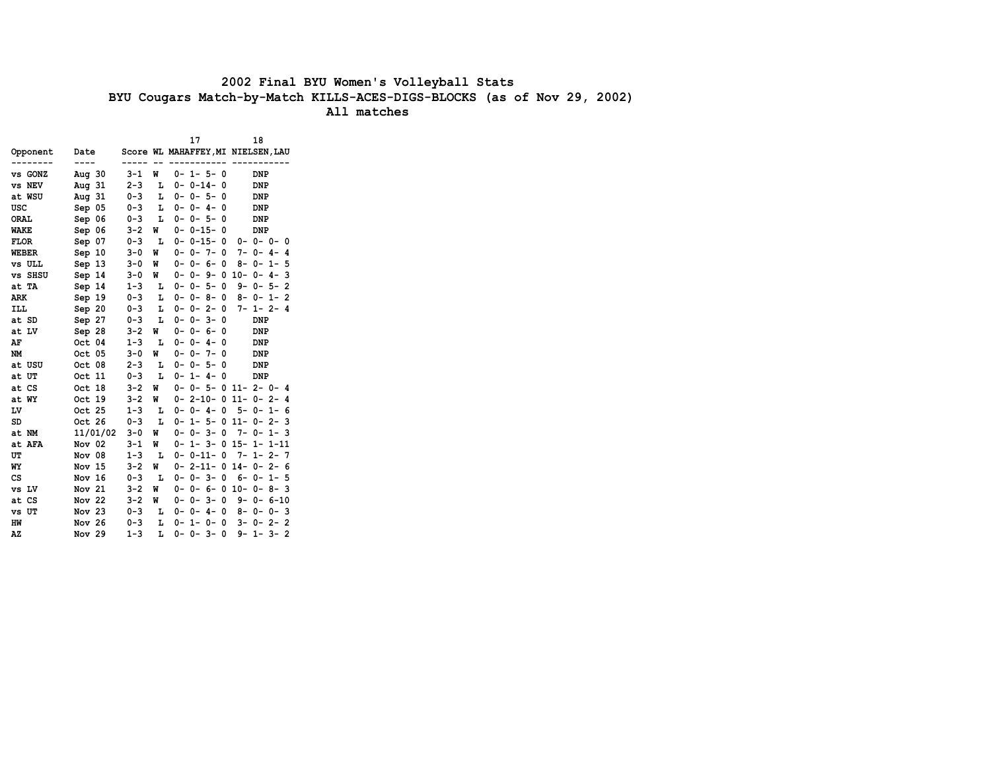# **2002 Final BYU Women's Volleyball Stats BYU Cougars Match-by-Match KILLS-ACES-DIGS-BLOCKS (as of Nov 29, 2002)**

 **All matches**

|               |                   |         |   | 17                  | 18                                 |
|---------------|-------------------|---------|---|---------------------|------------------------------------|
| Opponent      | Date              |         |   |                     | Score WL MAHAFFEY, MI NIELSEN, LAU |
|               |                   | ----    |   | -----------         |                                    |
| vs GONZ       | Aug $30$          | $3 - 1$ | W | $0 - 1 - 5 - 0$     | DNP                                |
| vs NEV        | Aug 31            | $2 - 3$ | Ŀ | $0 - 0 - 14 - 0$    | DNP                                |
| at WSU        | Aug $31$          | $0 - 3$ | L | $0 - 0 - 5 -$<br>0  | DNP                                |
| USC           | Sep 05            | $0 - 3$ | L | $0 - 0 - 4 -$<br>0  | DNP                                |
| <b>ORAL</b>   | Sep 06            | $0 - 3$ | L | $0 - 0 - 5 -$<br>0  | DNP                                |
| <b>WAKE</b>   | Sep 06            | $3 - 2$ | W | $0 - 0 - 15 -$<br>0 | <b>DNP</b>                         |
| <b>FLOR</b>   | Sep 07            | $0 - 3$ | L | $0 - 0 - 15 -$<br>0 | $0 - 0 - 0 - 0$                    |
| <b>WEBER</b>  | Sep 10            | $3 - 0$ | M | $0 - 0 - 7 -$<br>0  | $7 - 0 - 4 - 4$                    |
| <b>vs ULL</b> | Sep 13            | $3 - 0$ | W | $0 - 0 - 6 -$<br>0  | $8 - 0 - 1 - 5$                    |
| vs SHSU       | Sep 14            | $3 - 0$ | W |                     | $0 - 0 - 9 - 0 10 - 0 - 4 -$<br>3  |
| at TA         | Sep 14            | $1 - 3$ | L | $0 - 0 - 5 - 0$     | $9 - 0 - 5 - 2$                    |
| <b>ARK</b>    | Sep 19            | $0 - 3$ | L | $0 - 0 - 8 -$<br>0  | $8 - 0 - 1 - 2$                    |
| ILL           | Sep 20            | $0 - 3$ | Ŀ | $0 - 0 - 2 -$<br>0  | $7 - 1 - 2 - 4$                    |
| at SD         | Sep 27            | $0 - 3$ | L | $0 - 0 - 3 -$<br>0  | DNP                                |
| at LV         | Sep 28            | $3 - 2$ | W | $0 - 0 - 6 -$<br>0  | DNP                                |
| AF            | Oct 04            | $1 - 3$ | L | $0 - 0 - 4 -$<br>0  | DNP                                |
| <b>NM</b>     | Oct 05            | $3 - 0$ | W | $0 - 0 - 7 -$<br>0  | DNP                                |
| at USU        | Oct 08            | $2 - 3$ | L | $0 - 0 - 5 -$<br>0  | DNP                                |
| at UT         | Oct 11            | $0 - 3$ | L | $0 - 1 - 4 -$<br>0  | DNP                                |
| at CS         | Oct 18            | $3 - 2$ | W |                     | $0 - 0 - 5 - 0$ 11-2-0-4           |
| at WY         | Oct 19            | $3 - 2$ | W |                     | $0 - 2 - 10 - 0 11 - 0 - 2 - 4$    |
| LV            | Oct 25            | $1 - 3$ | L | $0 - 0 - 4 - 0$     | $5 - 0 -$<br>$1 - 6$               |
| SD            | Oct 26            | $0 - 3$ | L |                     | $0 - 1 - 5 - 0 11 - 0 - 2 -$<br>3  |
| at NM         | 11/01/02          | $3 - 0$ | W | $0 - 0 - 3 -$<br>0  | $7 - 0 - 1 - 3$                    |
| at AFA        | Nov 02            | $3 - 1$ | W | $0 - 1 - 3 -$       | $0$ 15- 1- 1-11                    |
| UT            | Nov 08            | $1 - 3$ | L | $0 - 0 - 11 -$<br>0 | $7 -$<br>$1 - 2 - 7$               |
| WY            | Nov 15            | $3 - 2$ | W | $0 - 2 - 11 -$      | $0$ 14- 0- 2- 6                    |
| CS            | Nov <sub>16</sub> | $0 - 3$ | L | $0 - 0 - 3 -$<br>0  | $6 - 0 - 1 - 5$                    |
| vs LV         | Nov 21            | $3 - 2$ | M | $0 - 0 - 6 -$       | $0$ 10- 0- 8- 3                    |
| at CS         | Nov 22            | $3 - 2$ | W | $0 - 0 - 3 -$<br>0  | $9 - 0 - 6 - 10$                   |
| vs UT         | Nov 23            | $0 - 3$ | г | $0 - 0 - 4 -$<br>0  | 8-0-0-3                            |
| HW            | Nov 26            | $0 - 3$ | L | $0 - 1 - 0 -$<br>0  | $3 - 0 - 2 - 2$                    |
| AZ            | Nov $29$          | $1 - 3$ | L | $0 - 0 - 3 -$<br>0  | $9 - 1 -$<br>$3-$<br>2             |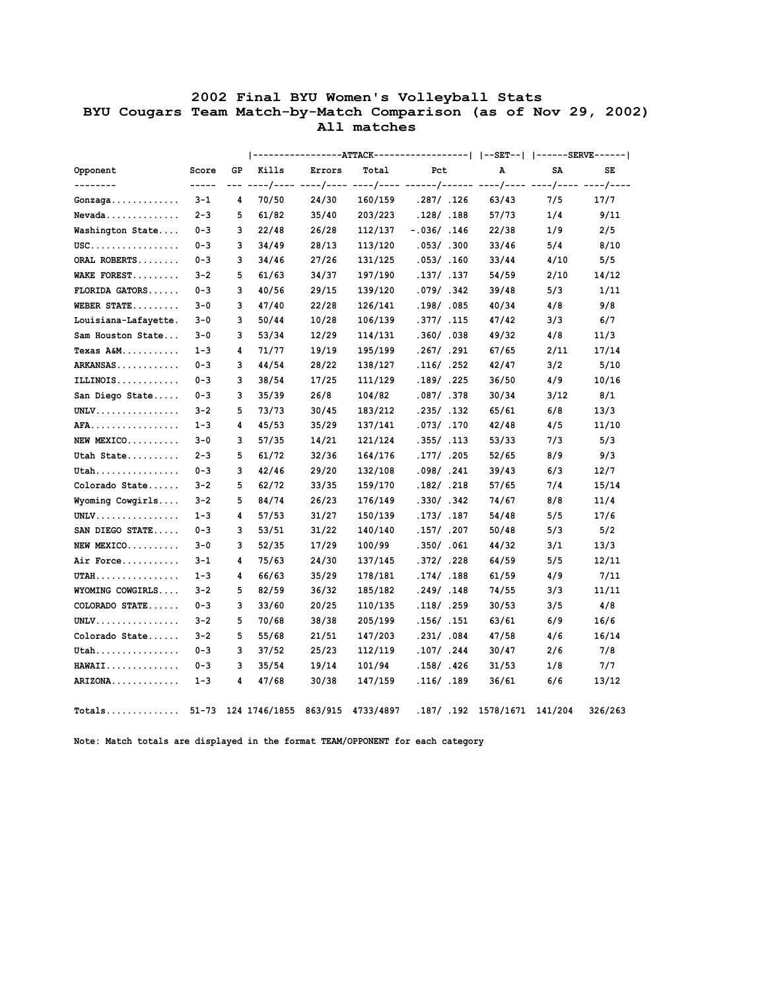## **2002 Final BYU Women's Volleyball Stats BYU Cougars Team Match-by-Match Comparison (as of Nov 29, 2002) All matches**

| Opponent                                                 | Score   | GP  | Kills | Errors | Total   | Pct           | Α     | SA   |  |
|----------------------------------------------------------|---------|-----|-------|--------|---------|---------------|-------|------|--|
|                                                          | -----   | --- |       |        |         |               |       |      |  |
| Gonzaga                                                  | $3 - 1$ | 4   | 70/50 | 24/30  | 160/159 | .287/ .126    | 63/43 | 7/5  |  |
| Nevada                                                   | $2 - 3$ | 5   | 61/82 | 35/40  | 203/223 | .128/ .188    | 57/73 | 1/4  |  |
| Washington State                                         | $0 - 3$ | 3   | 22/48 | 26/28  | 112/137 | $-.036/ .146$ | 22/38 | 1/9  |  |
| $\texttt{USC}\ldots\ldots\ldots\ldots\ldots\ldots\ldots$ | $0 - 3$ | 3   | 34/49 | 28/13  | 113/120 | .053/.300     | 33/46 | 5/4  |  |
| ORAL ROBERTS                                             | $0 - 3$ | 3   | 34/46 | 27/26  | 131/125 | .053/ .160    | 33/44 | 4/10 |  |
| WAKE FOREST                                              | $3 - 2$ | 5   | 61/63 | 34/37  | 197/190 | .137/ .137    | 54/59 | 2/10 |  |
| FLORIDA GATORS                                           | $0 - 3$ | 3   | 40/56 | 29/15  | 139/120 | .079/ .342    | 39/48 | 5/3  |  |
| WEBER STATE                                              | $3 - 0$ | 3   | 47/40 | 22/28  | 126/141 | .198/ .085    | 40/34 | 4/8  |  |
| Louisiana-Lafayette.                                     | $3 - 0$ | 3   | 50/44 | 10/28  | 106/139 | .377/ .115    | 47/42 | 3/3  |  |
| Sam Houston State                                        | $3 - 0$ | 3   | 53/34 | 12/29  | 114/131 | .360/ .038    | 49/32 | 4/8  |  |
| Texas A&M                                                | $1 - 3$ | 4   | 71/77 | 19/19  | 195/199 | .267/ .291    | 67/65 | 2/11 |  |
| ARKANSAS                                                 | $0 - 3$ | 3   | 44/54 | 28/22  | 138/127 | .116/ .252    | 42/47 | 3/2  |  |
| ILLINOIS                                                 | $0 - 3$ | 3   | 38/54 | 17/25  | 111/129 | .189/ .225    | 36/50 | 4/9  |  |
| San Diego State                                          | $0 - 3$ | 3   | 35/39 | 26/8   | 104/82  | .087/ .378    | 30/34 | 3/12 |  |
| UNLV.                                                    | $3 - 2$ | 5   | 73/73 | 30/45  | 183/212 | .235/.132     | 65/61 | 6/8  |  |
| AFA.                                                     | $1 - 3$ | 4   | 45/53 | 35/29  | 137/141 | .073/ .170    | 42/48 | 4/5  |  |
| NEW MEXICO                                               | $3 - 0$ | 3   | 57/35 | 14/21  | 121/124 | .355/ .113    | 53/33 | 7/3  |  |
| Utah State                                               | $2 - 3$ | 5   | 61/72 | 32/36  | 164/176 | .177/ .205    | 52/65 | 8/9  |  |
| $Utah$                                                   | $0 - 3$ | 3   | 42/46 | 29/20  | 132/108 | .098/ .241    | 39/43 | 6/3  |  |
| Colorado State                                           | $3 - 2$ | 5   | 62/72 | 33/35  | 159/170 | .182/ .218    | 57/65 | 7/4  |  |
| Wyoming Cowgirls                                         | $3 - 2$ | 5   | 84/74 | 26/23  | 176/149 | .330/ .342    | 74/67 | 8/8  |  |
| $UNLV$                                                   | $1 - 3$ | 4   | 57/53 | 31/27  | 150/139 | .173/ .187    | 54/48 | 5/5  |  |
| SAN DIEGO STATE                                          | $0 - 3$ | 3   | 53/51 | 31/22  | 140/140 | .157/ .207    | 50/48 | 5/3  |  |
| NEW MEXICO                                               | $3 - 0$ | 3   | 52/35 | 17/29  | 100/99  | .350/ .061    | 44/32 | 3/1  |  |
| Air Force                                                | $3 - 1$ | 4   | 75/63 | 24/30  | 137/145 | .372/.228     | 64/59 | 5/5  |  |
| $UTAH$                                                   | $1 - 3$ | 4   | 66/63 | 35/29  | 178/181 | .174/ .188    | 61/59 | 4/9  |  |
| WYOMING COWGIRLS                                         | $3 - 2$ | 5   | 82/59 | 36/32  | 185/182 | .249/ .148    | 74/55 | 3/3  |  |
| COLORADO STATE                                           | $0 - 3$ | 3   | 33/60 | 20/25  | 110/135 | .118/ .259    | 30/53 | 3/5  |  |
| UNLV.                                                    | $3 - 2$ | 5   | 70/68 | 38/38  | 205/199 | .156/ .151    | 63/61 | 6/9  |  |
| Colorado State                                           | $3 - 2$ | 5   | 55/68 | 21/51  | 147/203 | .231/ .084    | 47/58 | 4/6  |  |
| $Utah$                                                   | $0 - 3$ | 3   | 37/52 | 25/23  | 112/119 | .107/ .244    | 30/47 | 2/6  |  |
| <b>HAWAII</b>                                            | $0 - 3$ | 3   | 35/54 | 19/14  | 101/94  | .158/.426     | 31/53 | 1/8  |  |
|                                                          |         |     |       |        | 147/159 | .116/ .189    | 36/61 | 6/6  |  |

 **Note: Match totals are displayed in the format TEAM/OPPONENT for each category**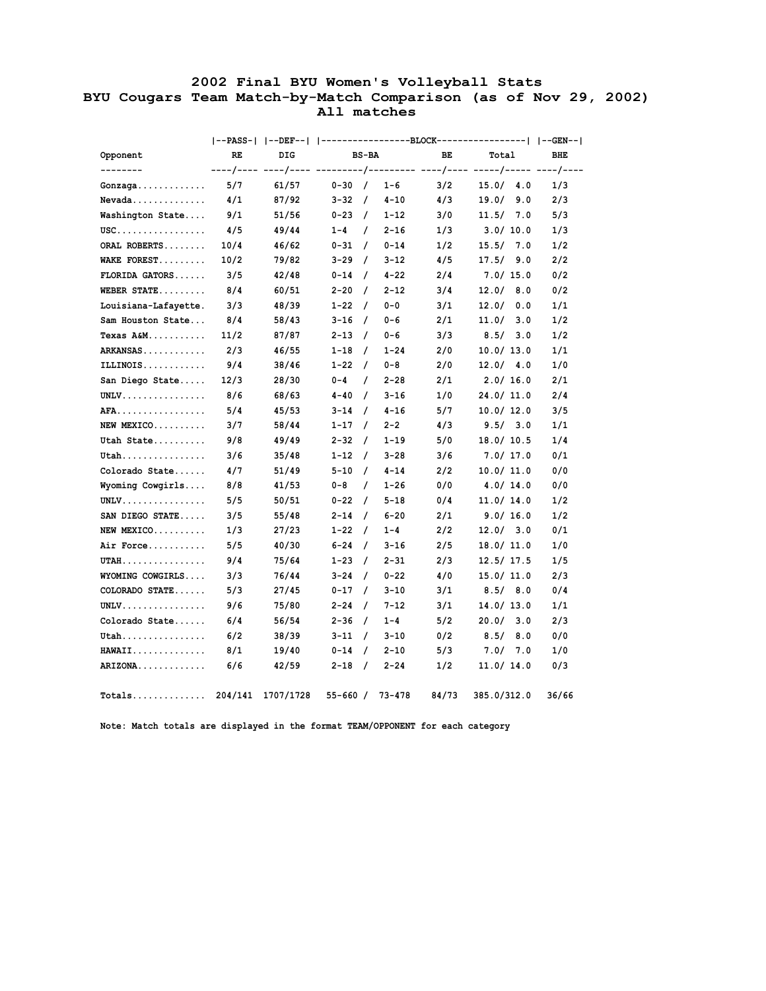## **2002 Final BYU Women's Volleyball Stats BYU Cougars Team Match-by-Match Comparison (as of Nov 29, 2002) All matches**

|                                                          |      |                   |                     |          |       | --PASS-   --DEF--   ----------------BLOCK-----------------   --GEN-- |       |
|----------------------------------------------------------|------|-------------------|---------------------|----------|-------|----------------------------------------------------------------------|-------|
| Opponent                                                 | RE   | DIG               | BS-BA               |          | BЕ    | Total                                                                | BHE   |
|                                                          |      |                   |                     |          |       |                                                                      |       |
| $Gonzaga$                                                | 5/7  | 61/57             | $0 - 30 /$          | $1 - 6$  | 3/2   | 15.0 / 4.0                                                           | 1/3   |
| Nevada                                                   | 4/1  | 87/92             | $3 - 32$ /          | $4 - 10$ | 4/3   | 19.0/9.0                                                             | 2/3   |
| Washington State                                         | 9/1  | 51/56             | $0 - 23$ /          | $1 - 12$ | 3/0   | 11.5/7.0                                                             | 5/3   |
| $\texttt{USC}\ldots\ldots\ldots\ldots\ldots\ldots\ldots$ | 4/5  | 49/44             | $1 - 4$ /           | $2 - 16$ | 1/3   | 3.0/10.0                                                             | 1/3   |
| ORAL ROBERTS                                             | 10/4 | 46/62             | $0 - 31$ /          | $0 - 14$ | 1/2   | 15.5 / 7.0                                                           | 1/2   |
| WAKE FOREST                                              | 10/2 | 79/82             | $3 - 29$ /          | $3 - 12$ | 4/5   | 17.5/9.0                                                             | 2/2   |
| FLORIDA GATORS                                           | 3/5  | 42/48             | $0 - 14$ /          | $4 - 22$ | 2/4   | 7.0/15.0                                                             | 0/2   |
| WEBER STATE                                              | 8/4  | 60/51             | $2 - 20$ /          | $2 - 12$ | 3/4   | 12.0 / 8.0                                                           | 0/2   |
| Louisiana-Lafayette.                                     | 3/3  | 48/39             | $1 - 22$ /          | $0 - 0$  | 3/1   | 12.0 / 0.0                                                           | 1/1   |
| Sam Houston State                                        | 8/4  | 58/43             | $3 - 16$ /          | $0 - 6$  | 2/1   | 11.0 / 3.0                                                           | 1/2   |
| Texas A&M                                                | 11/2 | 87/87             | $2 - 13$ /          | $0 - 6$  | 3/3   | 8.5/3.0                                                              | 1/2   |
| ARKANSAS                                                 | 2/3  | 46/55             | $1 - 18$ /          | $1 - 24$ | 2/0   | 10.0 / 13.0                                                          | 1/1   |
| ILLINOIS                                                 | 9/4  | 38/46             | $1 - 22$ /          | $0 - 8$  | 2/0   | 12.0 / 4.0                                                           | 1/0   |
| San Diego State                                          | 12/3 | 28/30             | $0 - 4$<br>$\prime$ | $2 - 28$ | 2/1   | 2.0/16.0                                                             | 2/1   |
| $UNLV.$                                                  | 8/6  | 68/63             | $4 - 40$ /          | $3 - 16$ | 1/0   | 24.0 / 11.0                                                          | 2/4   |
| AFA.                                                     | 5/4  | 45/53             | $3 - 14$ /          | $4 - 16$ | 5/7   | 10.0 / 12.0                                                          | 3/5   |
| NEW MEXICO                                               | 3/7  | 58/44             | $1 - 17$ /          | $2 - 2$  | 4/3   | 9.5/3.0                                                              | 1/1   |
| Utah State                                               | 9/8  | 49/49             | $2 - 32$ /          | $1 - 19$ | 5/0   | 18.0 / 10.5                                                          | 1/4   |
| $Utah$                                                   | 3/6  | 35/48             | $1 - 12$ /          | $3 - 28$ | 3/6   | 7.0/ 17.0                                                            | 0/1   |
| Colorado State                                           | 4/7  | 51/49             | $5 - 10$ /          | $4 - 14$ | 2/2   | 10.0 / 11.0                                                          | 0/0   |
| Wyoming Cowgirls                                         | 8/8  | 41/53             | 0-8<br>$\sqrt{ }$   | $1 - 26$ | 0/0   | 4.0/14.0                                                             | 0/0   |
| $UNLV.$                                                  | 5/5  | 50/51             | $0 - 22$ /          | $5 - 18$ | 0/4   | 11.0 / 14.0                                                          | 1/2   |
| SAN DIEGO STATE                                          | 3/5  | 55/48             | $2 - 14$ /          | $6 - 20$ | 2/1   | 9.0 / 16.0                                                           | 1/2   |
| NEW MEXICO                                               | 1/3  | 27/23             | $1 - 22$ /          | $1 - 4$  | 2/2   | 12.0 / 3.0                                                           | 0/1   |
| Air Force                                                | 5/5  | 40/30             | $6 - 24$ /          | $3 - 16$ | 2/5   | 18.0 / 11.0                                                          | 1/0   |
| $UTAH$                                                   | 9/4  | 75/64             | $1 - 23$ /          | $2 - 31$ | 2/3   | 12.5 / 17.5                                                          | 1/5   |
| WYOMING COWGIRLS                                         | 3/3  | 76/44             | $3 - 24$ /          | $0 - 22$ | 4/0   | 15.0/11.0                                                            | 2/3   |
| COLORADO STATE                                           | 5/3  | 27/45             | $0 - 17$ /          | $3 - 10$ | 3/1   | 8.5/8.0                                                              | 0/4   |
| UNLV.                                                    | 9/6  | 75/80             | $2 - 24$ /          | $7 - 12$ | 3/1   | 14.0/13.0                                                            | 1/1   |
| Colorado State                                           | 6/4  | 56/54             | $2 - 36$ /          | $1 - 4$  | 5/2   | 20.0 / 3.0                                                           | 2/3   |
| Utah                                                     | 6/2  | 38/39             | $3 - 11$ /          | $3 - 10$ | 0/2   | 8.5/ 8.0                                                             | 0/0   |
| <b>HAWAII</b>                                            | 8/1  | 19/40             | $0 - 14$ /          | $2 - 10$ | 5/3   | 7.0 / 7.0                                                            | 1/0   |
| ARIZONA                                                  | 6/6  | 42/59             | $2 - 18$ /          | $2 - 24$ | 1/2   | 11.0/14.0                                                            | 0/3   |
| Totals.                                                  |      | 204/141 1707/1728 | $55 - 660$ / 73-478 |          | 84/73 | 385.0/312.0                                                          | 36/66 |

 **Note: Match totals are displayed in the format TEAM/OPPONENT for each category**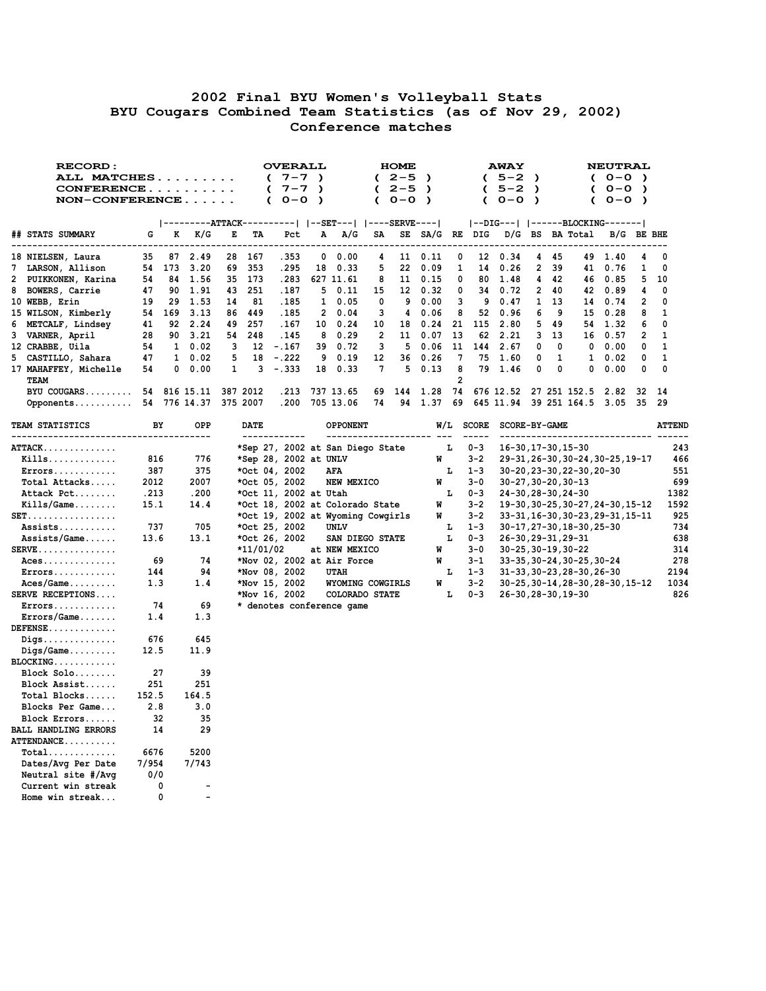## **2002 Final BYU Women's Volleyball Stats BYU Cougars Combined Team Statistics (as of Nov 29, 2002) Conference matches**

| <b>RECORD:</b>                                            |       |    |                          |    |             |            | <b>OVERALL</b>                    |   |                |                 |                         | <b>HOME</b>              |                      |                |                          | <b>AWAY</b>                      |               |              |                            | <b>NEUTRAL</b>                    |            |               |
|-----------------------------------------------------------|-------|----|--------------------------|----|-------------|------------|-----------------------------------|---|----------------|-----------------|-------------------------|--------------------------|----------------------|----------------|--------------------------|----------------------------------|---------------|--------------|----------------------------|-----------------------------------|------------|---------------|
| ALL MATCHES                                               |       |    |                          |    |             | $\epsilon$ | $7 - 7$ )                         |   |                |                 |                         | $(2-5)$                  | $\rightarrow$        |                |                          | $(5-2)$                          |               |              |                            | $(0 - 0)$                         |            |               |
| CONFERENCE                                                |       |    |                          |    |             | €          | $7 - 7$ )                         |   |                |                 |                         | $(2-5)$                  | $\rightarrow$        |                | $\epsilon$               | $5 - 2$                          | $\rightarrow$ |              |                            | $(0 - 0)$                         |            |               |
| $NON-CONFERENCE$                                          |       |    |                          |    |             | C          | $0 - 0$ )                         |   |                |                 | C                       | $0 - 0$ )                |                      |                | C                        | $O-O$                            | $\rightarrow$ |              | C                          | $0 - 0$ )                         |            |               |
|                                                           |       |    |                          |    |             |            |                                   |   |                |                 |                         |                          |                      |                |                          |                                  |               |              |                            |                                   |            |               |
|                                                           |       |    |                          |    |             |            |                                   |   |                |                 |                         |                          |                      |                |                          | --DIG---   ------BLOCKING------- |               |              |                            |                                   |            |               |
| ## STATS SUMMARY                                          | G     | к  | K/G                      | E  | TА          |            | Pct<br>-----                      | А |                | A/G             | SA<br>-----             | SE                       | SA/G RE DIG<br>----- | $- - - -$      |                          |                                  |               |              | D/G BS BA Total            | -------------------               | B/G BE BHE |               |
| 18 NIELSEN, Laura                                         | 35    |    | 87 2.49                  | 28 | 167         |            | .353                              |   | $0\quad 0.00$  |                 | 4                       | 11 -                     | 0.11                 | 0              | 12                       | 0.34                             | 4             | 45           |                            | 49 1.40                           | 4          | 0             |
| 7 LARSON, Allison                                         | 54    |    | 173 3.20                 | 69 | 353         |            | .295                              |   | 18 0.33        |                 | 5                       | 22                       | 0.09                 | 1              | 14                       | 0.26                             | 2             | 39           | 41                         | 0.76                              | 1          | 0             |
| 2 PUIKKONEN, Karina                                       | 54    |    | 84 1.56                  |    | 35 173      |            | .283                              |   | 627 11.61      |                 | 8                       |                          | 11 0.15              | 0              | 80                       | 1.48                             | 4             | 42           | 46                         | 0.85                              | 5          | 10            |
| 8 BOWERS, Carrie                                          | 47    |    | 90 1.91                  | 43 | 251         |            | .187                              |   | 50.11          |                 | 15                      |                          | 12 0.32              | 0              | 34                       | 0.72                             | $\mathbf{2}$  | 40           |                            | 42 0.89                           | 4          | 0             |
| 10 WEBB, Erin                                             | 19    |    | 29 1.53                  | 14 | 81          |            | .185                              |   | $1 \quad 0.05$ |                 | 0                       | 9                        | 0.00                 | 3              | 9                        | 0.47                             | $\mathbf{1}$  | 13           | 14                         | 0.74                              | 2          | 0             |
| 15 WILSON, Kimberly                                       | 54    |    | 169 3.13                 | 86 | 449         |            | .185                              |   | 20.04          |                 | 3                       | 4                        | 0.06                 | 8              | 52                       | 0.96                             | 6             | 9            | 15                         | 0.28                              | 8          | 1             |
| 6 METCALF, Lindsey                                        | 41    |    | 92 2.24                  | 49 | 257         |            | .167                              |   | 10 0.24        |                 | 10                      | 18                       | 0.24                 | 21             | 115                      | 2.80                             | 5             | 49           | 54                         | 1.32                              | 6          | 0             |
| 3 VARNER, April                                           | 28    |    | 90 3.21                  | 54 | 248         |            | .145                              |   | 80.29          |                 | $\overline{\mathbf{2}}$ |                          | 11 0.07              | 13             | 62                       | 2.21                             | 3             | 13           | 16                         | 0.57                              | 2          | 1             |
| 12 CRABBE, Uila                                           | 54    |    | $1 \quad 0.02$           | 3  | 12          |            | $-.167$                           |   | 39 0.72        |                 | 3                       | 5                        | 0.06                 | 11             | 144                      | 2.67                             | 0             | 0            | 0                          | 0.00                              | 0          | 1             |
| 5 CASTILLO, Sahara                                        | 47    |    | $1 \quad 0.02$           | 5  | 18          |            | $-.222$                           |   | 90.19          |                 | 12                      | 36                       | 0.26                 | 7              | 75                       | 1.60                             | 0             | $\mathbf{1}$ | $\mathbf{1}$               | 0.02                              | 0          | 1             |
| 17 MAHAFFEY, Michelle                                     | 54    |    | $0\quad 0.00$            | 1  | 3           |            | -.333                             |   | 18 0.33        |                 | 7                       | 5                        | 0.13                 | 8              |                          | 79 1.46                          | 0             | 0            | 0                          | 0.00                              | 0          | 0             |
| TEAM                                                      |       |    |                          |    |             |            |                                   |   |                |                 |                         |                          |                      | $\overline{2}$ |                          |                                  |               |              |                            |                                   |            |               |
| BYU COUGARS 54                                            |       |    | 816 15.11                |    | 387 2012    |            | .213                              |   | 737 13.65      |                 | 69                      | 144                      | 1.28                 | 74             |                          | 676 12.52                        |               |              | 27 251 152.5               | 2.82                              | 32         | 14            |
| Opponents                                                 |       |    | 54 776 14.37             |    | 375 2007    |            | .200                              |   | 705 13.06      |                 | 74                      | 94                       | 1.37                 | 69             |                          | 645 11.94                        |               |              |                            | 39 251 164.5 3.05                 | -35        | 29            |
|                                                           |       |    |                          |    |             |            |                                   |   |                |                 |                         |                          |                      |                |                          |                                  |               |              |                            |                                   |            |               |
| <b>TEAM STATISTICS</b><br>------------------------------- |       | BY | OPP                      |    | <b>DATE</b> |            | ------------                      |   |                | <b>OPPONENT</b> |                         | -------------------- --- |                      |                | W/L SCORE<br>$- - - - -$ | SCORE-BY-GAME                    |               |              |                            |                                   |            | <b>ATTEND</b> |
| <b>ATTACK</b>                                             |       |    |                          |    |             |            | *Sep 27, 2002 at San Diego State  |   |                |                 |                         |                          |                      | г              | $0 - 3$                  | 16-30, 17-30, 15-30              |               |              |                            |                                   |            | 243           |
| $Kills$                                                   | 816   |    | 776                      |    |             |            | *Sep 28, 2002 at UNLV             |   |                |                 |                         |                          | W                    |                | $3 - 2$                  |                                  |               |              |                            | 29-31, 26-30, 30-24, 30-25, 19-17 |            | 466           |
| $Errors \ldots \ldots \ldots$                             | 387   |    | 375                      |    |             |            | *Oct 04, 2002                     |   | AFA            |                 |                         |                          |                      | Ŀ              | $1 - 3$                  |                                  |               |              | 30-20, 23-30, 22-30, 20-30 |                                   |            | 551           |
| Total Attacks                                             | 2012  |    | 2007                     |    |             |            | *Oct 05, 2002                     |   |                | NEW MEXICO      |                         |                          | W                    |                | $3 - 0$                  | $30 - 27, 30 - 20, 30 - 13$      |               |              |                            |                                   |            | 699           |
| Attack Pct                                                | .213  |    | .200                     |    |             |            | *Oct 11, 2002 at Utah             |   |                |                 |                         |                          |                      | г              | 0-3                      | 24-30, 28-30, 24-30              |               |              |                            |                                   |            | 1382          |
| $Kills/Game \ldots$                                       | 15.1  |    | 14.4                     |    |             |            | *Oct 18, 2002 at Colorado State   |   |                |                 |                         |                          | W                    |                | $3 - 2$                  |                                  |               |              |                            | 19-30, 30-25, 30-27, 24-30, 15-12 |            | 1592          |
| $SET.$                                                    |       |    |                          |    |             |            | *Oct 19, 2002 at Wyoming Cowgirls |   |                |                 |                         |                          | W                    |                | $3 - 2$                  |                                  |               |              |                            | 33-31, 16-30, 30-23, 29-31, 15-11 |            | 925           |
| Assists                                                   | 737   |    | 705                      |    |             |            | *Oct 25, 2002                     |   | UNLV           |                 |                         |                          |                      | ь              | $1 - 3$                  |                                  |               |              | 30-17, 27-30, 18-30, 25-30 |                                   |            | 734           |
| $Assists/Game$                                            | 13.6  |    | 13.1                     |    |             |            | *Oct 26, 2002                     |   |                | SAN DIEGO STATE |                         |                          |                      | г              | $0 - 3$                  | 26-30, 29-31, 29-31              |               |              |                            |                                   |            | 638           |
| $SERVE$                                                   |       |    |                          |    | *11/01/02   |            |                                   |   |                | at NEW MEXICO   |                         |                          | W                    |                | $3 - 0$                  | 30-25,30-19,30-22                |               |              |                            |                                   |            | 314           |
| $Access \dots \dots \dots \dots$                          |       | 69 | 74                       |    |             |            | *Nov 02, 2002 at Air Force        |   |                |                 |                         |                          | W                    |                | $3 - 1$                  |                                  |               |              | 33-35, 30-24, 30-25, 30-24 |                                   |            | 278           |
| $Errors \ldots \ldots \ldots$                             | 144   |    | 94                       |    |             |            | *Nov 08, 2002                     |   | UTAH           |                 |                         |                          |                      | г              | $1 - 3$                  |                                  |               |              | 31-33, 30-23, 28-30, 26-30 |                                   |            | 2194          |
| $Access/Game$                                             | 1.3   |    | 1.4                      |    |             |            | *Nov 15, 2002                     |   |                |                 |                         | WYOMING COWGIRLS         | W                    |                | $3 - 2$                  |                                  |               |              |                            | 30-25, 30-14, 28-30, 28-30, 15-12 |            | 1034          |
| <b>SERVE RECEPTIONS</b>                                   |       |    |                          |    |             |            | *Nov 16, 2002                     |   |                | COLORADO STATE  |                         |                          |                      | г              | $0 - 3$                  | 26-30,28-30,19-30                |               |              |                            |                                   |            | 826           |
| $Errors \ldots \ldots \ldots$                             |       | 74 | 69                       |    |             |            | * denotes conference game         |   |                |                 |                         |                          |                      |                |                          |                                  |               |              |                            |                                   |            |               |
| Errors/Game                                               | 1.4   |    | 1.3                      |    |             |            |                                   |   |                |                 |                         |                          |                      |                |                          |                                  |               |              |                            |                                   |            |               |
| $DEFENSE \ldots \ldots \ldots$                            |       |    |                          |    |             |            |                                   |   |                |                 |                         |                          |                      |                |                          |                                  |               |              |                            |                                   |            |               |
| $\mathtt{Digs} \dots \dots \dots \dots \dots$             | 676   |    | 645                      |    |             |            |                                   |   |                |                 |                         |                          |                      |                |                          |                                  |               |              |                            |                                   |            |               |
| $\mathtt{Digs/Game} \ldots \ldots \ldots$                 | 12.5  |    | 11.9                     |    |             |            |                                   |   |                |                 |                         |                          |                      |                |                          |                                  |               |              |                            |                                   |            |               |
| BLOCKING                                                  |       |    |                          |    |             |            |                                   |   |                |                 |                         |                          |                      |                |                          |                                  |               |              |                            |                                   |            |               |
| Block Solo                                                |       | 27 | 39                       |    |             |            |                                   |   |                |                 |                         |                          |                      |                |                          |                                  |               |              |                            |                                   |            |               |
| Block Assist                                              | 251   |    | 251                      |    |             |            |                                   |   |                |                 |                         |                          |                      |                |                          |                                  |               |              |                            |                                   |            |               |
| Total Blocks                                              | 152.5 |    | 164.5                    |    |             |            |                                   |   |                |                 |                         |                          |                      |                |                          |                                  |               |              |                            |                                   |            |               |
| Blocks Per Game                                           | 2.8   |    | 3.0                      |    |             |            |                                   |   |                |                 |                         |                          |                      |                |                          |                                  |               |              |                            |                                   |            |               |
| Block Errors                                              |       | 32 | 35                       |    |             |            |                                   |   |                |                 |                         |                          |                      |                |                          |                                  |               |              |                            |                                   |            |               |
| <b>BALL HANDLING ERRORS</b>                               |       | 14 | 29                       |    |             |            |                                   |   |                |                 |                         |                          |                      |                |                          |                                  |               |              |                            |                                   |            |               |
| <b>ATTENDANCE</b>                                         |       |    |                          |    |             |            |                                   |   |                |                 |                         |                          |                      |                |                          |                                  |               |              |                            |                                   |            |               |
| $Total \ldots \ldots \ldots$                              | 6676  |    | 5200                     |    |             |            |                                   |   |                |                 |                         |                          |                      |                |                          |                                  |               |              |                            |                                   |            |               |
| Dates/Avg Per Date                                        | 7/954 |    | 7/743                    |    |             |            |                                   |   |                |                 |                         |                          |                      |                |                          |                                  |               |              |                            |                                   |            |               |
| Neutral site #/Avg                                        | 0/0   |    |                          |    |             |            |                                   |   |                |                 |                         |                          |                      |                |                          |                                  |               |              |                            |                                   |            |               |
| Current win streak                                        |       | 0  | $\overline{\phantom{0}}$ |    |             |            |                                   |   |                |                 |                         |                          |                      |                |                          |                                  |               |              |                            |                                   |            |               |
| Home win streak                                           |       | 0  | $\overline{\phantom{a}}$ |    |             |            |                                   |   |                |                 |                         |                          |                      |                |                          |                                  |               |              |                            |                                   |            |               |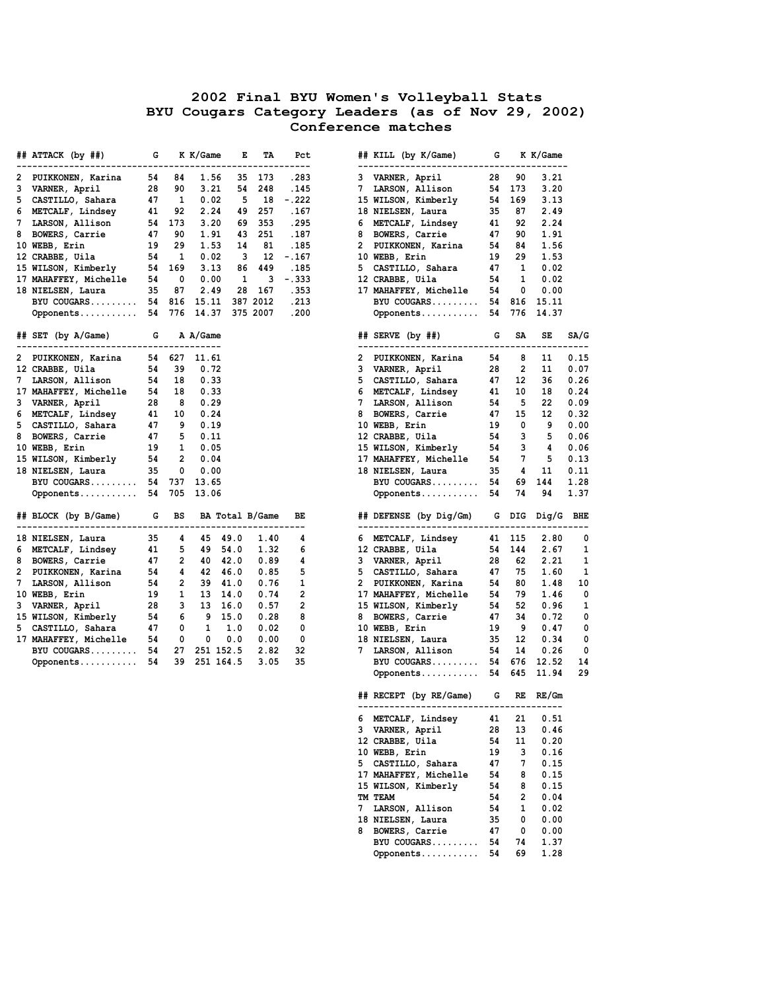| ## ATTACK (by ##)                                                      |    | G                                                            | K K/Game           | Е              | TA     | Pct<br>----------        |   | ## KILL (by K/Game)                                                                                                                                                                                                                           | G        |        | K K/Game             |      |
|------------------------------------------------------------------------|----|--------------------------------------------------------------|--------------------|----------------|--------|--------------------------|---|-----------------------------------------------------------------------------------------------------------------------------------------------------------------------------------------------------------------------------------------------|----------|--------|----------------------|------|
| PUIKKONEN, Karina<br>2                                                 |    | 54 84                                                        | 1.56               |                | 35 173 | .283                     |   | 3 VARNER, April                                                                                                                                                                                                                               | 28       | 90     | 3.21                 |      |
| 3 VARNER, April                                                        | 28 | 90                                                           | 3.21               |                | 54 248 | .145                     |   | 7 LARSON, Allison                                                                                                                                                                                                                             |          | 54 173 | 3.20                 |      |
| 5 CASTILLO, Sahara                                                     |    | 47 1                                                         |                    |                |        | $0.02$ 5 18 $-.222$      |   | 15 WILSON, Kimberly                                                                                                                                                                                                                           |          | 54 169 | 3.13                 |      |
| 6 METCALF, Lindsey 41 92                                               |    |                                                              | 2.24               |                |        | 49 257 .167              |   | 18 NIELSEN, Laura 194 169 3.13<br>18 NETCALF, Lindsey<br>6 METCALF, Lindsey<br>4 92 2.24<br>8 BOWERS, Carrie 47 90 1.91<br>2 PUIKKONEN, Karina 54 84 1.56<br>10 WEBB, Erin 19 29 1.53<br>5 CASTILLO, Sahara 47 1 0.02<br>12 CRABBE, Ulla 54 1 |          |        |                      |      |
| 7 LARSON, Allison                                                      |    | 54 173                                                       |                    |                |        | 3.20 69 353 .295         |   |                                                                                                                                                                                                                                               |          |        |                      |      |
| 8                                                                      |    |                                                              | 1.91               |                | 43 251 | .187                     |   |                                                                                                                                                                                                                                               |          |        |                      |      |
| 10 WEBB, Erin                                                          |    |                                                              |                    |                |        | 1.53 14 81 .185          |   |                                                                                                                                                                                                                                               |          |        |                      |      |
| 12 CRABBE, Uila 54 1<br>15 WILSON, Kimberly 54 169                     |    |                                                              | 0.02               |                |        | $3 \quad 12 \quad -.167$ |   |                                                                                                                                                                                                                                               |          |        |                      |      |
|                                                                        |    |                                                              | 3.13               |                |        | 86 449 .185              |   |                                                                                                                                                                                                                                               |          |        |                      |      |
| 17 MAHAFFEY, Michelle 54 0                                             |    |                                                              | 0.00               | $\overline{1}$ |        | $3 - .333$               |   |                                                                                                                                                                                                                                               |          |        |                      |      |
| 18 NIELSEN, Laura 35 87                                                |    |                                                              |                    |                |        | 2.49 28 167 .353         |   | 17 MAHAFFEY, Michelle                                                                                                                                                                                                                         | 54 - 1   |        | $\mathbf{0}$<br>0.00 |      |
| BYU COUGARS 54 816 15.11 387 2012                                      |    |                                                              |                    |                |        | .213                     |   | BYU COUGARS 54 816 15.11                                                                                                                                                                                                                      |          |        |                      |      |
| Opponents 54 776 14.37 375 2007                                        |    |                                                              |                    |                |        | .200                     |   | Opponents 54 776 14.37                                                                                                                                                                                                                        |          |        |                      |      |
| ## SET (by A/Game) G A A/Game<br>------------------------------------- |    |                                                              |                    |                |        |                          |   | ## SERVE (by ##) G SA<br>--------------------------------------                                                                                                                                                                               |          |        | SE                   | SA/G |
| PUIKKONEN, Karina<br>2                                                 |    |                                                              | 54 627 11.61       |                |        |                          |   | 2 PUIKKONEN, Karina                                                                                                                                                                                                                           | 54       | 8      | 11                   | 0.15 |
| 12 CRABBE, Uila                                                        |    | 54 39                                                        | 0.72               |                |        |                          |   | 3 VARNER, April                                                                                                                                                                                                                               | 28       |        | 2 11                 | 0.07 |
| 7 LARSON, Allison                                                      |    |                                                              | 54 18 0.33         |                |        |                          |   | 5 CASTILLO, Sahara                                                                                                                                                                                                                            | 47       | 12     | 36                   | 0.26 |
| 17 MAHAFFEY, Michelle 54 18 0.33                                       |    |                                                              |                    |                |        |                          |   | 6 METCALF, Lindsey                                                                                                                                                                                                                            | 41       | 10     | 18                   | 0.24 |
| 3 VARNER, April                                                        |    |                                                              | 28 8 0.29          |                |        |                          |   | 7 LARSON, Allison                                                                                                                                                                                                                             |          | 54 5   | 22                   | 0.09 |
| 6 METCALF, Lindsey 41 10                                               |    |                                                              | 0.24               |                |        |                          |   | 8 BOWERS, Carrie                                                                                                                                                                                                                              | 47       | 15     | 12                   | 0.32 |
| 5 CASTILLO, Sahara                                                     |    |                                                              | 47 9 0.19          |                |        |                          |   | 10 WEBB, Erin                                                                                                                                                                                                                                 |          |        | 19 0 9               | 0.00 |
| 8 BOWERS, Carrie 47 5 0.11                                             |    |                                                              |                    |                |        |                          |   |                                                                                                                                                                                                                                               |          | 54 3   | 5                    | 0.06 |
| 10 WEBB, Erin                                                          |    |                                                              | 19 1 0.05          |                |        |                          |   | 12 CRABBE, Uila<br>15 WILSON, Kimberly                                                                                                                                                                                                        |          | 54 3   | 4                    | 0.06 |
|                                                                        |    |                                                              |                    |                |        |                          |   | 17 MAHAFFEY, Michelle                                                                                                                                                                                                                         |          |        | 54 7 5               | 0.13 |
| 15 WILSON, Kimberly 54 2 0.04<br>18 NIELSEN, Laura 35 0 0.00           |    |                                                              |                    |                |        |                          |   | 18 NIELSEN, Laura                                                                                                                                                                                                                             |          |        | 35 4 11              | 0.11 |
| BYU COUGARS 54 737 13.65                                               |    |                                                              |                    |                |        |                          |   | BYU COUGARS 54 69 144                                                                                                                                                                                                                         |          |        |                      | 1.28 |
| Opponents 54 705 13.06                                                 |    |                                                              |                    |                |        |                          |   | Opponents 54 74 94                                                                                                                                                                                                                            |          |        |                      | 1.37 |
| ## BLOCK (by B/Game)    G   BS   BA Total B/Game                       |    |                                                              |                    |                |        | BE                       |   | ## DEFENSE (by Dig/Gm) G DIG Dig/G BHE                                                                                                                                                                                                        |          |        |                      |      |
| 18 NIELSEN, Laura                                                      | 35 | 4                                                            |                    | 45 49.0        | 1.40   | 4                        |   | 6 METCALF, Lindsey                                                                                                                                                                                                                            |          | 41 115 | 2.80                 | 0    |
| 6 METCALF, Lindsey 41 5                                                |    |                                                              |                    | 49 54.0        | 1.32   | 6                        |   | 12 CRABBE, Uila                                                                                                                                                                                                                               |          | 54 144 | 2.67                 | 1    |
| 8 BOWERS, Carrie                                                       |    | 47 2                                                         |                    | 40 42.0        | 0.89   | 4                        |   | 3 VARNER, April                                                                                                                                                                                                                               |          |        | 28 62 2.21           | 1    |
| 2 PUIKKONEN, Karina 54 4 42 46.0                                       |    |                                                              |                    |                | 0.85   | 5                        |   | 5 CASTILLO, Sahara $\begin{array}{cccc} 47 & 75 & 1.60 \\ 1 & 2 & 3 & 1.60 \end{array}$                                                                                                                                                       |          |        |                      | 1    |
| 7 LARSON, Allison                                                      |    |                                                              | 54   2   39   41.0 |                | 0.76   | $\mathbf{1}$             |   | 2 PUIKKONEN, Karina                                                                                                                                                                                                                           |          |        | 54 80 1.48           | 10   |
| 10 WEBB, Erin                                                          |    | $\begin{array}{cc} 19 & \quad 1 \\ 28 & \quad 3 \end{array}$ |                    | 13 14.0        | 0.74   | $\overline{2}$           |   | 17 MAHAFFEY, Michelle                                                                                                                                                                                                                         |          |        | 54 79 1.46           | 0    |
| 3 VARNER, April                                                        |    |                                                              |                    | 13 16.0        | 0.57   | $\mathbf{2}$             |   | 15 WILSON, Kimberly                                                                                                                                                                                                                           |          | 54 52  | 0.96                 | 1    |
| 15 WILSON, Kimberly 54 6 9 15.0<br>5 CASTILLO, Sahara 47 0 1 1.0       |    |                                                              |                    |                | 0.28   | 8                        |   | 8 BOWERS, Carrie<br>10 WEBB Eric                                                                                                                                                                                                              | 47       | 34     | 0.72                 | 0    |
|                                                                        |    |                                                              |                    |                | 0.02   | 0                        |   |                                                                                                                                                                                                                                               |          |        | 19 9 0.47            | 0    |
| 17 MAHAFFEY, Michelle 54 0 0                                           |    |                                                              |                    | 0.0            | 0.00   | $\overline{\phantom{0}}$ |   | 10 WEBB, Erin<br>18 NIELSEN, Laura<br>7 LARSON, Allison                                                                                                                                                                                       |          |        | 35 12 0.34           | 0    |
| BYU COUGARS 54 27 251 152.5                                            |    |                                                              |                    |                | 2.82   | 32                       |   |                                                                                                                                                                                                                                               |          | 54 14  | 0.26                 | 0    |
| Opponents 54 39 251 164.5                                              |    |                                                              |                    |                | 3.05   | 35                       |   | BYU COUGARS 54 676 12.52                                                                                                                                                                                                                      |          |        |                      | 14   |
|                                                                        |    |                                                              |                    |                |        |                          |   | Opponents 54 645 11.94                                                                                                                                                                                                                        |          |        |                      | 29   |
|                                                                        |    |                                                              |                    |                |        |                          |   | ## RECEPT (by RE/Game) G RE RE/Gm<br>-------------------------------------                                                                                                                                                                    |          |        |                      |      |
|                                                                        |    |                                                              |                    |                |        |                          |   | 6 METCALF, Lindsey                                                                                                                                                                                                                            | 41       | 21     | 0.51                 |      |
|                                                                        |    |                                                              |                    |                |        |                          |   | 3 VARNER, April                                                                                                                                                                                                                               | 28       | 13     | 0.46                 |      |
|                                                                        |    |                                                              |                    |                |        |                          |   | 12 CRABBE, Uila                                                                                                                                                                                                                               | 54       | 11     | 0.20                 |      |
|                                                                        |    |                                                              |                    |                |        |                          |   | 10 WEBB, Erin                                                                                                                                                                                                                                 | 19       | 3      | 0.16                 |      |
|                                                                        |    |                                                              |                    |                |        |                          |   |                                                                                                                                                                                                                                               |          |        |                      |      |
|                                                                        |    |                                                              |                    |                |        |                          |   | 5 CASTILLO, Sahara                                                                                                                                                                                                                            | 47       | 7      | 0.15                 |      |
|                                                                        |    |                                                              |                    |                |        |                          |   | 17 MAHAFFEY, Michelle                                                                                                                                                                                                                         | 54       | 8      | 0.15                 |      |
|                                                                        |    |                                                              |                    |                |        |                          |   | 15 WILSON, Kimberly                                                                                                                                                                                                                           | 54       | 8      | 0.15                 |      |
|                                                                        |    |                                                              |                    |                |        |                          |   | TM TEAM                                                                                                                                                                                                                                       | 54       | 2      | 0.04                 |      |
|                                                                        |    |                                                              |                    |                |        |                          | 7 | LARSON, Allison                                                                                                                                                                                                                               | 54       | 1      | 0.02                 |      |
|                                                                        |    |                                                              |                    |                |        |                          |   | 18 NIELSEN, Laura<br>8 BOWERS, Carrie                                                                                                                                                                                                         | 35<br>47 | 0<br>0 | 0.00<br>0.00         |      |

**BYU COUGARS.......... 54 74 1.37 Opponents........... 54 69 1.28**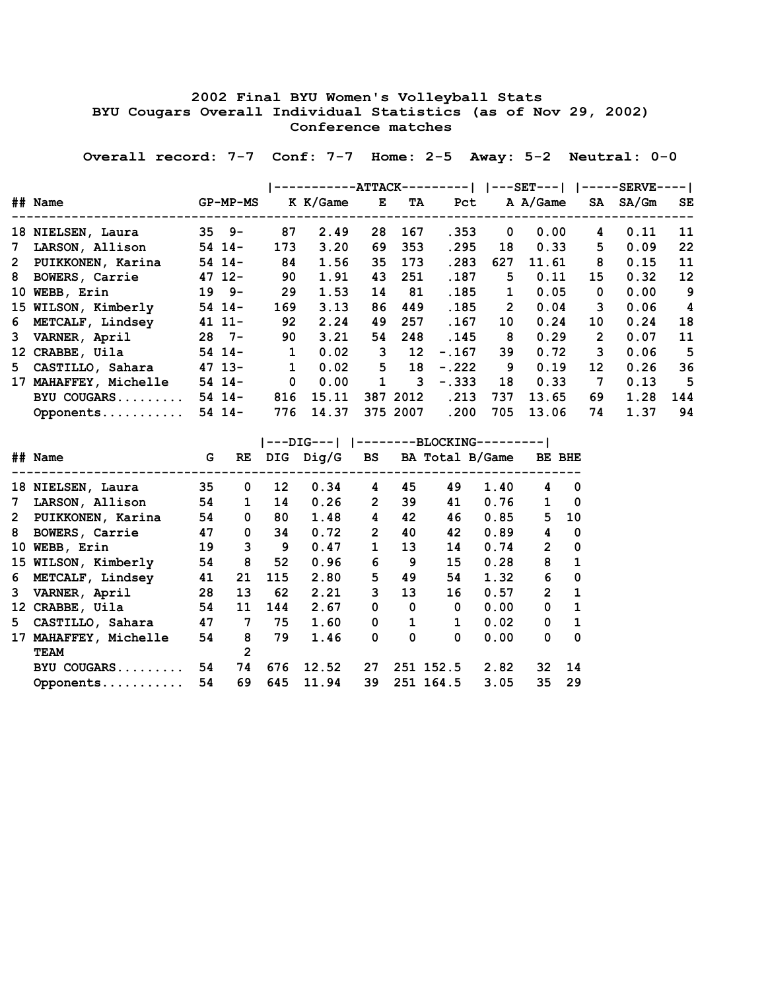## **2002 Final BYU Women's Volleyball Stats BYU Cougars Overall Individual Statistics (as of Nov 29, 2002) Conference matches**

 **Overall record: 7-7 Conf: 7-7 Home: 2-5 Away: 5-2 Neutral: 0-0**

|                       |             |              |          | <b>--ATTACK-</b> |                 | ——— I   |                | $---$ SET $---$ |                 | $---$ SERVE---- |                         |
|-----------------------|-------------|--------------|----------|------------------|-----------------|---------|----------------|-----------------|-----------------|-----------------|-------------------------|
| ## Name               | $GP-MP-MS$  |              | K K/Game | Е                | TA              | Pct     |                | A A/Game        | SA              | SA/Gm           | <b>SE</b>               |
| 18 NIELSEN, Laura     | $35 \t 9 -$ | 87           | 2.49     | 28               | 167             | .353    | 0              | 0.00            | 4               | 0.11            | 11                      |
| 7 LARSON, Allison     | $54$ 14-    | 173          | 3.20     | 69               | 353             | .295    | 18             | 0.33            | 5.              | 0.09            | 22                      |
| 2 PUIKKONEN, Karina   | $54$ 14-    | 84           | 1.56     | 35               | 173             | .283    | 627            | 11.61           | 8               | 0.15            | 11                      |
| 8 BOWERS, Carrie      | $47$ 12-    | 90           | 1.91     | 43               | 251             | .187    | 5              | 0.11            | 15              | 0.32            | $12 \overline{ }$       |
| 10 WEBB, Erin         | $19 9-$     | 29           | 1.53     | 14               | 81              | .185    | $\mathbf{1}$   | 0.05            | 0               | 0.00            | 9                       |
| 15 WILSON, Kimberly   | $54$ 14-    | 169          | 3.13     | 86               | 449             | .185    | $\overline{2}$ | 0.04            | 3               | 0.06            | $\overline{\mathbf{4}}$ |
| 6 METCALF, Lindsey    | $4111-$     | 92           | 2.24     | 49               | 257             | .167    | 10             | 0.24            | 10              | 0.24            | 18                      |
| 3 VARNER, April       | $28$ 7-     | 90           | 3.21     | 54               | 248             | .145    | 8              | 0.29            | $\overline{2}$  | 0.07            | 11                      |
| 12 CRABBE, Uila       | $54$ 14-    | $\mathbf{1}$ | 0.02     | 3                | 12 <sup>°</sup> | $-.167$ | 39             | 0.72            | 3               | 0.06            | 5                       |
| 5 CASTILLO, Sahara    | $47$ 13-    | $\mathbf{1}$ | 0.02     | 5                | 18              | $-.222$ | 9              | 0.19            | 12 <sup>2</sup> | 0.26            | 36                      |
| 17 MAHAFFEY, Michelle | $54$ 14-    | $\mathbf 0$  | 0.00     | $\mathbf{1}$     | 3               | $-.333$ | 18             | 0.33            | $\overline{7}$  | 0.13            | 5                       |
| BYU COUGARS           | $54$ 14-    | 816          | 15.11    |                  | 387 2012        | .213    | 737            | 13.65           | 69              | 1.28            | 144                     |
| Opponents             | $54$ 14-    | 776          | 14.37    |                  | 375 2007        | .200    | 705            | 13.06           | 74              | 1.37            | 94                      |

|                 | ## Name               | G  | RE             |     |       |                |              |              | DIG Dig/G BS BA Total B/Game |                | BE BHE       |
|-----------------|-----------------------|----|----------------|-----|-------|----------------|--------------|--------------|------------------------------|----------------|--------------|
|                 | 18 NIELSEN, Laura     | 35 | 0              | 12  | 0.34  | 4              | 45           | 49           | 1.40                         | 4              | $\Omega$     |
| 7               | LARSON, Allison       | 54 | $\mathbf{1}$   | 14  | 0.26  | $\overline{2}$ | 39           | 41           | 0.76                         | $\mathbf{1}$   | $\Omega$     |
|                 | 2 PUIKKONEN, Karina   | 54 | $\mathbf 0$    | 80  | 1.48  | 4              | 42           | 46           | 0.85                         | 5              | 10           |
| 8               | BOWERS, Carrie        | 47 | $\mathbf{0}$   | 34  | 0.72  | $\overline{2}$ | 40           | 42           | 0.89                         | 4              | $\Omega$     |
| 10              | WEBB, Erin            | 19 | 3              | 9   | 0.47  | $\mathbf{1}$   | 13           | 14           | 0.74                         | $\overline{2}$ | $\Omega$     |
|                 | 15 WILSON, Kimberly   | 54 | 8              | 52  | 0.96  | 6              | 9            | 15           | 0.28                         | 8              | 1            |
| 6               | METCALF, Lindsey      | 41 | 21             | 115 | 2.80  | 5              | 49           | 54           | 1.32                         | 6              | $\Omega$     |
|                 | 3 VARNER, April       | 28 | 13             | 62  | 2.21  | 3              | 13           | 16           | 0.57                         | $\overline{2}$ | $\mathbf{1}$ |
| 12 <sup>°</sup> | CRABBE, Uila          | 54 | 11             | 144 | 2.67  | 0              | 0            | 0            | 0.00                         | $\mathbf 0$    | 1            |
| 5.              | CASTILLO, Sahara      | 47 | 7              | 75  | 1.60  | 0              | $\mathbf{1}$ | $\mathbf{1}$ | 0.02                         | $\mathbf 0$    | 1            |
|                 | 17 MAHAFFEY, Michelle | 54 | 8              | 79  | 1.46  | $\Omega$       | $\Omega$     | $\Omega$     | 0.00                         | 0              | $\Omega$     |
|                 | <b>TEAM</b>           |    | $\overline{2}$ |     |       |                |              |              |                              |                |              |
|                 | BYU COUGARS           | 54 | 74             | 676 | 12.52 | 27             |              | 251 152.5    | 2.82                         | 32             | 14           |
|                 | Opponents             | 54 | 69             | 645 | 11.94 | 39             |              | 251 164.5    | 3.05                         | 35             | 29           |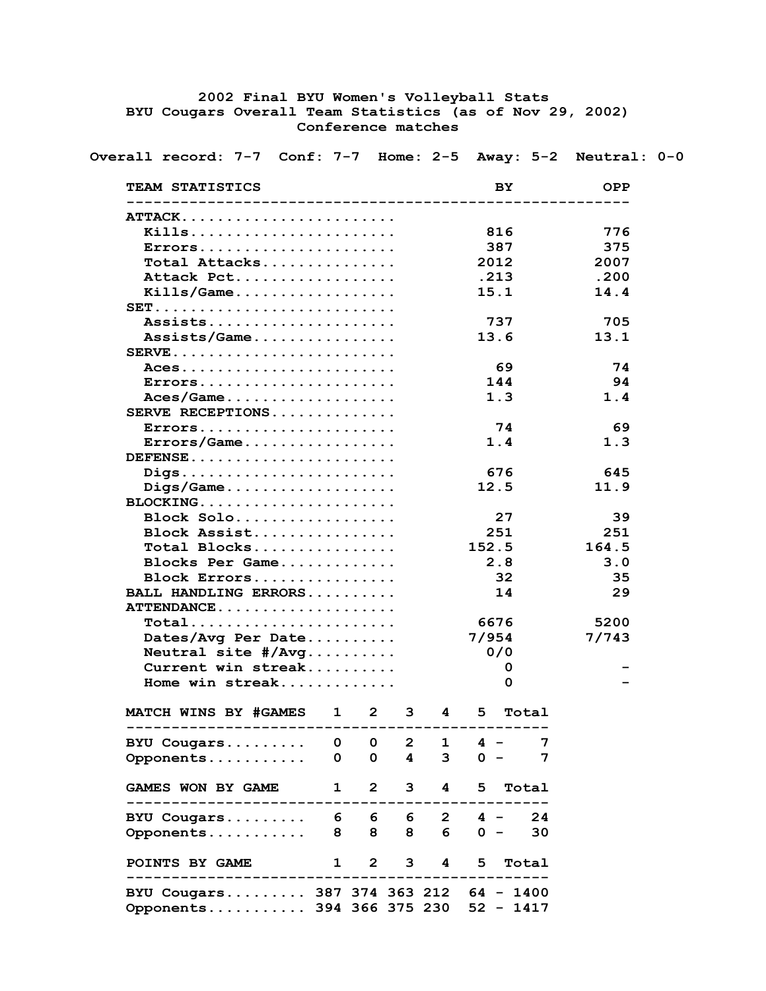## **2002 Final BYU Women's Volleyball Stats BYU Cougars Overall Team Statistics (as of Nov 29, 2002) Conference matches**

 **Overall record: 7-7 Conf: 7-7 Home: 2-5 Away: 5-2 Neutral: 0-0**

| TEAM STATISTICS                                                    |              |                              |                         |                     |                              | BY.         | <b>OPP</b> |
|--------------------------------------------------------------------|--------------|------------------------------|-------------------------|---------------------|------------------------------|-------------|------------|
|                                                                    |              |                              |                         |                     |                              |             |            |
| <b>ATTACK</b>                                                      |              |                              |                         |                     |                              |             |            |
| Kills                                                              |              |                              |                         |                     |                              | 816         | 776        |
| Errors                                                             |              |                              |                         |                     |                              | 387         | 375        |
| Total Attacks                                                      |              |                              |                         |                     |                              | 2012        | 2007       |
| Attack Pct                                                         |              |                              |                         |                     |                              | .213        | .200       |
|                                                                    |              |                              |                         |                     |                              | 15.1        | 14.4       |
|                                                                    |              |                              |                         |                     |                              |             |            |
| Assists                                                            |              |                              |                         |                     |                              | 737         | 705        |
| Assists/Game                                                       |              |                              |                         |                     |                              | 13.6        | 13.1       |
| $SERVE$                                                            |              |                              |                         |                     |                              |             |            |
| $ACes$                                                             |              |                              |                         |                     |                              | 69.         | 74         |
| Errors                                                             |              |                              |                         |                     |                              | 144         | 94         |
|                                                                    |              |                              |                         |                     |                              | 1.3         | 1.4        |
| SERVE RECEPTIONS                                                   |              |                              |                         |                     |                              |             |            |
| Errors                                                             |              |                              |                         |                     |                              | 74          | 69         |
| $\texttt{Errors}/\texttt{Game} \ldots \ldots \ldots \ldots \ldots$ |              |                              |                         |                     |                              | 1.4         | 1.3        |
| DEFENSE                                                            |              |                              |                         |                     |                              |             |            |
| Digs                                                               |              |                              |                         |                     |                              | 676         | 645        |
| $\text{Digs/Game} \ldots \ldots \ldots \ldots \ldots \ldots$       |              |                              |                         |                     |                              | 12.5        | 11.9       |
| BLOCKING                                                           |              |                              |                         |                     |                              |             |            |
| Block Solo                                                         |              |                              |                         |                     |                              | 27          | 39         |
| Block Assist                                                       |              |                              |                         |                     |                              | 251         | 251        |
| Total Blocks                                                       |              |                              |                         |                     |                              | 152.5       | 164.5      |
| Blocks Per Game                                                    |              |                              |                         |                     |                              | 2.8         | 3.0        |
| Block Errors                                                       |              |                              |                         |                     |                              | 32          | 35         |
| BALL HANDLING ERRORS                                               |              |                              |                         |                     |                              | 14          | 29         |
| ATTENDANCE                                                         |              |                              |                         |                     |                              |             |            |
| Total                                                              |              |                              |                         |                     |                              | 6676        | 5200       |
| Dates/Avg Per Date                                                 |              |                              |                         |                     |                              | 7/954       | 7/743      |
| Neutral site $\#/Avg \ldots \ldots$                                |              |                              |                         |                     |                              | 0/0         |            |
| Current win streak                                                 |              |                              |                         |                     |                              | 0           |            |
| Home win streak                                                    |              |                              |                         |                     |                              | 0           |            |
|                                                                    |              |                              |                         |                     |                              |             |            |
| <b>MATCH WINS BY #GAMES</b>                                        |              | $\mathbf{1}$<br>$\mathbf{2}$ | 3                       |                     | $\overline{\mathbf{4}}$<br>5 | Total       |            |
| BYU Cougars                                                        | $\mathbf{O}$ | $\mathbf{0}$                 | $\mathbf{2}$            | $\mathbf{1}$        | $4 -$                        | 7           |            |
| Opponents                                                          | 0            | $\mathbf{O}$                 | $\overline{\mathbf{4}}$ | 3 <sup>7</sup>      |                              | $0 -$<br>7  |            |
|                                                                    |              |                              |                         |                     |                              |             |            |
| <b>GAMES WON BY GAME</b>                                           | $\mathbf{1}$ |                              | $2^{\circ}$             | $3^{\circ}$         | $\overline{\mathbf{4}}$<br>5 | Total       |            |
| BYU Cougars 6 6 6 6 2 4 - 24                                       |              |                              |                         |                     |                              |             |            |
| Opponents                                                          | 8            | 8                            |                         | 6<br>8              |                              | $0 -$<br>30 |            |
| <b>POINTS BY GAME</b>                                              |              | $1 \quad$                    |                         | $2 \quad 3 \quad 4$ | 5                            | Total       |            |
| BYU Cougars 387 374 363 212 64 - 1400                              |              |                              |                         |                     |                              |             |            |
| Opponents 394 366 375 230 52 - 1417                                |              |                              |                         |                     |                              |             |            |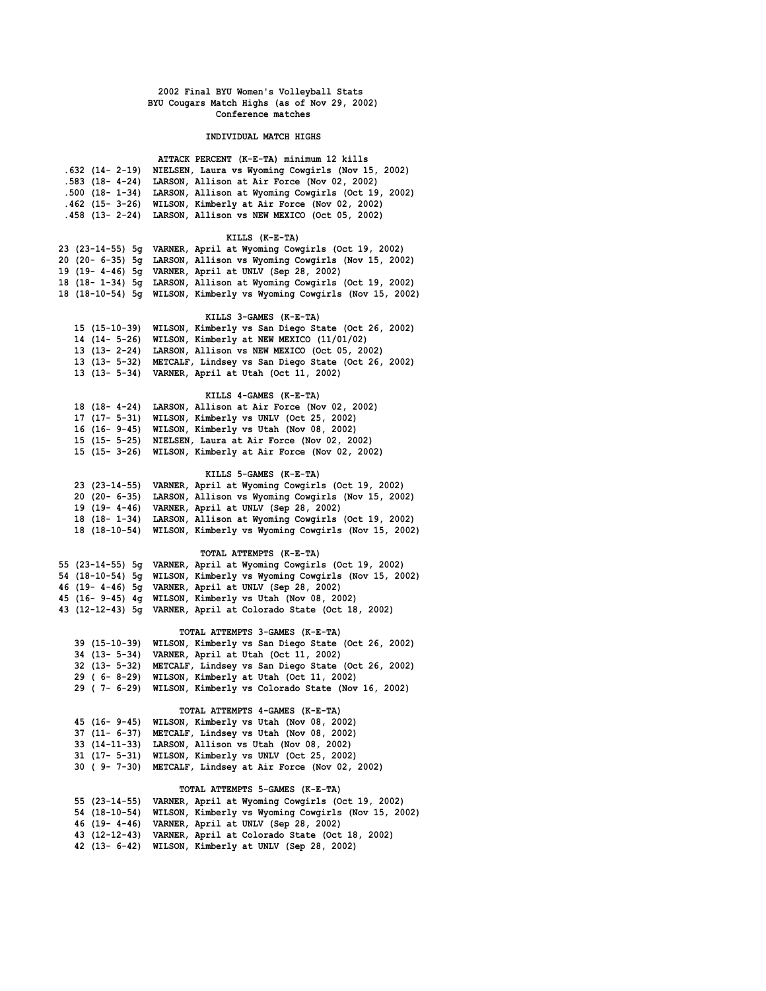### **INDIVIDUAL MATCH HIGHS**

| .632 (14- 2-19) NIELSEN, Laura vs Wyoming Cowgirls (Nov 15, 2002)<br>.583 (18- 4-24) LARSON, Allison at Air Force (Nov 02, 2002)<br>.500 (18- 1-34) LARSON, Allison at Wyoming Cowgirls (Oct 19, 2002)<br>.462 (15- 3-26) WILSON, Kimberly at Air Force (Nov 02, 2002)<br>.458 (13- 2-24) LARSON, Allison vs NEW MEXICO (Oct 05, 2002) | ATTACK PERCENT (K-E-TA) minimum 12 kills |
|----------------------------------------------------------------------------------------------------------------------------------------------------------------------------------------------------------------------------------------------------------------------------------------------------------------------------------------|------------------------------------------|
|                                                                                                                                                                                                                                                                                                                                        |                                          |
|                                                                                                                                                                                                                                                                                                                                        |                                          |
|                                                                                                                                                                                                                                                                                                                                        |                                          |
|                                                                                                                                                                                                                                                                                                                                        |                                          |
|                                                                                                                                                                                                                                                                                                                                        |                                          |

### **KILLS (K-E-TA)**

|  | 23 (23-14-55) 5q VARNER, April at Wyoming Cowgirls (Oct 19, 2002)    |
|--|----------------------------------------------------------------------|
|  | 20 (20- 6-35) 5q LARSON, Allison vs Wyoming Cowgirls (Nov 15, 2002)  |
|  | 19 (19- 4-46) 5q VARNER, April at UNLV (Sep 28, 2002)                |
|  | 18 (18-1-34) 5q LARSON, Allison at Wyoming Cowgirls (Oct 19, 2002)   |
|  | 18 (18-10-54) 5q WILSON, Kimberly vs Wyoming Cowgirls (Nov 15, 2002) |

## **KILLS 3-GAMES (K-E-TA)**

| 15 (15-10-39) WILSON, Kimberly vs San Diego State (Oct 26, 2002) |
|------------------------------------------------------------------|
| 14 (14- 5-26) WILSON, Kimberly at NEW MEXICO (11/01/02)          |
| 13 (13- 2-24) LARSON, Allison vs NEW MEXICO (Oct 05, 2002)       |
| 13 (13- 5-32) METCALF, Lindsey vs San Diego State (Oct 26, 2002) |
| 13 (13- 5-34) VARNER, April at Utah (Oct 11, 2002)               |

### **KILLS 4-GAMES (K-E-TA)**

| 18 (18- 4-24) LARSON, Allison at Air Force (Nov 02, 2002)  |
|------------------------------------------------------------|
| 17 (17- 5-31) WILSON, Kimberly vs UNLV (Oct 25, 2002)      |
| 16 (16- 9-45) WILSON, Kimberly vs Utah (Nov 08, 2002)      |
| 15 (15- 5-25) NIELSEN, Laura at Air Force (Nov 02, 2002)   |
| 15 (15- 3-26) WILSON, Kimberly at Air Force (Nov 02, 2002) |
|                                                            |

## **KILLS 5-GAMES (K-E-TA)**

|  | 23 (23-14-55) VARNER, April at Wyoming Cowgirls (Oct 19, 2002)    |
|--|-------------------------------------------------------------------|
|  | 20 (20 - 6-35) LARSON, Allison vs Wyoming Cowgirls (Nov 15, 2002) |
|  | 19 (19- 4-46) VARNER, April at UNLV (Sep 28, 2002)                |
|  | 18 (18-1-34) LARSON, Allison at Wyoming Cowgirls (Oct 19, 2002)   |
|  | 18 (18-10-54) WILSON, Kimberly vs Wyoming Cowgirls (Nov 15, 2002) |

#### **TOTAL ATTEMPTS (K-E-TA)**

|  |  | 55 (23-14-55) 5g VARNER, April at Wyoming Cowgirls (Oct 19, 2002)    |
|--|--|----------------------------------------------------------------------|
|  |  | 54 (18-10-54) 5g WILSON, Kimberly vs Wyoming Cowgirls (Nov 15, 2002) |
|  |  | 46 (19- 4-46) 5q VARNER, April at UNLV (Sep 28, 2002)                |
|  |  | 45 (16- 9-45) 4q WILSON, Kimberly vs Utah (Nov 08, 2002)             |
|  |  | 43 (12-12-43) 5q VARNER, April at Colorado State (Oct 18, 2002)      |
|  |  |                                                                      |

## **TOTAL ATTEMPTS 3-GAMES (K-E-TA)**

| 39 (15-10-39) WILSON, Kimberly vs San Diego State (Oct 26, 2002) |
|------------------------------------------------------------------|
| 34 (13- 5-34) VARNER, April at Utah (Oct 11, 2002)               |
| 32 (13- 5-32) METCALF, Lindsey vs San Diego State (Oct 26, 2002) |
| 29 (6-8-29) WILSON, Kimberly at Utah (Oct 11, 2002)              |
| 29 (7-6-29) WILSON, Kimberly vs Colorado State (Nov 16, 2002)    |

### **TOTAL ATTEMPTS 4-GAMES (K-E-TA)**

| 45 (16- 9-45) WILSON, Kimberly vs Utah (Nov 08, 2002)    |
|----------------------------------------------------------|
| 37 (11- 6-37) METCALF, Lindsey vs Utah (Nov 08, 2002)    |
| 33 (14-11-33) LARSON, Allison vs Utah (Nov 08, 2002)     |
| 31 (17- 5-31) WILSON, Kimberly vs UNLV (Oct 25, 2002)    |
| 30 (9-7-30) METCALF, Lindsey at Air Force (Nov 02, 2002) |

#### **TOTAL ATTEMPTS 5-GAMES (K-E-TA)**

| 55 (23-14-55) VARNER, April at Wyoming Cowgirls (Oct 19, 2002)    |
|-------------------------------------------------------------------|
| 54 (18-10-54) WILSON, Kimberly vs Wyoming Cowgirls (Nov 15, 2002) |
| 46 (19- 4-46) VARNER, April at UNLV (Sep 28, 2002)                |
| 43 (12-12-43) VARNER, April at Colorado State (Oct 18, 2002)      |
| 42 (13- 6-42) WILSON, Kimberly at UNLV (Sep 28, 2002)             |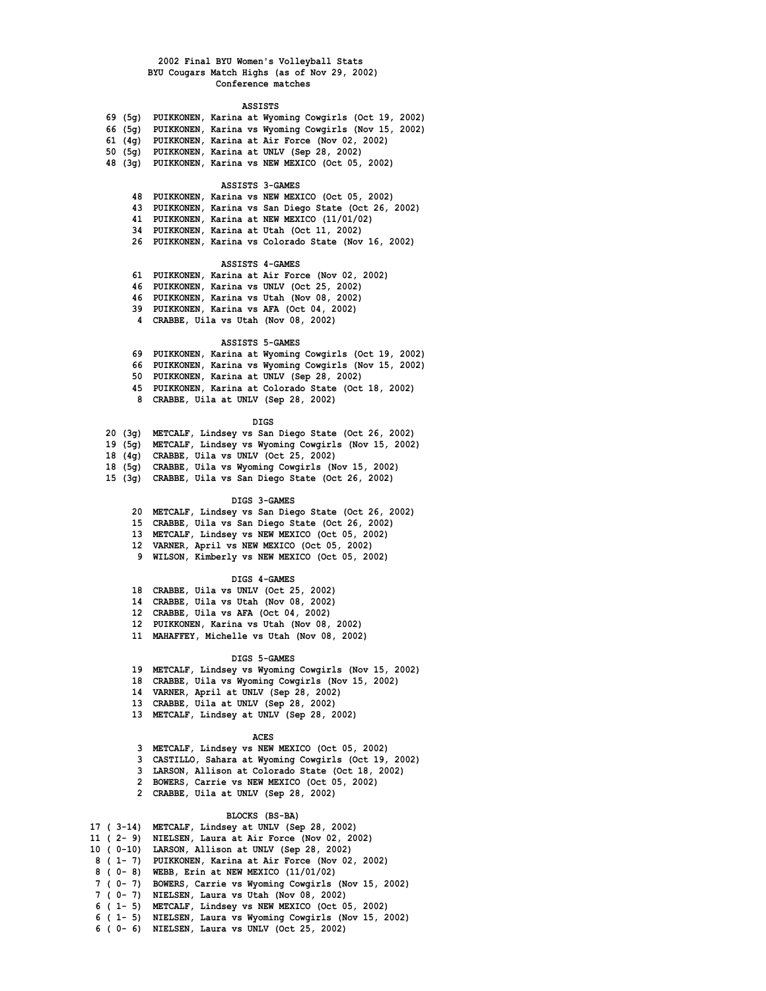#### **ASSISTS**

|         |  | 69 (5q) PUIKKONEN, Karina at Wyoming Cowgirls (Oct 19, 2002) |
|---------|--|--------------------------------------------------------------|
| 66 (5σ) |  | PUIKKONEN, Karina vs Wyoming Cowgirls (Nov 15, 2002)         |
|         |  | 61 (4g) PUIKKONEN, Karina at Air Force (Nov 02, 2002)        |
|         |  | 50 (5g) PUIKKONEN, Karina at UNLV (Sep 28, 2002)             |
| 48 (3α) |  | PUIKKONEN, Karina vs NEW MEXICO (Oct 05, 2002)               |

### **ASSISTS 3-GAMES**

 **48 PUIKKONEN, Karina vs NEW MEXICO (Oct 05, 2002) 43 PUIKKONEN, Karina vs San Diego State (Oct 26, 2002) 41 PUIKKONEN, Karina at NEW MEXICO (11/01/02)**

- **34 PUIKKONEN, Karina at Utah (Oct 11, 2002)**
- **26 PUIKKONEN, Karina vs Colorado State (Nov 16, 2002)**

#### **ASSISTS 4-GAMES**

 **61 PUIKKONEN, Karina at Air Force (Nov 02, 2002) 46 PUIKKONEN, Karina vs UNLV (Oct 25, 2002)**

- **46 PUIKKONEN, Karina vs Utah (Nov 08, 2002)**
- **39 PUIKKONEN, Karina vs AFA (Oct 04, 2002)**
- **4 CRABBE, Uila vs Utah (Nov 08, 2002)**

### **ASSISTS 5-GAMES**

|  | 69 PUIKKONEN, Karina at Wyoming Cowgirls (Oct 19, 2002) |  |
|--|---------------------------------------------------------|--|
|  | 66 PUIKKONEN, Karina vs Wyoming Cowgirls (Nov 15, 2002) |  |
|  | 50 PUIKKONEN, Karina at UNLV (Sep 28, 2002)             |  |
|  | 45 PUIKKONEN, Karina at Colorado State (Oct 18, 2002)   |  |

 **8 CRABBE, Uila at UNLV (Sep 28, 2002)**

#### **DIGS**

- **20 (3g) METCALF, Lindsey vs San Diego State (Oct 26, 2002)**
- **19 (5g) METCALF, Lindsey vs Wyoming Cowgirls (Nov 15, 2002)**
- **18 (4g) CRABBE, Uila vs UNLV (Oct 25, 2002)**
- **18 (5g) CRABBE, Uila vs Wyoming Cowgirls (Nov 15, 2002)**
- **15 (3g) CRABBE, Uila vs San Diego State (Oct 26, 2002)**

#### **DIGS 3-GAMES**

- **20 METCALF, Lindsey vs San Diego State (Oct 26, 2002)**
- **15 CRABBE, Uila vs San Diego State (Oct 26, 2002)**
- **13 METCALF, Lindsey vs NEW MEXICO (Oct 05, 2002)**
- **12 VARNER, April vs NEW MEXICO (Oct 05, 2002)**
- **9 WILSON, Kimberly vs NEW MEXICO (Oct 05, 2002)**

#### **DIGS 4-GAMES**

- **18 CRABBE, Uila vs UNLV (Oct 25, 2002)**
- **14 CRABBE, Uila vs Utah (Nov 08, 2002)**
- **12 CRABBE, Uila vs AFA (Oct 04, 2002)**
- **12 PUIKKONEN, Karina vs Utah (Nov 08, 2002)**
- **11 MAHAFFEY, Michelle vs Utah (Nov 08, 2002)**

#### **DIGS 5-GAMES**

- **19 METCALF, Lindsey vs Wyoming Cowgirls (Nov 15, 2002)**
- **18 CRABBE, Uila vs Wyoming Cowgirls (Nov 15, 2002)**
- **14 VARNER, April at UNLV (Sep 28, 2002)**
- **13 CRABBE, Uila at UNLV (Sep 28, 2002)**
- **13 METCALF, Lindsey at UNLV (Sep 28, 2002)**

#### **ACES**

- **3 METCALF, Lindsey vs NEW MEXICO (Oct 05, 2002)**
- **3 CASTILLO, Sahara at Wyoming Cowgirls (Oct 19, 2002)**
- **3 LARSON, Allison at Colorado State (Oct 18, 2002)**
- **2 BOWERS, Carrie vs NEW MEXICO (Oct 05, 2002)**
- **2 CRABBE, Uila at UNLV (Sep 28, 2002)**

#### **BLOCKS (BS-BA)**

 **17 ( 3-14) METCALF, Lindsey at UNLV (Sep 28, 2002) 11 ( 2- 9) NIELSEN, Laura at Air Force (Nov 02, 2002) 10 ( 0-10) LARSON, Allison at UNLV (Sep 28, 2002) 8 ( 1- 7) PUIKKONEN, Karina at Air Force (Nov 02, 2002) 8 ( 0- 8) WEBB, Erin at NEW MEXICO (11/01/02) 7 ( 0- 7) BOWERS, Carrie vs Wyoming Cowgirls (Nov 15, 2002) 7 ( 0- 7) NIELSEN, Laura vs Utah (Nov 08, 2002) 6 ( 1- 5) METCALF, Lindsey vs NEW MEXICO (Oct 05, 2002) 6 ( 1- 5) NIELSEN, Laura vs Wyoming Cowgirls (Nov 15, 2002) 6 ( 0- 6) NIELSEN, Laura vs UNLV (Oct 25, 2002)**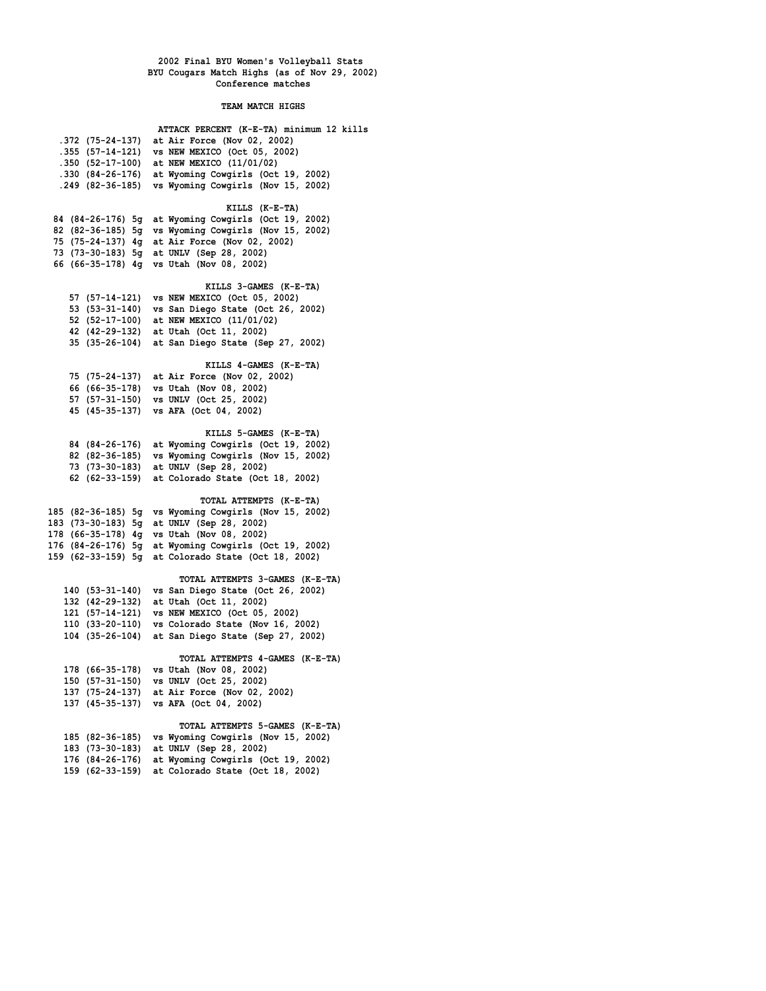### **TEAM MATCH HIGHS**

| ATTACK PERCENT (K-E-TA) minimum 12 kills                                                 |
|------------------------------------------------------------------------------------------|
| .372 (75-24-137) at Air Force (Nov 02, 2002)                                             |
| .355 (57-14-121) vs NEW MEXICO (Oct 05, 2002)                                            |
| .350 (52-17-100) at NEW MEXICO (11/01/02)                                                |
| .330 (84-26-176) at Wyoming Cowgirls (Oct 19, 2002)                                      |
| .249 (82-36-185) vs Wyoming Cowgirls (Nov 15, 2002)                                      |
|                                                                                          |
| KILLS (K-E-TA)                                                                           |
| 84 (84-26-176) 5g at Wyoming Cowgirls (Oct 19, 2002)                                     |
| 82 (82-36-185) 5g vs Wyoming Cowgirls (Nov 15, 2002)                                     |
| 75 (75-24-137) 4g at Air Force (Nov 02, 2002)                                            |
| 73 (73-30-183) 5g at UNLV (Sep 28, 2002)                                                 |
| 66 (66-35-178) 4g vs Utah (Nov 08, 2002)                                                 |
|                                                                                          |
| KILLS 3-GAMES (K-E-TA)                                                                   |
| 57 (57-14-121) vs NEW MEXICO (Oct 05, 2002)                                              |
| 53 (53-31-140) vs San Diego State (Oct 26, 2002)                                         |
| 52 (52-17-100) at NEW MEXICO (11/01/02)                                                  |
| 42 (42-29-132) at Utah (Oct 11, 2002)                                                    |
| 35 (35-26-104) at San Diego State (Sep 27, 2002)                                         |
|                                                                                          |
| KILLS 4-GAMES (K-E-TA)                                                                   |
| 75 (75-24-137) at Air Force (Nov 02, 2002)                                               |
| 66 (66-35-178) vs Utah (Nov 08, 2002)                                                    |
| 57 (57-31-150) vs UNLV (Oct 25, 2002)                                                    |
| 45 (45-35-137) vs AFA (Oct 04, 2002)                                                     |
|                                                                                          |
| KILLS 5-GAMES (K-E-TA)                                                                   |
| 84 (84-26-176) at Wyoming Cowgirls (Oct 19, 2002)                                        |
| 82 (82-36-185) vs Wyoming Cowgirls (Nov 15, 2002)                                        |
| 73 (73-30-183) at UNLV (Sep 28, 2002)<br>62 (62-33-159) at Colorado State (Oct 18, 2002) |
|                                                                                          |
| TOTAL ATTEMPTS (K-E-TA)                                                                  |
| 185 (82-36-185) 5g vs Wyoming Cowgirls (Nov 15, 2002)                                    |
| 183 (73-30-183) 5g at UNLV (Sep 28, 2002)                                                |
| 178 (66-35-178) 4g vs Utah (Nov 08, 2002)                                                |
| 176 (84-26-176) 5g at Wyoming Cowgirls (Oct 19, 2002)                                    |
| 159 (62-33-159) 5g at Colorado State (Oct 18, 2002)                                      |
|                                                                                          |
| TOTAL ATTEMPTS 3-GAMES (K-E-TA)                                                          |
| 140 (53-31-140) vs San Diego State (Oct 26, 2002)                                        |
| 132 (42-29-132) at Utah (Oct 11, 2002)                                                   |
| 121 (57-14-121) vs NEW MEXICO (Oct 05, 2002)                                             |
| 110 (33-20-110) vs Colorado State (Nov 16, 2002)                                         |
| 104 (35-26-104) at San Diego State (Sep 27, 2002)                                        |
|                                                                                          |
| TOTAL ATTEMPTS 4-GAMES (K-E-TA)                                                          |
| 178 (66-35-178) vs Utah (Nov 08, 2002)                                                   |
| 150 (57-31-150) vs UNLV (Oct 25, 2002)                                                   |
| 137 (75-24-137) at Air Force (Nov 02, 2002)                                              |
| 137 (45-35-137) vs AFA (Oct 04, 2002)                                                    |
|                                                                                          |
| TOTAL ATTEMPTS 5-GAMES (K-E-TA)                                                          |
| 185 (82-36-185) vs Wyoming Cowgirls (Nov 15, 2002)                                       |
| 183 (73-30-183) at UNLV (Sep 28, 2002)                                                   |
| 176 (84-26-176) at Wyoming Cowgirls (Oct 19, 2002)                                       |
| 159 (62-33-159) at Colorado State (Oct 18, 2002)                                         |
|                                                                                          |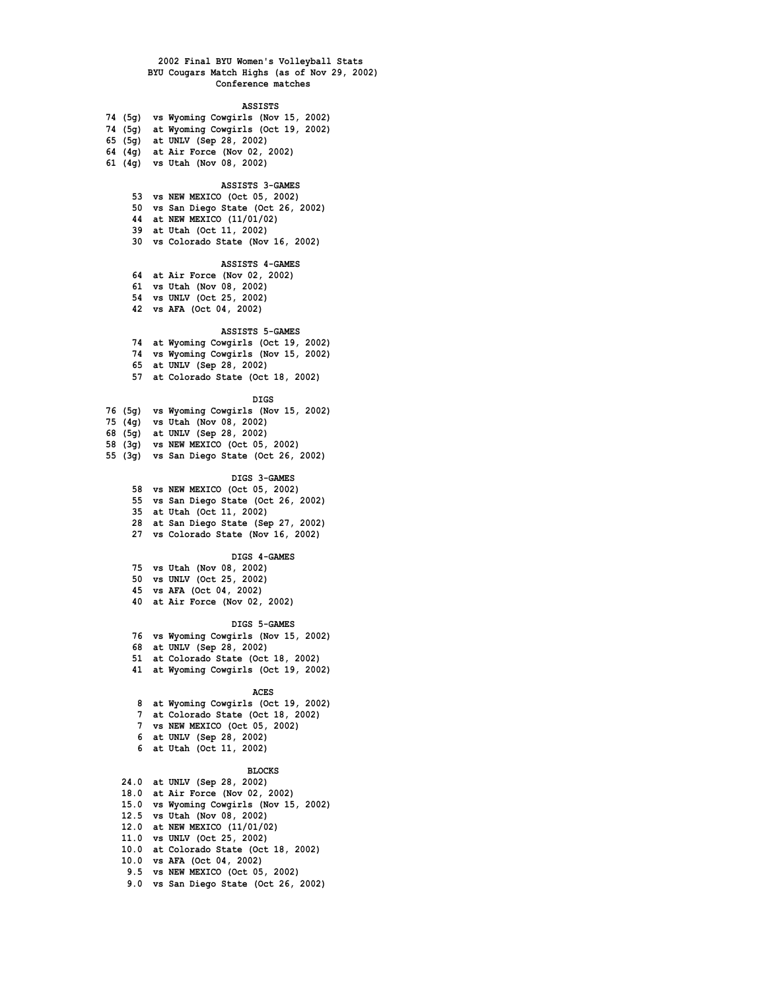**ASSISTS**

- **74 (5g) vs Wyoming Cowgirls (Nov 15, 2002)**
- **74 (5g) at Wyoming Cowgirls (Oct 19, 2002)**
- **65 (5g) at UNLV (Sep 28, 2002)**
- **64 (4g) at Air Force (Nov 02, 2002)**
- **61 (4g) vs Utah (Nov 08, 2002)**

### **ASSISTS 3-GAMES**

- **53 vs NEW MEXICO (Oct 05, 2002)**
- **50 vs San Diego State (Oct 26, 2002)**
- **44 at NEW MEXICO (11/01/02)**
- **39 at Utah (Oct 11, 2002)**
- **30 vs Colorado State (Nov 16, 2002)**

### **ASSISTS 4-GAMES**

- **64 at Air Force (Nov 02, 2002)**
- **61 vs Utah (Nov 08, 2002)**
- **54 vs UNLV (Oct 25, 2002)**
- **42 vs AFA (Oct 04, 2002)**

## **ASSISTS 5-GAMES**

- **74 at Wyoming Cowgirls (Oct 19, 2002)**
- **74 vs Wyoming Cowgirls (Nov 15, 2002)**
- **65 at UNLV (Sep 28, 2002)**
- **57 at Colorado State (Oct 18, 2002)**

### **DIGS**

- **76 (5g) vs Wyoming Cowgirls (Nov 15, 2002)**
- **75 (4g) vs Utah (Nov 08, 2002)**
- **68 (5g) at UNLV (Sep 28, 2002)**
- **58 (3g) vs NEW MEXICO (Oct 05, 2002)**
- **55 (3g) vs San Diego State (Oct 26, 2002)**

### **DIGS 3-GAMES**

- **58 vs NEW MEXICO (Oct 05, 2002)**
- **55 vs San Diego State (Oct 26, 2002)**
- **35 at Utah (Oct 11, 2002)**
- **28 at San Diego State (Sep 27, 2002)**
- **27 vs Colorado State (Nov 16, 2002)**

### **DIGS 4-GAMES**

- **75 vs Utah (Nov 08, 2002)**
- **50 vs UNLV (Oct 25, 2002)**
- **45 vs AFA (Oct 04, 2002)**
- **40 at Air Force (Nov 02, 2002)**

### **DIGS 5-GAMES**

- **76 vs Wyoming Cowgirls (Nov 15, 2002)**
- **68 at UNLV (Sep 28, 2002)**
- **51 at Colorado State (Oct 18, 2002)**
- **41 at Wyoming Cowgirls (Oct 19, 2002)**

#### **ACES**

- **8 at Wyoming Cowgirls (Oct 19, 2002)**
- **7 at Colorado State (Oct 18, 2002)**
- **7 vs NEW MEXICO (Oct 05, 2002)**
- **6 at UNLV (Sep 28, 2002)**
- **6 at Utah (Oct 11, 2002)**

#### **BLOCKS**

 **24.0 at UNLV (Sep 28, 2002) 18.0 at Air Force (Nov 02, 2002) 15.0 vs Wyoming Cowgirls (Nov 15, 2002) 12.5 vs Utah (Nov 08, 2002) 12.0 at NEW MEXICO (11/01/02) 11.0 vs UNLV (Oct 25, 2002) 10.0 at Colorado State (Oct 18, 2002) 10.0 vs AFA (Oct 04, 2002) 9.5 vs NEW MEXICO (Oct 05, 2002) 9.0 vs San Diego State (Oct 26, 2002)**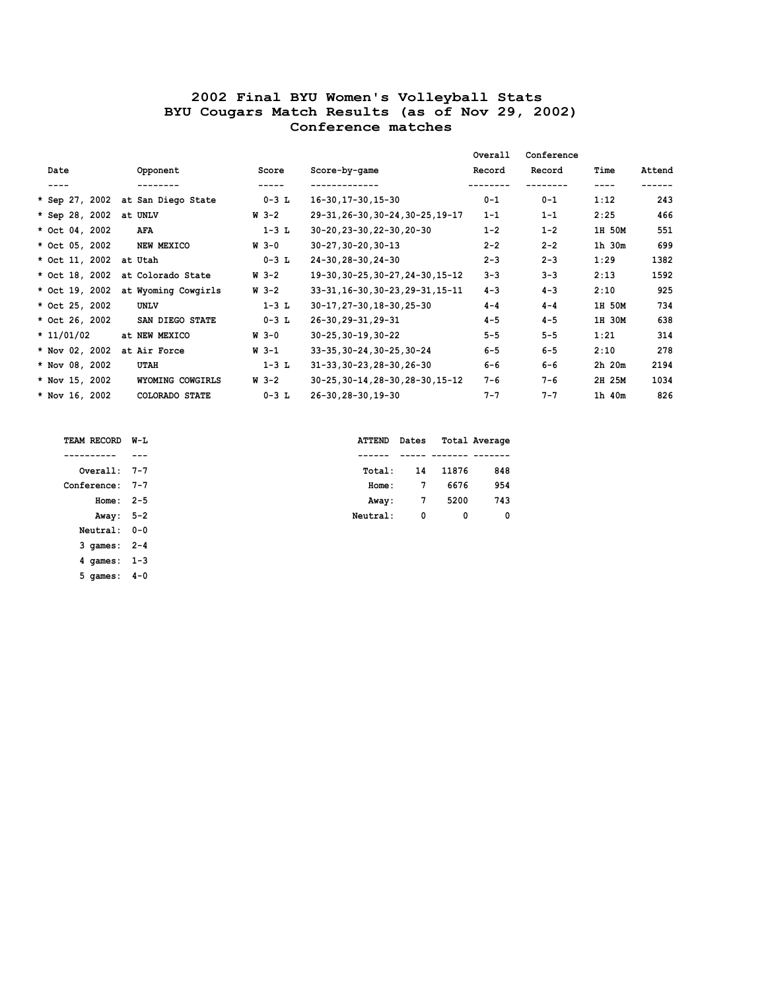|                        |                                   |           |                                   | Overall | Conference |            |        |
|------------------------|-----------------------------------|-----------|-----------------------------------|---------|------------|------------|--------|
| Date                   | Opponent                          | Score     | Score-by-game                     | Record  | Record     | Time       | Attend |
| ----                   | --------                          | -----     | -------------                     |         |            | ----       | ------ |
|                        | * Sep 27, 2002 at San Diego State | $0 - 3$ L | 16-30, 17-30, 15-30               | $0 - 1$ | $0 - 1$    | 1:12       | 243    |
| * Sep 28, 2002 at UNLV |                                   | W 3-2     | 29-31, 26-30, 30-24, 30-25, 19-17 | $1 - 1$ | $1 - 1$    | 2:25       | 466    |
| * Oct 04, 2002         | AFA                               | $1-3$ L   | 30-20, 23-30, 22-30, 20-30        | $1 - 2$ | $1 - 2$    | 1H 50M     | 551    |
| * Oct 05, 2002         | NEW MEXICO                        | $W_3 - 0$ | $30 - 27, 30 - 20, 30 - 13$       | $2 - 2$ | $2 - 2$    | 1h 30m     | 699    |
| * Oct 11, 2002 at Utah |                                   | $0-3$ L   | 24-30, 28-30, 24-30               | $2 - 3$ | $2 - 3$    | 1:29       | 1382   |
| * Oct 18, 2002         | at Colorado State                 | W 3-2     | 19-30, 30-25, 30-27, 24-30, 15-12 | $3 - 3$ | $3 - 3$    | 2:13       | 1592   |
| * Oct 19, 2002         | at Wyoming Cowgirls               | W 3-2     | 33-31, 16-30, 30-23, 29-31, 15-11 | $4 - 3$ | $4 - 3$    | 2:10       | 925    |
| * Oct 25, 2002         | <b>UNLV</b>                       | $1-3$ L   | 30-17, 27-30, 18-30, 25-30        | $4 - 4$ | $4 - 4$    | 1H 50M     | 734    |
| * Oct 26, 2002         | SAN DIEGO STATE                   | $0-3$ L   | 26-30, 29-31, 29-31               | $4 - 5$ | $4 - 5$    | 1H 30M     | 638    |
| $* 11/01/02$           | at NEW MEXICO                     | W 3-0     | $30 - 25, 30 - 19, 30 - 22$       | $5 - 5$ | $5 - 5$    | 1:21       | 314    |
| * Nov 02, 2002         | at Air Force                      | W 3-1     | 33-35, 30-24, 30-25, 30-24        | $6 - 5$ | $6 - 5$    | 2:10       | 278    |
| * Nov 08, 2002         | UTAH                              | $1-3$ L   | 31-33, 30-23, 28-30, 26-30        | $6 - 6$ | $6 - 6$    | $2h$ $20m$ | 2194   |
| * Nov 15, 2002         | WYOMING COWGIRLS                  | W 3-2     | 30-25, 30-14, 28-30, 28-30, 15-12 | $7 - 6$ | $7 - 6$    | 2H 25M     | 1034   |
| * Nov 16, 2002         | COLORADO STATE                    | $0-3$ L   | 26-30, 28-30, 19-30               | $7 - 7$ | $7 - 7$    | 1h 40m     | 826    |

| TEAM RECORD | W-L     |
|-------------|---------|
|             |         |
| Overall:    | 7-7     |
| Conference: | 7-7     |
| Home:       | $2 - 5$ |
| Away:       | $5 - 2$ |
| Neutral:    | $0 - 0$ |
| 3 games:    | $2 - 4$ |
| 4 games:    | $1 - 3$ |
| 5 games:    | $4 - 0$ |

| TEAM RECORD W-L | <b>ATTEND</b> Dates |   |          | Total Average |
|-----------------|---------------------|---|----------|---------------|
|                 |                     |   |          |               |
| $Overal: 7-7$   | Total:              |   | 14 11876 | 848           |
| Conference: 7-7 | Home:               | 7 | 6676     | 954           |
| Home: $2-5$     | Away:               | 7 | 5200     | 743           |
| Away: 5-2       | Neutral:            | 0 | 0        | $^{\circ}$    |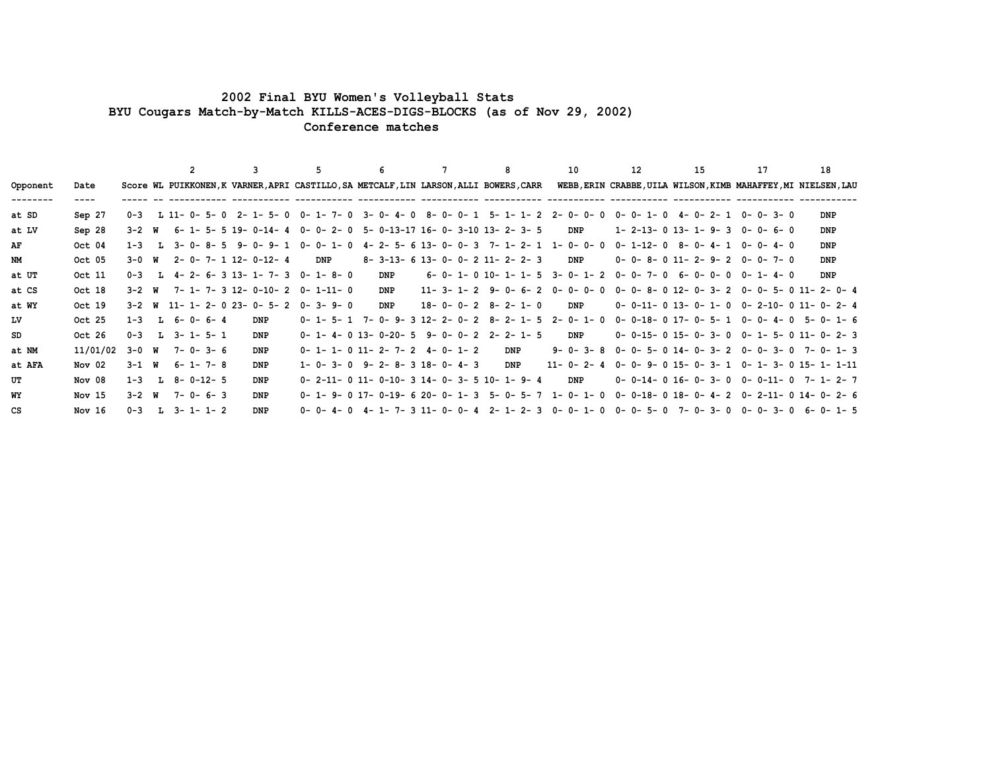## **2002 Final BYU Women's Volleyball Stats BYU Cougars Match-by-Match KILLS-ACES-DIGS-BLOCKS (as of Nov 29, 2002) Conference matches**

 **2 3 5 6 7 8 10 12 15 17 18Opponent Date Score WL PUIKKONEN,K VARNER,APRI CASTILLO,SA METCALF,LIN LARSON,ALLI BOWERS,CARR WEBB,ERIN CRABBE,UILA WILSON,KIMB MAHAFFEY,MI NIELSEN,LAU -------- ---- ----- -- ----------- ----------- ----------- ----------- ----------- ----------- ----------- ----------- ----------- ----------- ----------at SD Sep 27 0-3 L 11- 0- 5- 0 2- 1- 5- 0 0- 1- 7- 0 3- 0- 4- 0 8- 0- 0- 1 5- 1- 1- 2 2- 0- 0- 0 0- 0- 1- 0 4- 0- 2- 1 0- 0- 3- 0 DNP at LV Sep 28 3-2 W 6- 1- 5- 5 19- 0-14- 4 0- 0- 2- 0 5- 0-13-17 16- 0- 3-10 13- 2- 3- 5 DNP 1- 2-13- 0 13- 1- 9- 3 0- 0- 6- 0 DNP AF Oct 04 1-3 L 3- 0- 8- 5 9- 0- 9- 1 0- 0- 1- 0 4- 2- 5- 6 13- 0- 0- 3 7- 1- 2- 1 1- 0- 0- 0 0- 1-12- 0 8- 0- 4- 1 0- 0- 4- 0 DNPNM Oct 05 3-0 W 2- 0- 7- 1 12- 0-12- 4 DNP 8- 3-13- 6 13- 0- 0- 2 11- 2- 2- 3 DNP 0- 0- 8- 0 11- 2- 9- 2 0- 0- 7- 0 DNPat UT Oct 11 0-3 L 4- 2- 6- 3 13- 1- 7- 3 0- 1- 8- 0 DNP 6- 0- 1- 0 10- 1- 1- 5 3- 0- 1- 2 0- 0- 7- 0 6- 0- 0- 0 0- 1- 4- 0 DNPat CS Oct 18 3-2 W 7- 1- 7- 3 12- 0-10- 2 0- 1-11- 0 DNP 11- 3- 1- 2 9- 0- 6- 2 0- 0- 0- 0 0- 0- 8- 0 12- 0- 3- 2 0- 0- 5- 0 11- 2- 0- 4 at WY Oct 19 3-2 W 11- 1- 2- 0 23- 0- 5- 2 0- 3- 9- 0 DNP 18- 0- 0- 2 8- 2- 1- 0 DNP 0- 0-11- 0 13- 0- 1- 0 0- 2-10- 0 11- 0- 2- 4LV Oct 25 1-3 L 6- 0- 6- 4 DNP 0- 1- 5- 1 7- 0- 9- 3 12- 2- 0- 2 8- 2- 1- 5 2- 0- 1- 0 0- 0-18- 0 17- 0- 5- 1 0- 0- 4- 0 5- 0- 1- 6 SD Oct 26 0-3 L 3- 1- 5- 1 DNP 0- 1- 4- 0 13- 0-20- 5 9- 0- 0- 2 2- 2- 1- 5 DNP 0- 0-15- 0 15- 0- 3- 0 0- 1- 5- 0 11- 0- 2- 3at NM 11/01/02 3-0 W 7- 0- 3- 6 DNP 0- 1- 1- 0 11- 2- 7- 2 4- 0- 1- 2 DNP 9- 0- 3- 8 0- 0- 5- 0 14- 0- 3- 2 0- 0- 3- 0 7- 0- 1- 3 at AFA Nov 02 3-1 W 6- 1- 7- 8 DNP 1- 0- 3- 0 9- 2- 8- 3 18- 0- 4- 3 DNP 11- 0- 2- 4 0- 0- 9- 0 15- 0- 3- 1 0- 1- 3- 0 15- 1- 1-11UT Nov 08 1-3 L 8- 0-12- 5 DNP 0- 2-11- 0 11- 0-10- 3 14- 0- 3- 5 10- 1- 9- 4 DNP 0- 0-14- 0 16- 0- 3- 0 0- 0-11- 0 7- 1- 2- 7WY Nov 15 3-2 W 7- 0- 6- 3 DNP 0- 1- 9- 0 17- 0-19- 6 20- 0- 1- 3 5- 0- 5- 7 1- 0- 1- 0 0- 0-18- 0 18- 0- 4- 2 0- 2-11- 0 14- 0- 2- 6CS Nov 16 0-3 L 3- 1- 1- 2 DNP 0- 0- 4- 0 4- 1- 7- 3 11- 0- 0- 4 2- 1- 2- 3 0- 0- 1- 0 0- 0- 5- 0 7- 0- 3- 0 0- 0- 3- 0 6- 0- 1- 5**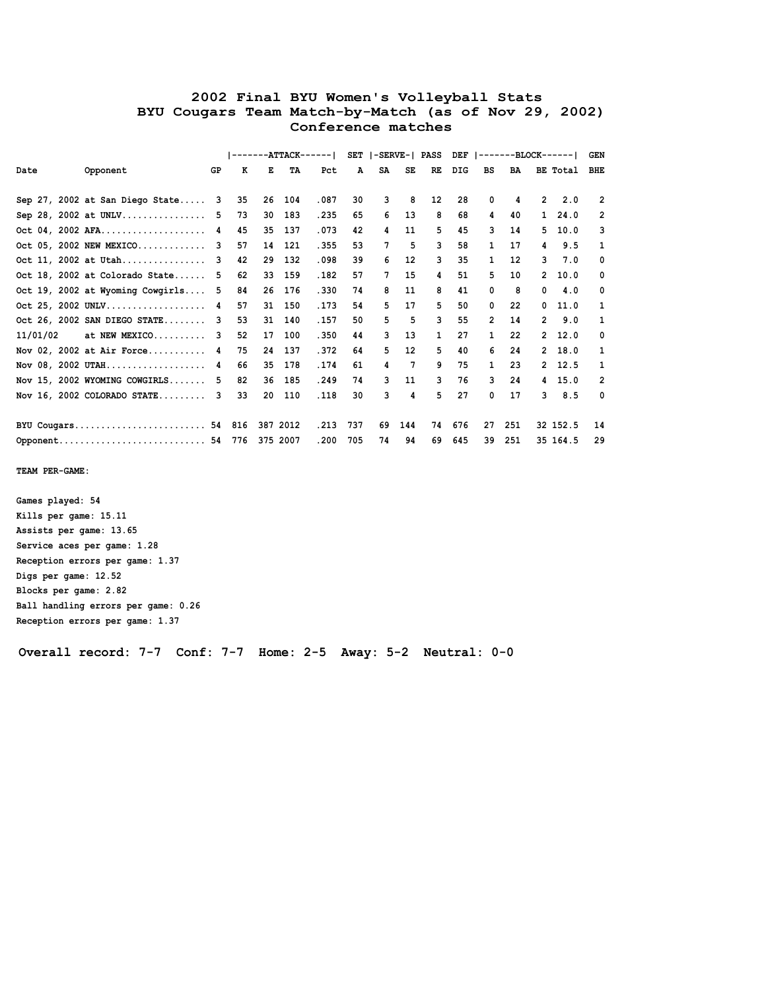|                                  |     | $-ATTACK--$<br>---- 1<br>$\begin{array}{cccccccccccccc} \multicolumn{2}{c}{} & \multicolumn{2}{c}{} & \multicolumn{2}{c}{} & \multicolumn{2}{c}{} & \multicolumn{2}{c}{} & \multicolumn{2}{c}{} & \multicolumn{2}{c}{} & \multicolumn{2}{c}{} & \multicolumn{2}{c}{} & \multicolumn{2}{c}{} & \multicolumn{2}{c}{} & \multicolumn{2}{c}{} & \multicolumn{2}{c}{} & \multicolumn{2}{c}{} & \multicolumn{2}{c}{} & \multicolumn{2}{c}{} & \multicolumn{2}{c}{} & \multicolumn{2}{c}{} & \multicolumn{2}{c}{} & \$ |    |          |       | SET  -SERVE-  PASS |    |                 | DEF | $ -----BLOCK---- $ |                      |     |                | <b>GEN</b> |                |
|----------------------------------|-----|-----------------------------------------------------------------------------------------------------------------------------------------------------------------------------------------------------------------------------------------------------------------------------------------------------------------------------------------------------------------------------------------------------------------------------------------------------------------------------------------------------------------|----|----------|-------|--------------------|----|-----------------|-----|--------------------|----------------------|-----|----------------|------------|----------------|
| Date<br>Opponent                 | GP  | к                                                                                                                                                                                                                                                                                                                                                                                                                                                                                                               | Е  | TA       | Pct   | A                  | SA | SE              | RE  | DIG                | BS                   | BA  |                | BE Total   | <b>BHE</b>     |
|                                  |     |                                                                                                                                                                                                                                                                                                                                                                                                                                                                                                                 |    |          |       |                    |    |                 |     |                    |                      |     |                |            |                |
| Sep 27, 2002 at San Diego State  | - 3 | 35                                                                                                                                                                                                                                                                                                                                                                                                                                                                                                              | 26 | 104      | .087  | 30                 | 3  | 8               | 12  | 28                 | 0                    | 4   | $\overline{2}$ | 2.0        | $\overline{2}$ |
| Sep 28, 2002 at UNLV             | -5  | 73                                                                                                                                                                                                                                                                                                                                                                                                                                                                                                              | 30 | 183      | .235  | 65                 | 6  | 13              | 8   | 68                 | 4                    | 40  | $\mathbf{1}$   | 24.0       | 2              |
| Oct 04, 2002 AFA                 | 4   | 45                                                                                                                                                                                                                                                                                                                                                                                                                                                                                                              | 35 | 137      | .073  | 42                 | 4  | 11              | 5   | 45                 | 3                    | 14  | 5.             | 10.0       | 3              |
| Oct 05, 2002 NEW MEXICO          | 3   | 57                                                                                                                                                                                                                                                                                                                                                                                                                                                                                                              | 14 | 121      | .355  | 53                 | 7  | 5               | 3   | 58                 | 1                    | 17  | 4              | 9.5        | 1              |
| Oct 11, 2002 at Utah             | 3   | 42                                                                                                                                                                                                                                                                                                                                                                                                                                                                                                              | 29 | 132      | .098  | 39                 | 6  | 12              | 3   | 35                 | 1                    | 12  | 3              | 7.0        | 0              |
| Oct 18, 2002 at Colorado State   | 5   | 62                                                                                                                                                                                                                                                                                                                                                                                                                                                                                                              | 33 | 159      | .182  | 57                 | 7  | 15              | 4   | 51                 | 5                    | 10  | $\mathbf{2}$   | 10.0       | 0              |
| Oct 19, 2002 at Wyoming Cowgirls | - 5 | 84                                                                                                                                                                                                                                                                                                                                                                                                                                                                                                              | 26 | 176      | .330  | 74                 | 8  | 11              | 8   | 41                 | 0                    | 8   | 0              | 4.0        | 0              |
| Oct 25, 2002 UNLV 4              |     | 57                                                                                                                                                                                                                                                                                                                                                                                                                                                                                                              | 31 | 150      | .173  | 54                 | 5. | 17              | 5   | 50                 | 0                    | 22  | 0              | 11.0       | $\mathbf{1}$   |
| Oct 26, 2002 SAN DIEGO STATE 3   |     | 53                                                                                                                                                                                                                                                                                                                                                                                                                                                                                                              | 31 | 140      | . 157 | 50                 | 5. | 5               | 3   | 55                 | $\mathbf{2}^{\circ}$ | 14  | $\overline{2}$ | 9.0        | $\mathbf{1}$   |
| 11/01/02<br>at NEW MEXICO        | 3   | 52                                                                                                                                                                                                                                                                                                                                                                                                                                                                                                              | 17 | 100      | .350  | 44                 | 3  | 13              | 1   | 27                 | 1                    | 22  | $\mathbf{2}$   | 12.0       | 0              |
| Nov 02, 2002 at Air Force 4      |     | 75                                                                                                                                                                                                                                                                                                                                                                                                                                                                                                              | 24 | 137      | .372  | 64                 | 5  | 12 <sup>2</sup> | 5   | 40                 | 6                    | 24  | $\mathbf{2}$   | 18.0       | $\mathbf{1}$   |
| Nov 08, 2002 UTAH                | 4   | 66                                                                                                                                                                                                                                                                                                                                                                                                                                                                                                              | 35 | 178      | .174  | 61                 | 4  | $7\phantom{.0}$ | 9   | 75                 | $\mathbf{1}$         | 23  | $\mathbf{2}$   | 12.5       | $\mathbf{1}$   |
| Nov $15$ , 2002 WYOMING COWGIRLS | 5   | 82                                                                                                                                                                                                                                                                                                                                                                                                                                                                                                              | 36 | 185      | .249  | 74                 | 3. | 11              | 3   | 76                 | 3                    | 24  | 4              | 15.0       | $\overline{2}$ |
| Nov $16$ , 2002 COLORADO STATE   | 3   | 33                                                                                                                                                                                                                                                                                                                                                                                                                                                                                                              | 20 | 110      | .118  | 30                 | 3  | 4               | 5   | 27                 | 0                    | 17  | 3              | 8.5        | 0              |
|                                  |     |                                                                                                                                                                                                                                                                                                                                                                                                                                                                                                                 |    |          |       |                    |    |                 |     |                    |                      |     |                |            |                |
| BYU Cougars 54 816               |     |                                                                                                                                                                                                                                                                                                                                                                                                                                                                                                                 |    | 387 2012 | .213  | 737                | 69 | 144             | 74  | 676                | 27                   | 251 |                | 32 152.5   | 14             |
| Opponent 54 776                  |     |                                                                                                                                                                                                                                                                                                                                                                                                                                                                                                                 |    | 375 2007 | .200  | 705                | 74 | 94              | 69  | 645                | 39                   | 251 |                | 35 164.5   | 29             |

 **TEAM PER-GAME:**

 **Games played: 54 Kills per game: 15.11 Assists per game: 13.65 Service aces per game: 1.28 Reception errors per game: 1.37 Digs per game: 12.52 Blocks per game: 2.82 Ball handling errors per game: 0.26 Reception errors per game: 1.37**

 **Overall record: 7-7 Conf: 7-7 Home: 2-5 Away: 5-2 Neutral: 0-0**